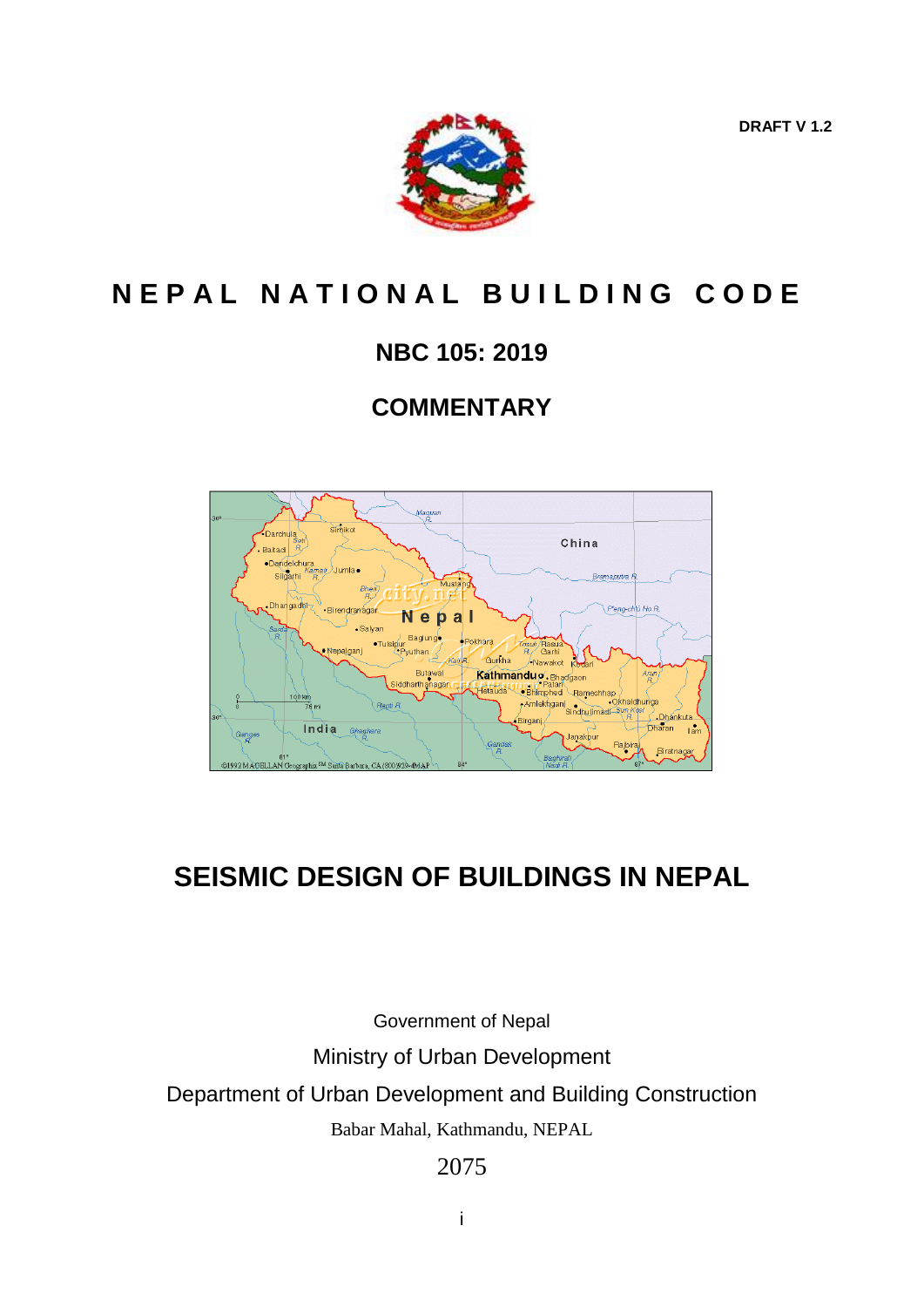**DRAFT V 1.2**



# **N E P A L N A T I O N A L B U I L D I N G C O D E**

# **NBC 105: 2019**

# **COMMENTARY**



# **SEISMIC DESIGN OF BUILDINGS IN NEPAL**

Government of Nepal Ministry of Urban Development Department of Urban Development and Building Construction Babar Mahal, Kathmandu, NEPAL

2075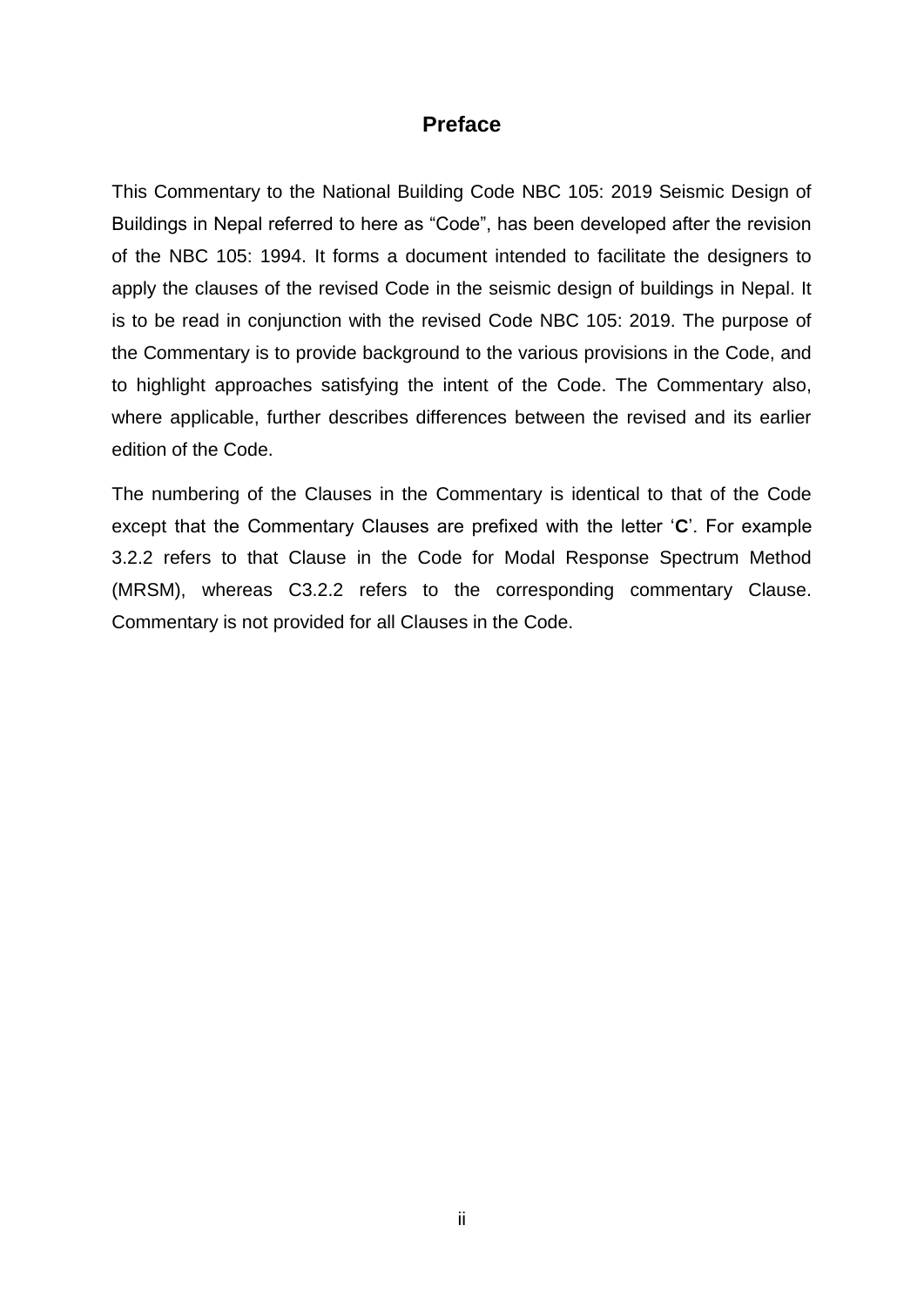# **Preface**

This Commentary to the National Building Code NBC 105: 2019 Seismic Design of Buildings in Nepal referred to here as "Code", has been developed after the revision of the NBC 105: 1994. It forms a document intended to facilitate the designers to apply the clauses of the revised Code in the seismic design of buildings in Nepal. It is to be read in conjunction with the revised Code NBC 105: 2019. The purpose of the Commentary is to provide background to the various provisions in the Code, and to highlight approaches satisfying the intent of the Code. The Commentary also, where applicable, further describes differences between the revised and its earlier edition of the Code.

The numbering of the Clauses in the Commentary is identical to that of the Code except that the Commentary Clauses are prefixed with the letter '**C**'. For example 3.2.2 refers to that Clause in the Code for Modal Response Spectrum Method (MRSM), whereas C3.2.2 refers to the corresponding commentary Clause. Commentary is not provided for all Clauses in the Code.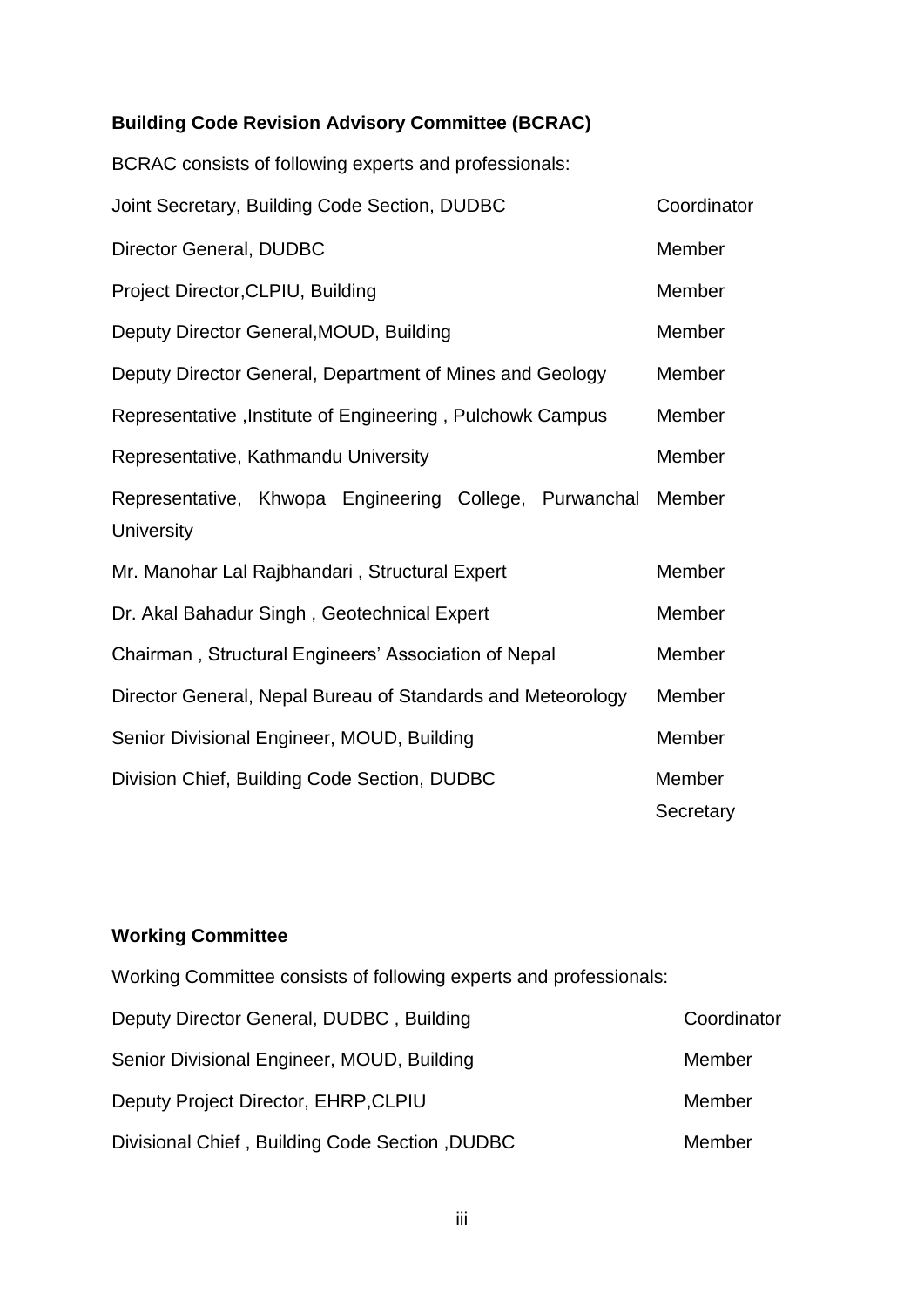# **Building Code Revision Advisory Committee (BCRAC)**

BCRAC consists of following experts and professionals:

| Joint Secretary, Building Code Section, DUDBC                        | Coordinator         |
|----------------------------------------------------------------------|---------------------|
| Director General, DUDBC                                              | Member              |
| Project Director, CLPIU, Building                                    | Member              |
| Deputy Director General, MOUD, Building                              | Member              |
| Deputy Director General, Department of Mines and Geology             | Member              |
| Representative, Institute of Engineering, Pulchowk Campus            | Member              |
| Representative, Kathmandu University                                 | Member              |
| Representative, Khwopa Engineering College, Purwanchal<br>University | Member              |
| Mr. Manohar Lal Rajbhandari, Structural Expert                       | Member              |
| Dr. Akal Bahadur Singh, Geotechnical Expert                          | Member              |
| Chairman, Structural Engineers' Association of Nepal                 | Member              |
| Director General, Nepal Bureau of Standards and Meteorology          | Member              |
| Senior Divisional Engineer, MOUD, Building                           | Member              |
| Division Chief, Building Code Section, DUDBC                         | Member<br>Secretary |

# **Working Committee**

| Working Committee consists of following experts and professionals: |             |
|--------------------------------------------------------------------|-------------|
| Deputy Director General, DUDBC, Building                           | Coordinator |
| Senior Divisional Engineer, MOUD, Building                         | Member      |
| Deputy Project Director, EHRP, CLPIU                               | Member      |
| Divisional Chief, Building Code Section, DUDBC                     | Member      |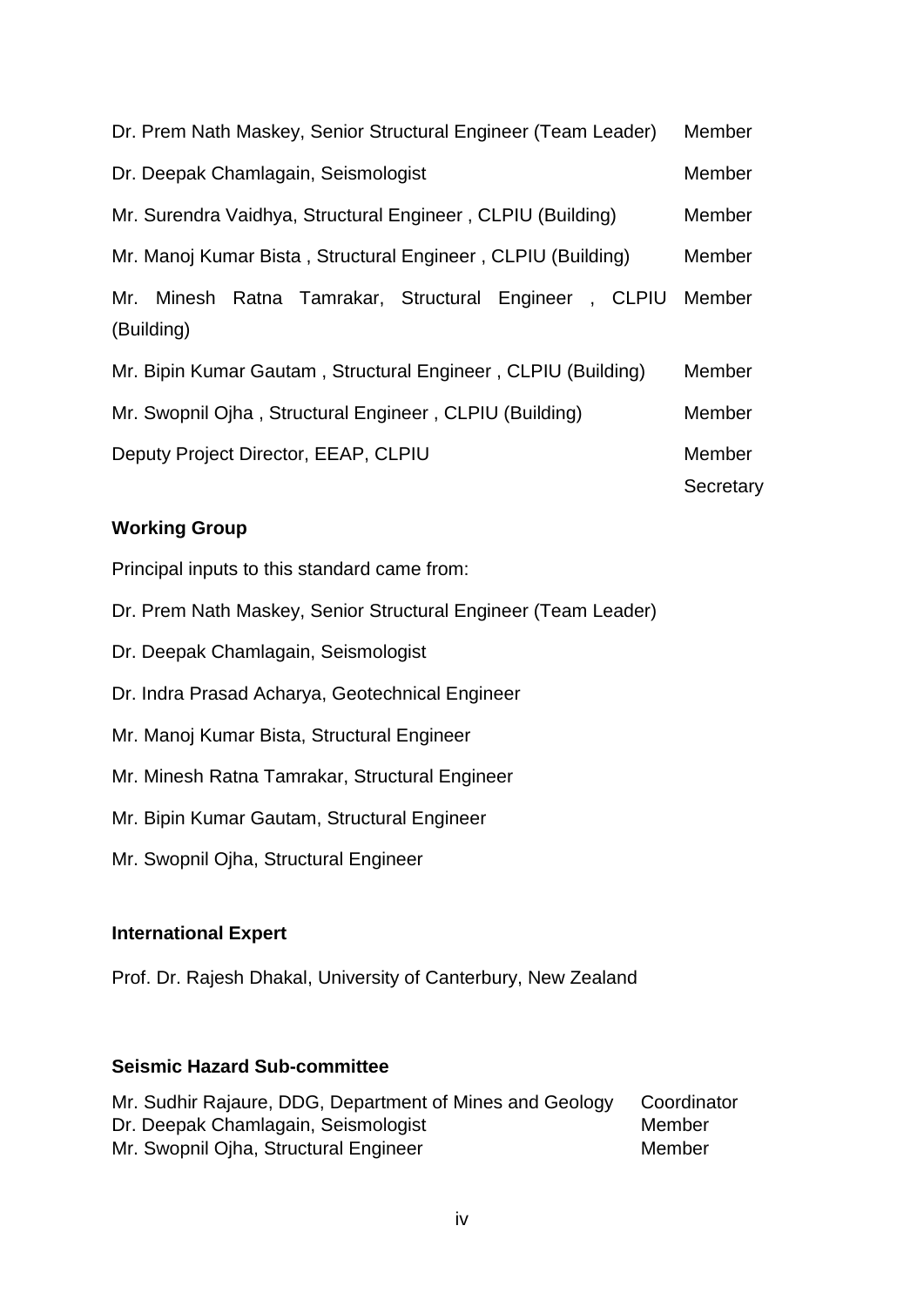| Dr. Prem Nath Maskey, Senior Structural Engineer (Team Leader)      | Member              |
|---------------------------------------------------------------------|---------------------|
| Dr. Deepak Chamlagain, Seismologist                                 | Member              |
| Mr. Surendra Vaidhya, Structural Engineer, CLPIU (Building)         | Member              |
| Mr. Manoj Kumar Bista, Structural Engineer, CLPIU (Building)        | Member              |
| Mr. Minesh Ratna Tamrakar, Structural Engineer, CLPIU<br>(Building) | Member              |
| Mr. Bipin Kumar Gautam, Structural Engineer, CLPIU (Building)       | Member              |
| Mr. Swopnil Ojha, Structural Engineer, CLPIU (Building)             | Member              |
| Deputy Project Director, EEAP, CLPIU                                | Member<br>Secretary |

# **Working Group**

Principal inputs to this standard came from:

- Dr. Prem Nath Maskey, Senior Structural Engineer (Team Leader)
- Dr. Deepak Chamlagain, Seismologist
- Dr. Indra Prasad Acharya, Geotechnical Engineer
- Mr. Manoj Kumar Bista, Structural Engineer
- Mr. Minesh Ratna Tamrakar, Structural Engineer
- Mr. Bipin Kumar Gautam, Structural Engineer
- Mr. Swopnil Ojha, Structural Engineer

#### **International Expert**

Prof. Dr. Rajesh Dhakal, University of Canterbury, New Zealand

# **Seismic Hazard Sub-committee**

Mr. Sudhir Rajaure, DDG, Department of Mines and Geology Coordinator Dr. Deepak Chamlagain, Seismologist Member Mr. Swopnil Ojha, Structural Engineer Member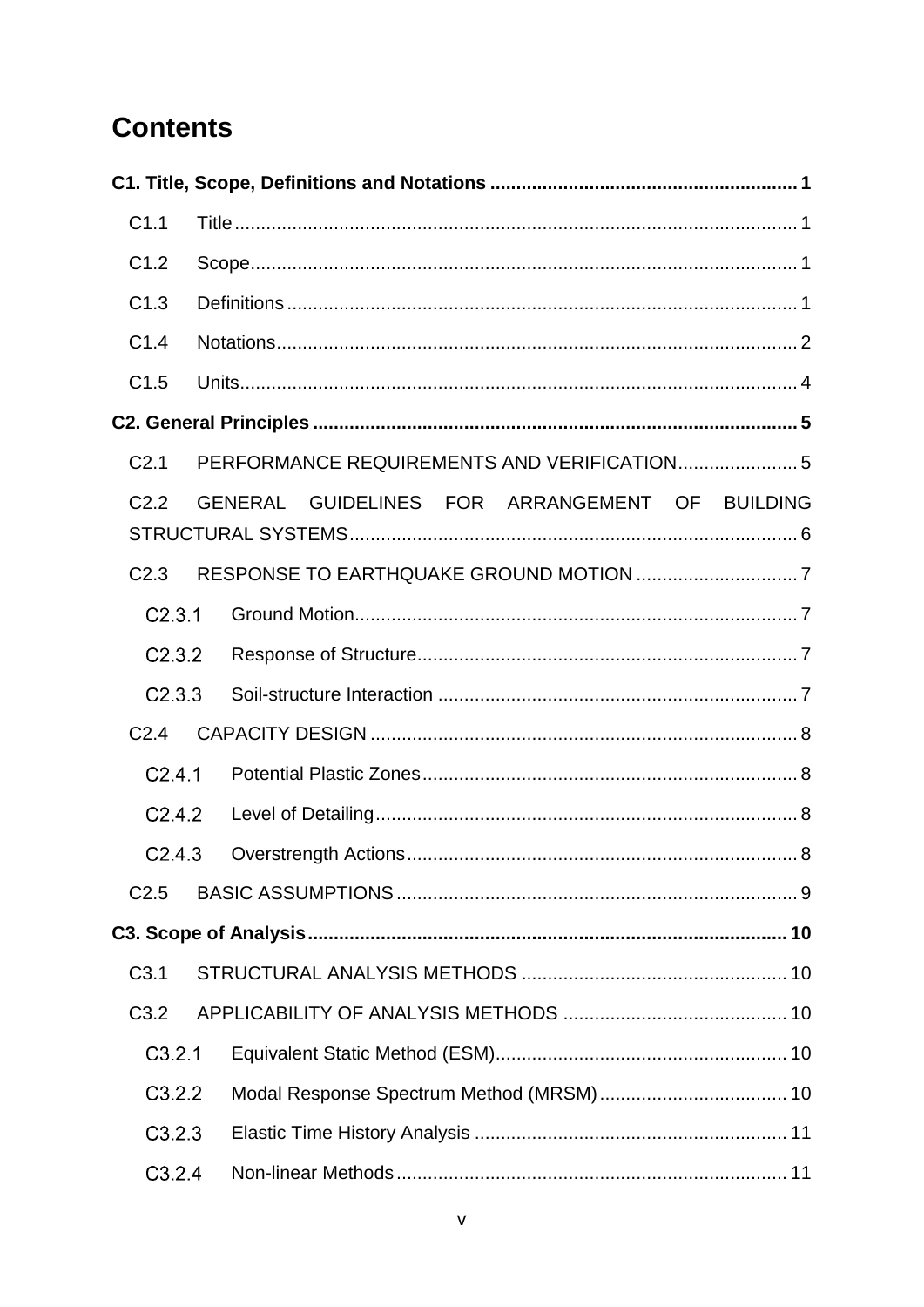# **Contents**

| C1.1             |                                                |  |
|------------------|------------------------------------------------|--|
| C1.2             |                                                |  |
| C1.3             |                                                |  |
| C1.4             |                                                |  |
| C1.5             |                                                |  |
|                  |                                                |  |
| C <sub>2.1</sub> | PERFORMANCE REQUIREMENTS AND VERIFICATION 5    |  |
| C <sub>2.2</sub> | GENERAL GUIDELINES FOR ARRANGEMENT OF BUILDING |  |
|                  |                                                |  |
| C <sub>2.3</sub> |                                                |  |
| C2.3.1           |                                                |  |
| C2.3.2           |                                                |  |
| C2.3.3           |                                                |  |
| C <sub>2.4</sub> |                                                |  |
| C2.4.1           |                                                |  |
| C2.4.2           |                                                |  |
| C2.4.3           |                                                |  |
| C <sub>2.5</sub> |                                                |  |
|                  |                                                |  |
| C <sub>3.1</sub> |                                                |  |
| C3.2             |                                                |  |
| C3.2.1           |                                                |  |
| C3.2.2           |                                                |  |
| C3.2.3           |                                                |  |
| C3.2.4           |                                                |  |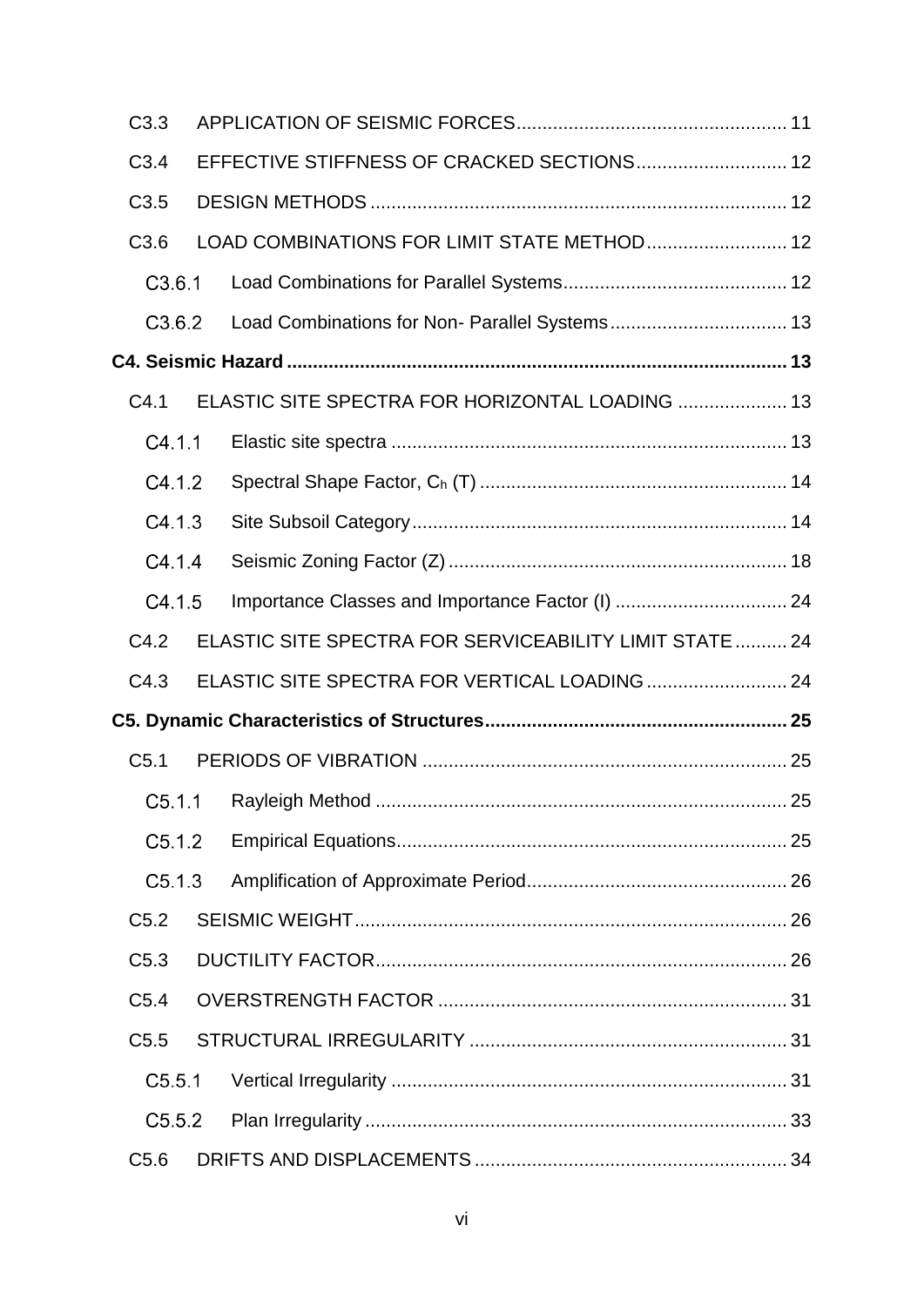| C3.3             |                                                         |    |
|------------------|---------------------------------------------------------|----|
| C3.4             | EFFECTIVE STIFFNESS OF CRACKED SECTIONS 12              |    |
| C3.5             |                                                         |    |
| C3.6             | LOAD COMBINATIONS FOR LIMIT STATE METHOD 12             |    |
| C3.6.1           |                                                         |    |
| C3.6.2           |                                                         |    |
|                  |                                                         |    |
| C4.1             | ELASTIC SITE SPECTRA FOR HORIZONTAL LOADING  13         |    |
| C4.1.1           |                                                         |    |
| C4.1.2           |                                                         |    |
| C4.1.3           |                                                         |    |
| C4.1.4           |                                                         |    |
| C4.1.5           |                                                         |    |
| C4.2             | ELASTIC SITE SPECTRA FOR SERVICEABILITY LIMIT STATE  24 |    |
| C4.3             |                                                         |    |
|                  |                                                         |    |
| C <sub>5.1</sub> |                                                         |    |
|                  |                                                         | 25 |
| C5.1.2           |                                                         |    |
| C5.1.3           |                                                         |    |
| C <sub>5.2</sub> |                                                         |    |
| C5.3             |                                                         |    |
| C5.4             |                                                         |    |
| C5.5             |                                                         |    |
| C5.5.1           |                                                         |    |
| C5.5.2           |                                                         |    |
| C5.6             |                                                         |    |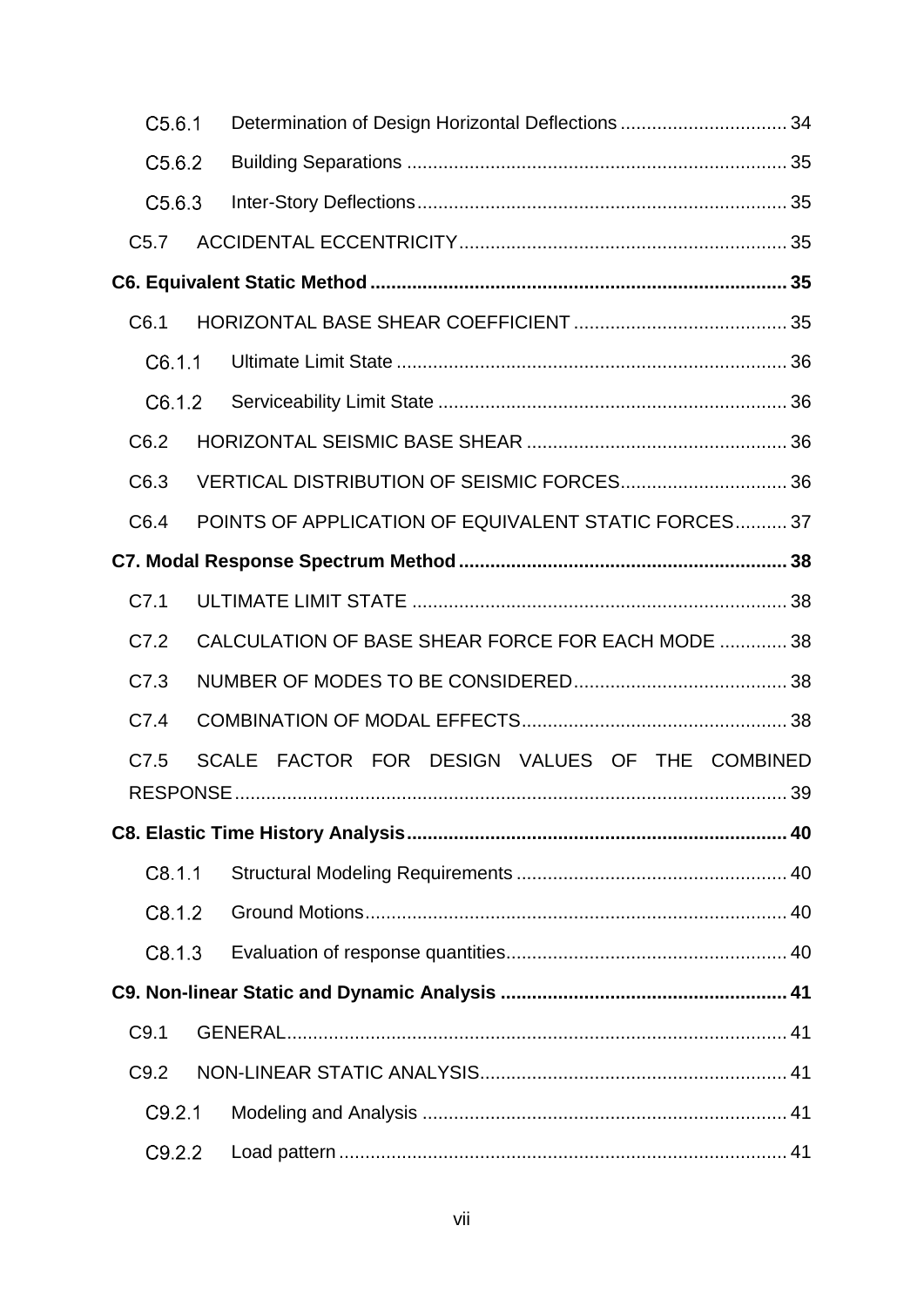| C5.6.1 | Determination of Design Horizontal Deflections  34   |  |
|--------|------------------------------------------------------|--|
| C5.6.2 |                                                      |  |
| C5.6.3 |                                                      |  |
| C5.7   |                                                      |  |
|        |                                                      |  |
| C6.1   |                                                      |  |
| C6.1.1 |                                                      |  |
| C6.1.2 |                                                      |  |
| C6.2   |                                                      |  |
| C6.3   |                                                      |  |
| C6.4   | POINTS OF APPLICATION OF EQUIVALENT STATIC FORCES 37 |  |
|        |                                                      |  |
| C7.1   |                                                      |  |
| C7.2   | CALCULATION OF BASE SHEAR FORCE FOR EACH MODE  38    |  |
| C7.3   |                                                      |  |
| C7.4   |                                                      |  |
| C7.5   | SCALE FACTOR FOR DESIGN VALUES OF THE COMBINED       |  |
|        |                                                      |  |
| C8.1.1 |                                                      |  |
| C8.1.2 |                                                      |  |
| C8.1.3 |                                                      |  |
|        |                                                      |  |
| C9.1   |                                                      |  |
| C9.2   |                                                      |  |
| C9.2.1 |                                                      |  |
| C9.2.2 |                                                      |  |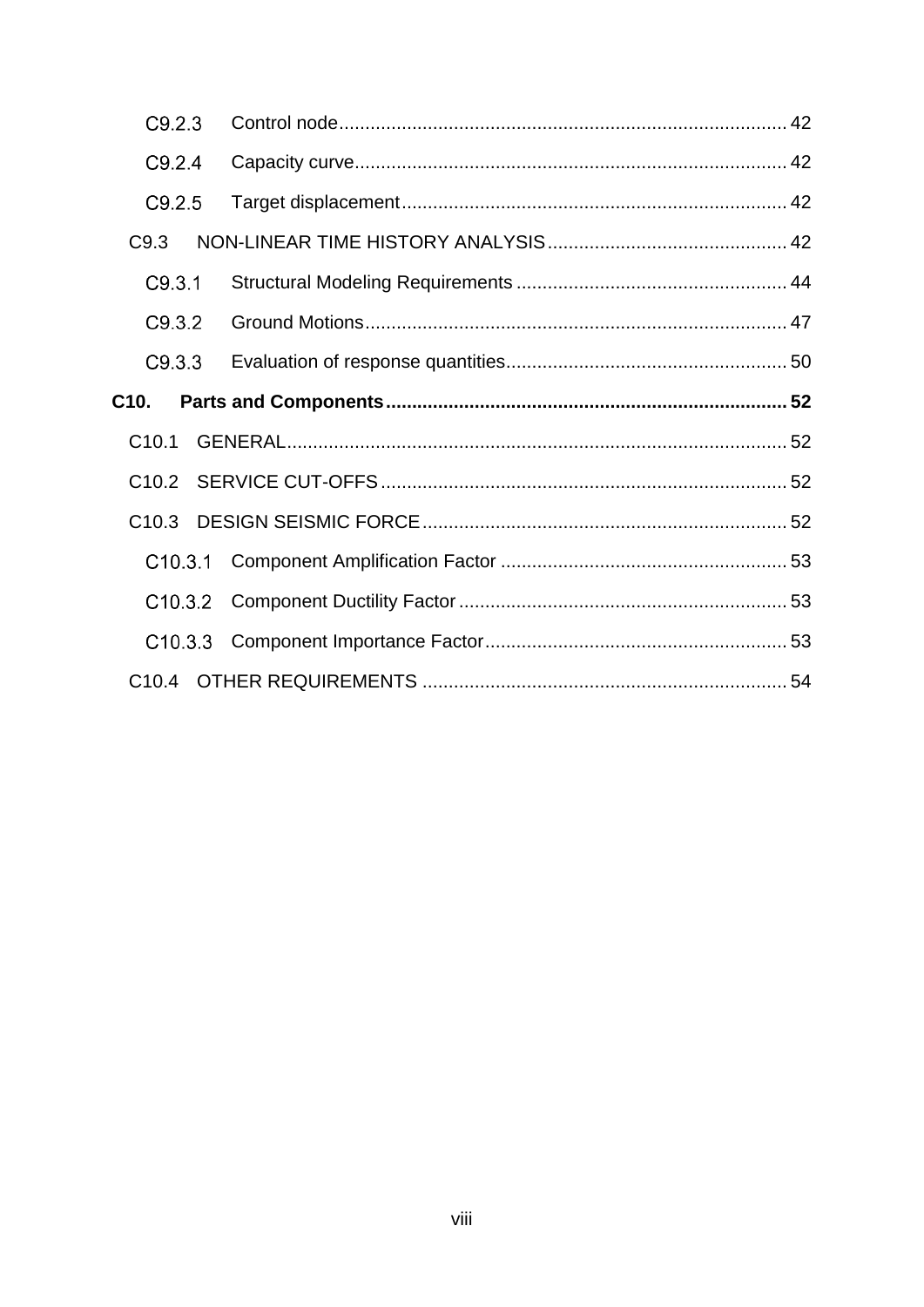| C9.2.3  |  |
|---------|--|
| C9.2.4  |  |
| C9.2.5  |  |
| C9.3    |  |
| C9.3.1  |  |
| C9.3.2  |  |
| C9.3.3  |  |
| C10.    |  |
| C10.1   |  |
|         |  |
|         |  |
| C10.3.1 |  |
|         |  |
|         |  |
|         |  |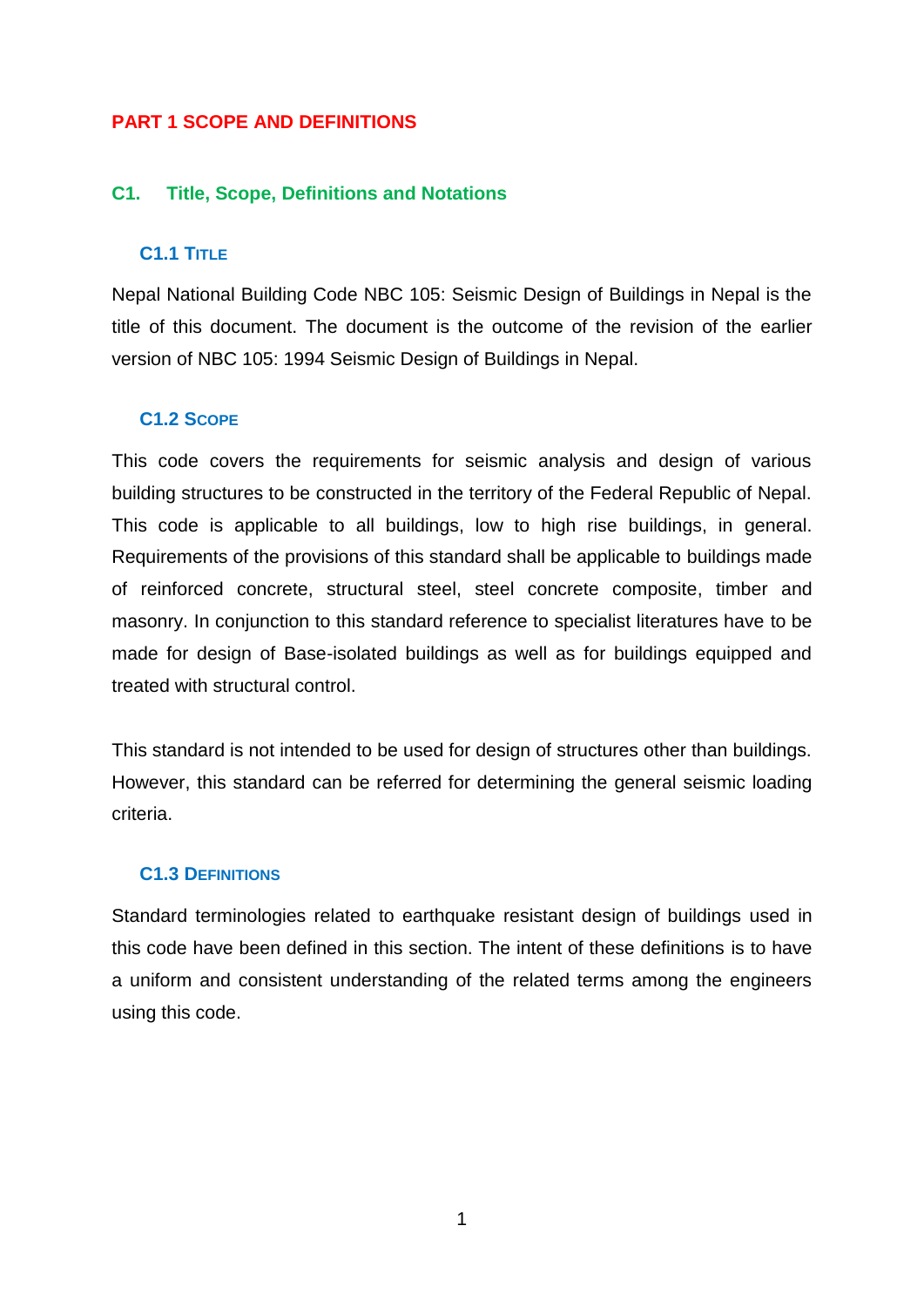# **PART 1 SCOPE AND DEFINITIONS**

# <span id="page-8-0"></span>**C1. Title, Scope, Definitions and Notations**

### <span id="page-8-1"></span>**C1.1 TITLE**

Nepal National Building Code NBC 105: Seismic Design of Buildings in Nepal is the title of this document. The document is the outcome of the revision of the earlier version of NBC 105: 1994 Seismic Design of Buildings in Nepal.

#### <span id="page-8-2"></span>**C1.2 SCOPE**

This code covers the requirements for seismic analysis and design of various building structures to be constructed in the territory of the Federal Republic of Nepal. This code is applicable to all buildings, low to high rise buildings, in general. Requirements of the provisions of this standard shall be applicable to buildings made of reinforced concrete, structural steel, steel concrete composite, timber and masonry. In conjunction to this standard reference to specialist literatures have to be made for design of Base-isolated buildings as well as for buildings equipped and treated with structural control.

This standard is not intended to be used for design of structures other than buildings. However, this standard can be referred for determining the general seismic loading criteria.

# <span id="page-8-3"></span>**C1.3 DEFINITIONS**

Standard terminologies related to earthquake resistant design of buildings used in this code have been defined in this section. The intent of these definitions is to have a uniform and consistent understanding of the related terms among the engineers using this code.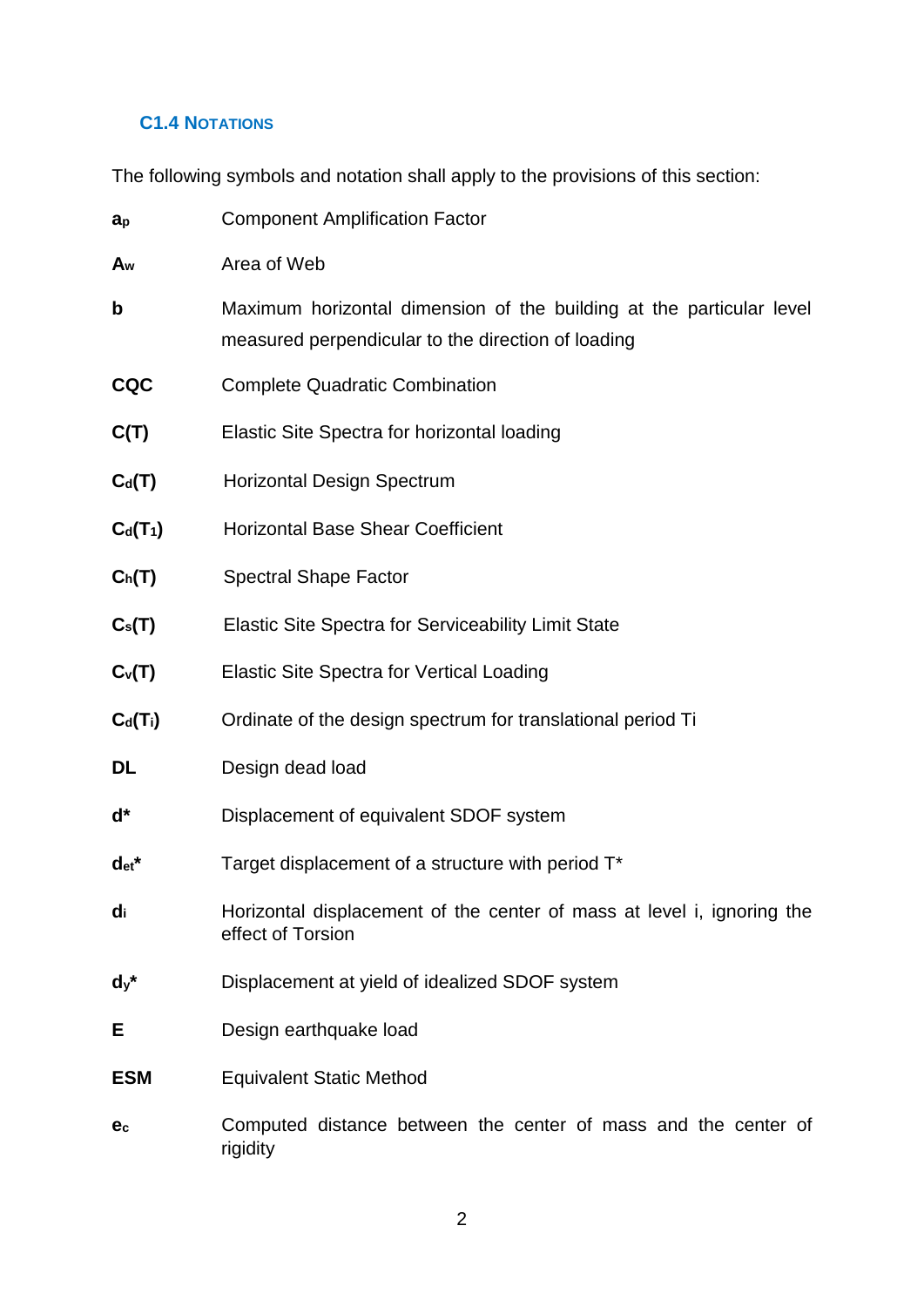# <span id="page-9-0"></span>**C1.4 NOTATIONS**

The following symbols and notation shall apply to the provisions of this section:

| $a_{p}$    | <b>Component Amplification Factor</b>                                                                                      |
|------------|----------------------------------------------------------------------------------------------------------------------------|
| Aw         | Area of Web                                                                                                                |
| b          | Maximum horizontal dimension of the building at the particular level<br>measured perpendicular to the direction of loading |
| <b>CQC</b> | <b>Complete Quadratic Combination</b>                                                                                      |
| C(T)       | <b>Elastic Site Spectra for horizontal loading</b>                                                                         |
| $C_d(T)$   | <b>Horizontal Design Spectrum</b>                                                                                          |
| $C_d(T_1)$ | <b>Horizontal Base Shear Coefficient</b>                                                                                   |
| $C_h(T)$   | <b>Spectral Shape Factor</b>                                                                                               |
| $C_s(T)$   | <b>Elastic Site Spectra for Serviceability Limit State</b>                                                                 |
| $C_v(T)$   | <b>Elastic Site Spectra for Vertical Loading</b>                                                                           |
| $C_d(T_i)$ | Ordinate of the design spectrum for translational period Ti                                                                |
| DL         | Design dead load                                                                                                           |
| ď*         | Displacement of equivalent SDOF system                                                                                     |
| $det^*$    | Target displacement of a structure with period T*                                                                          |
| di         | Horizontal displacement of the center of mass at level i, ignoring the<br>effect of Torsion                                |
| $dy^*$     | Displacement at yield of idealized SDOF system                                                                             |
| Е          | Design earthquake load                                                                                                     |
| <b>ESM</b> | <b>Equivalent Static Method</b>                                                                                            |

**e<sup>c</sup>** Computed distance between the center of mass and the center of rigidity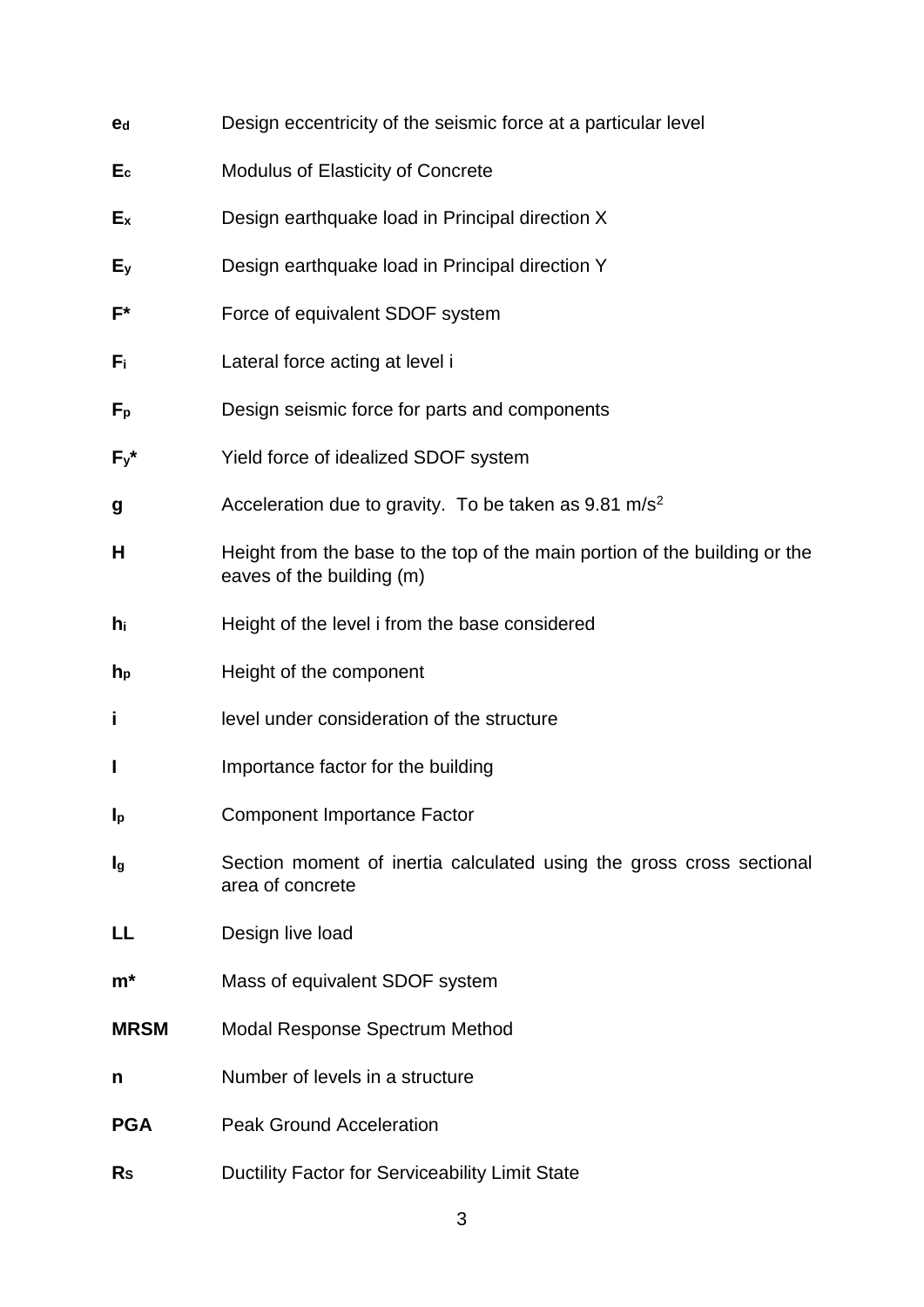| e <sub>d</sub>            | Design eccentricity of the seismic force at a particular level                                          |
|---------------------------|---------------------------------------------------------------------------------------------------------|
| $E_{c}$                   | <b>Modulus of Elasticity of Concrete</b>                                                                |
| $E_{\rm X}$               | Design earthquake load in Principal direction X                                                         |
| Ey                        | Design earthquake load in Principal direction Y                                                         |
| F*                        | Force of equivalent SDOF system                                                                         |
| Fï                        | Lateral force acting at level i                                                                         |
| $F_{\rm p}$               | Design seismic force for parts and components                                                           |
| $F_{y}$ *                 | Yield force of idealized SDOF system                                                                    |
| g                         | Acceleration due to gravity. To be taken as $9.81 \text{ m/s}^2$                                        |
| н                         | Height from the base to the top of the main portion of the building or the<br>eaves of the building (m) |
| hi                        | Height of the level i from the base considered                                                          |
| $h_{p}$                   | Height of the component                                                                                 |
| İ                         | level under consideration of the structure                                                              |
| I                         | Importance factor for the building                                                                      |
| $\mathbf{I}_{\mathsf{p}}$ | <b>Component Importance Factor</b>                                                                      |
| Ig                        | Section moment of inertia calculated using the gross cross sectional<br>area of concrete                |
| LL                        | Design live load                                                                                        |
| $m^*$                     | Mass of equivalent SDOF system                                                                          |
| <b>MRSM</b>               | <b>Modal Response Spectrum Method</b>                                                                   |
| n                         | Number of levels in a structure                                                                         |
| <b>PGA</b>                | <b>Peak Ground Acceleration</b>                                                                         |
| $R_{S}$                   | Ductility Factor for Serviceability Limit State                                                         |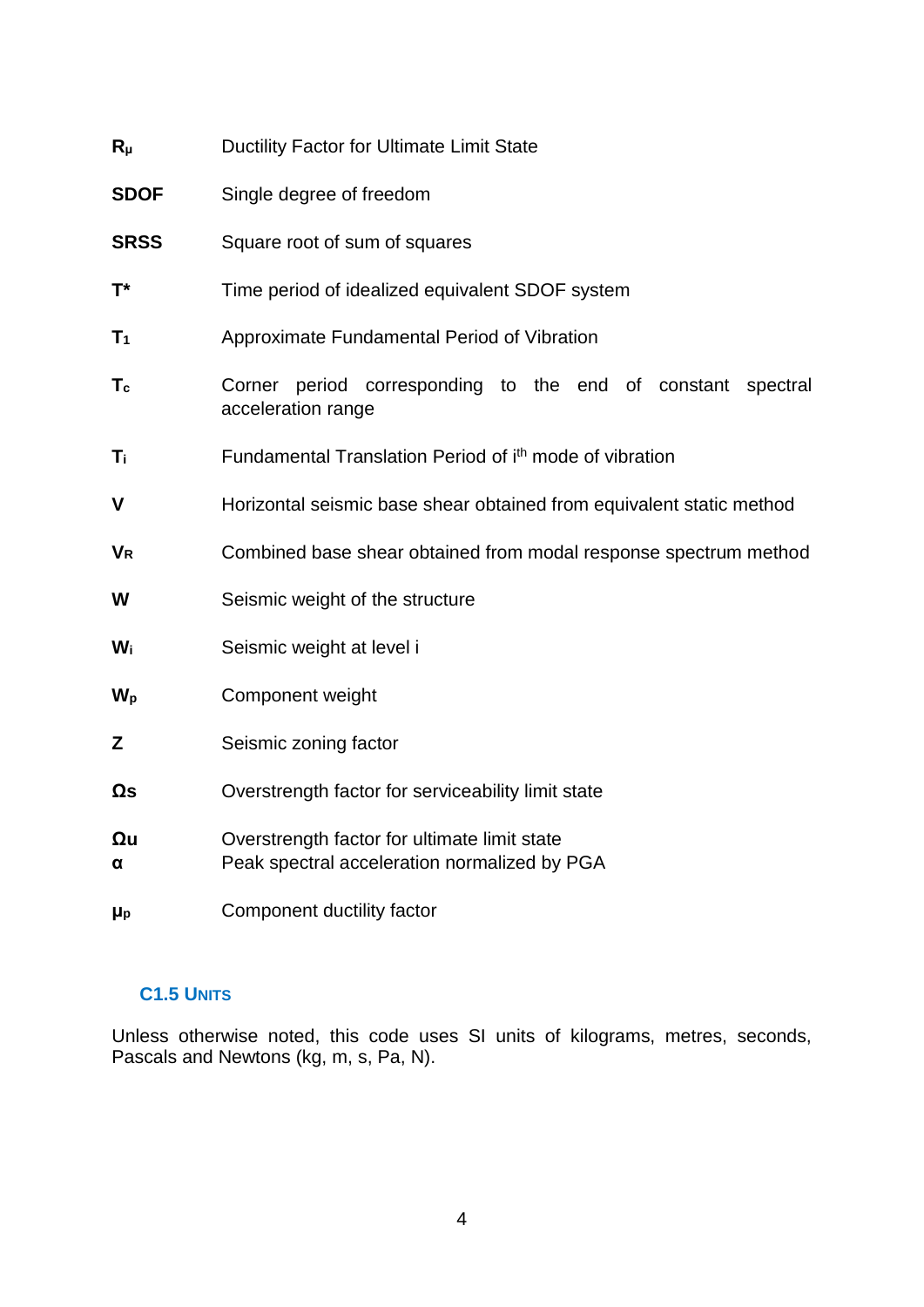| $R_{\mu}$            | Ductility Factor for Ultimate Limit State                                                    |
|----------------------|----------------------------------------------------------------------------------------------|
| <b>SDOF</b>          | Single degree of freedom                                                                     |
| <b>SRSS</b>          | Square root of sum of squares                                                                |
| $T^*$                | Time period of idealized equivalent SDOF system                                              |
| $T_1$                | Approximate Fundamental Period of Vibration                                                  |
| $T_c$                | Corner period corresponding to the end of constant spectral<br>acceleration range            |
| Ti                   | Fundamental Translation Period of ith mode of vibration                                      |
| $\mathbf v$          | Horizontal seismic base shear obtained from equivalent static method                         |
| <b>V<sub>R</sub></b> | Combined base shear obtained from modal response spectrum method                             |
| W                    | Seismic weight of the structure                                                              |
| Wi                   | Seismic weight at level i                                                                    |
| $W_{p}$              | Component weight                                                                             |
| Z                    | Seismic zoning factor                                                                        |
| $\Omega$ s           | Overstrength factor for serviceability limit state                                           |
| $\Omega$ u<br>α      | Overstrength factor for ultimate limit state<br>Peak spectral acceleration normalized by PGA |
| μp                   | Component ductility factor                                                                   |

# <span id="page-11-0"></span>**C1.5 UNITS**

Unless otherwise noted, this code uses SI units of kilograms, metres, seconds, Pascals and Newtons (kg, m, s, Pa, N).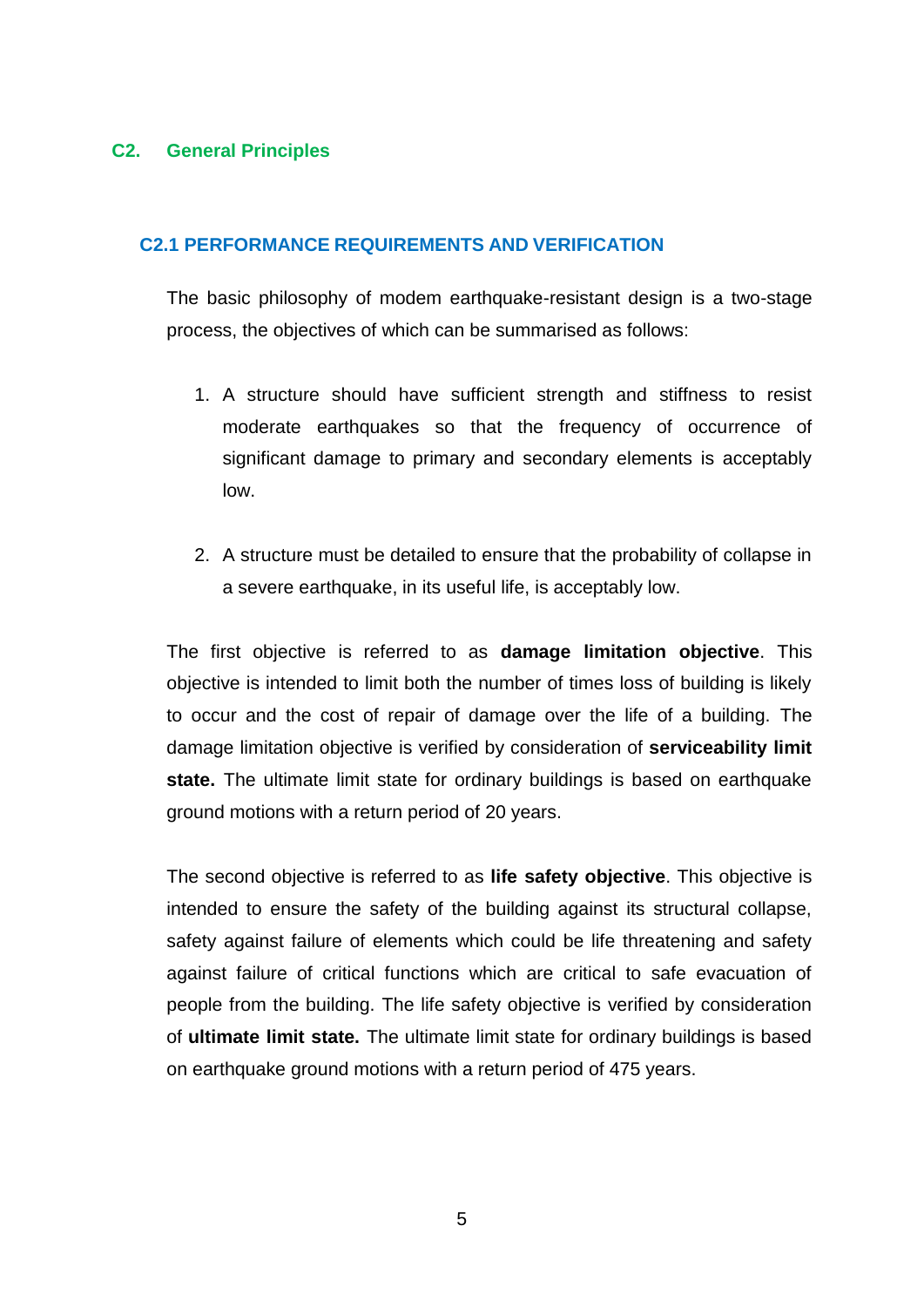# <span id="page-12-0"></span>**C2. General Principles**

## <span id="page-12-1"></span>**C2.1 PERFORMANCE REQUIREMENTS AND VERIFICATION**

The basic philosophy of modem earthquake-resistant design is a two-stage process, the objectives of which can be summarised as follows:

- 1. A structure should have sufficient strength and stiffness to resist moderate earthquakes so that the frequency of occurrence of significant damage to primary and secondary elements is acceptably low.
- 2. A structure must be detailed to ensure that the probability of collapse in a severe earthquake, in its useful life, is acceptably low.

The first objective is referred to as **damage limitation objective**. This objective is intended to limit both the number of times loss of building is likely to occur and the cost of repair of damage over the life of a building. The damage limitation objective is verified by consideration of **serviceability limit state.** The ultimate limit state for ordinary buildings is based on earthquake ground motions with a return period of 20 years.

The second objective is referred to as **life safety objective**. This objective is intended to ensure the safety of the building against its structural collapse, safety against failure of elements which could be life threatening and safety against failure of critical functions which are critical to safe evacuation of people from the building. The life safety objective is verified by consideration of **ultimate limit state.** The ultimate limit state for ordinary buildings is based on earthquake ground motions with a return period of 475 years.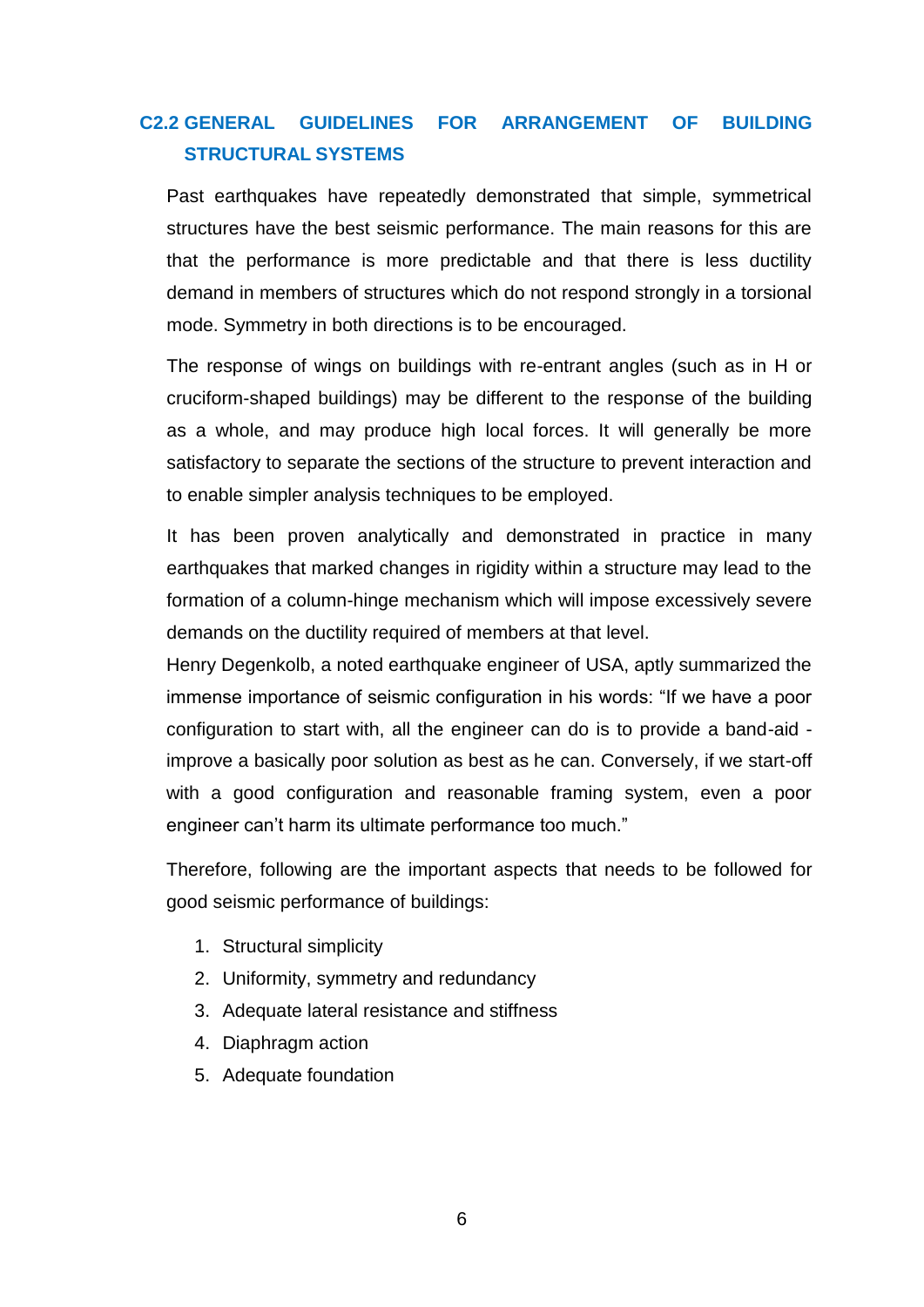# <span id="page-13-0"></span>**C2.2 GENERAL GUIDELINES FOR ARRANGEMENT OF BUILDING STRUCTURAL SYSTEMS**

Past earthquakes have repeatedly demonstrated that simple, symmetrical structures have the best seismic performance. The main reasons for this are that the performance is more predictable and that there is less ductility demand in members of structures which do not respond strongly in a torsional mode. Symmetry in both directions is to be encouraged.

The response of wings on buildings with re-entrant angles (such as in H or cruciform-shaped buildings) may be different to the response of the building as a whole, and may produce high local forces. It will generally be more satisfactory to separate the sections of the structure to prevent interaction and to enable simpler analysis techniques to be employed.

It has been proven analytically and demonstrated in practice in many earthquakes that marked changes in rigidity within a structure may lead to the formation of a column-hinge mechanism which will impose excessively severe demands on the ductility required of members at that level.

Henry Degenkolb, a noted earthquake engineer of USA, aptly summarized the immense importance of seismic configuration in his words: "If we have a poor configuration to start with, all the engineer can do is to provide a band-aid improve a basically poor solution as best as he can. Conversely, if we start-off with a good configuration and reasonable framing system, even a poor engineer can't harm its ultimate performance too much."

Therefore, following are the important aspects that needs to be followed for good seismic performance of buildings:

- 1. Structural simplicity
- 2. Uniformity, symmetry and redundancy
- 3. Adequate lateral resistance and stiffness
- 4. Diaphragm action
- 5. Adequate foundation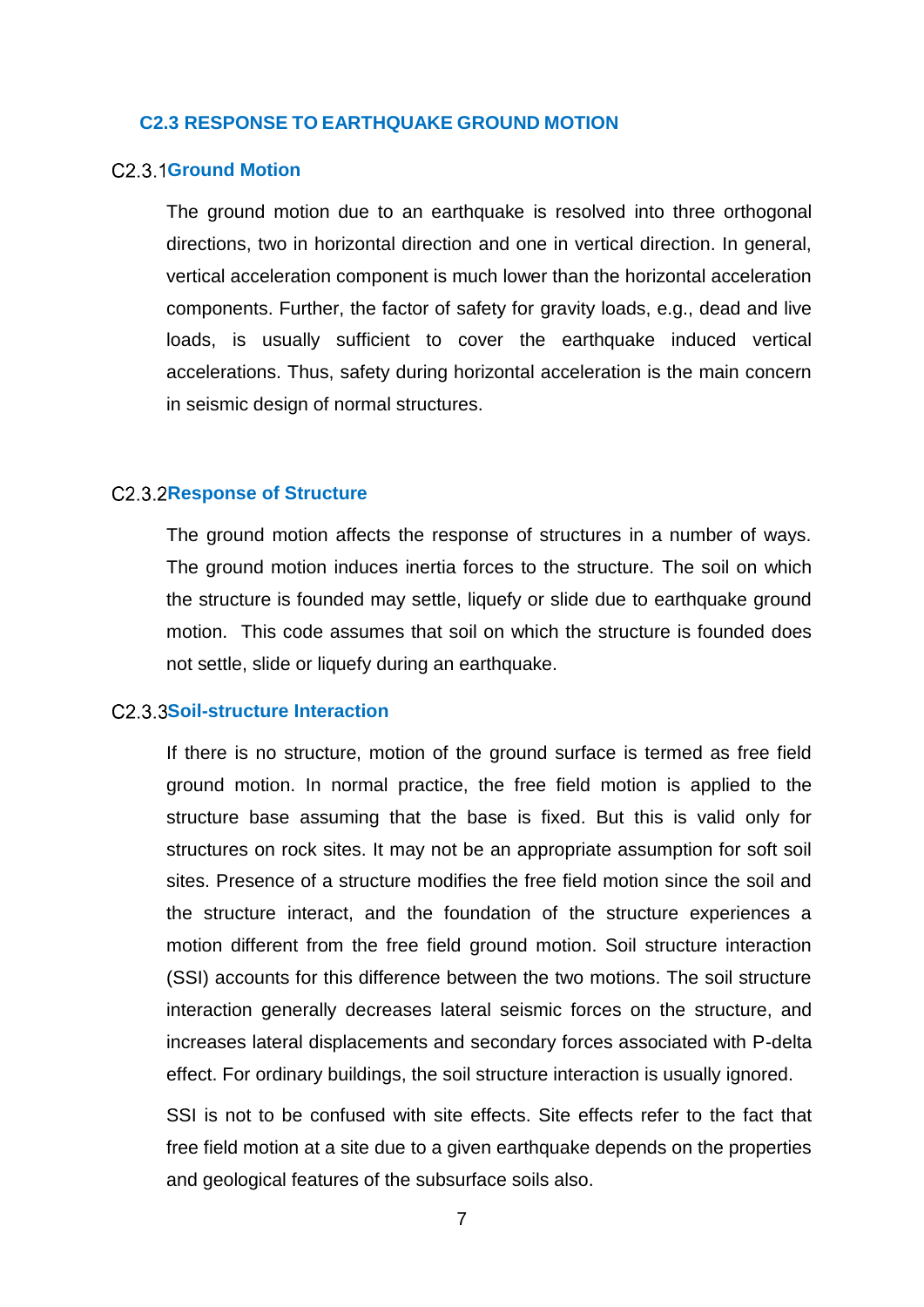### <span id="page-14-0"></span>**C2.3 RESPONSE TO EARTHQUAKE GROUND MOTION**

#### <span id="page-14-1"></span>C<sub>2</sub> 3 1 Ground Motion

The ground motion due to an earthquake is resolved into three orthogonal directions, two in horizontal direction and one in vertical direction. In general, vertical acceleration component is much lower than the horizontal acceleration components. Further, the factor of safety for gravity loads, e.g., dead and live loads, is usually sufficient to cover the earthquake induced vertical accelerations. Thus, safety during horizontal acceleration is the main concern in seismic design of normal structures.

#### <span id="page-14-2"></span>**C2.3.2Response of Structure**

The ground motion affects the response of structures in a number of ways. The ground motion induces inertia forces to the structure. The soil on which the structure is founded may settle, liquefy or slide due to earthquake ground motion. This code assumes that soil on which the structure is founded does not settle, slide or liquefy during an earthquake.

## <span id="page-14-3"></span>C<sub>2</sub> 3 3 Soil-structure Interaction

If there is no structure, motion of the ground surface is termed as free field ground motion. In normal practice, the free field motion is applied to the structure base assuming that the base is fixed. But this is valid only for structures on rock sites. It may not be an appropriate assumption for soft soil sites. Presence of a structure modifies the free field motion since the soil and the structure interact, and the foundation of the structure experiences a motion different from the free field ground motion. Soil structure interaction (SSI) accounts for this difference between the two motions. The soil structure interaction generally decreases lateral seismic forces on the structure, and increases lateral displacements and secondary forces associated with P-delta effect. For ordinary buildings, the soil structure interaction is usually ignored.

SSI is not to be confused with site effects. Site effects refer to the fact that free field motion at a site due to a given earthquake depends on the properties and geological features of the subsurface soils also.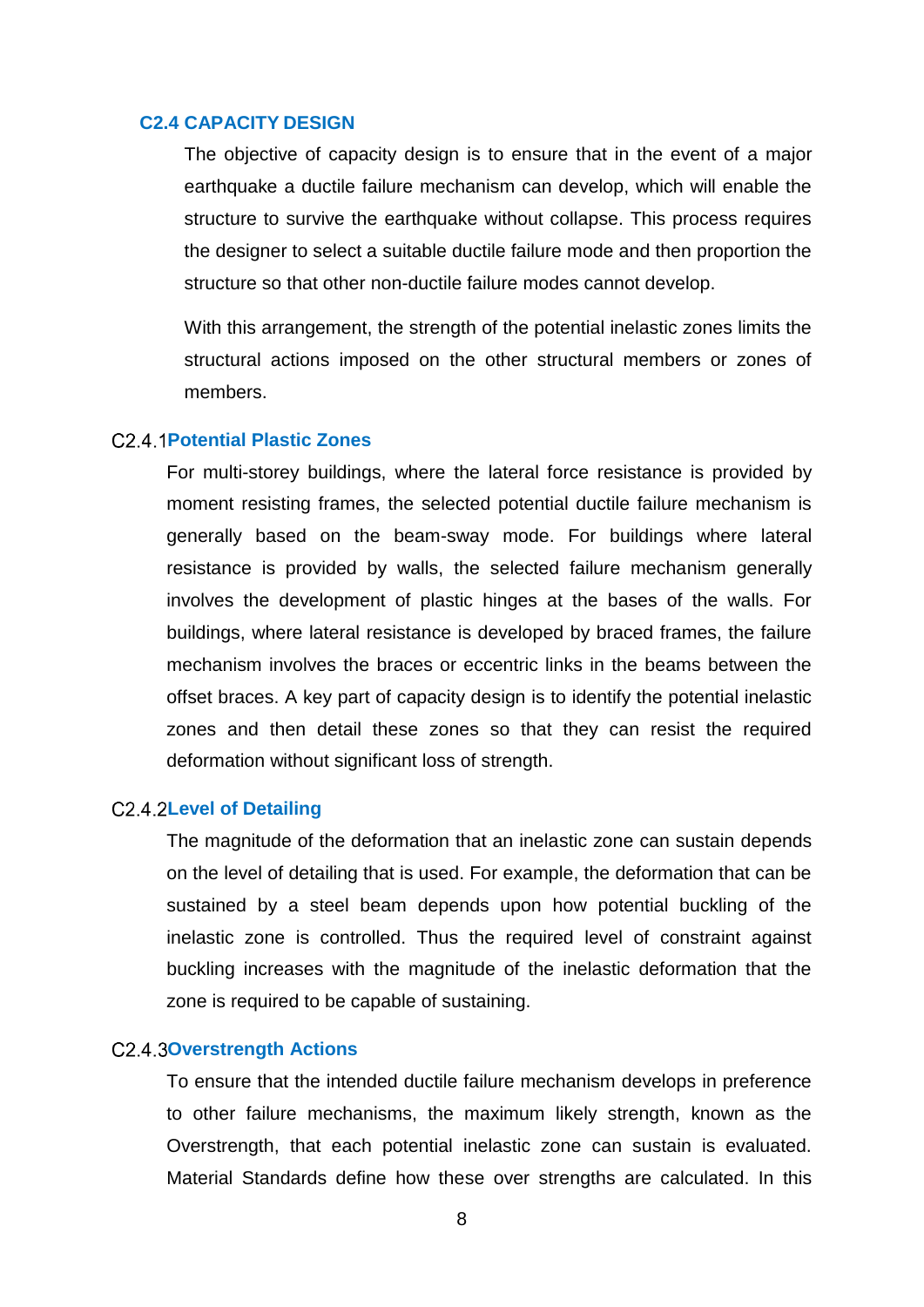#### <span id="page-15-0"></span>**C2.4 CAPACITY DESIGN**

The objective of capacity design is to ensure that in the event of a major earthquake a ductile failure mechanism can develop, which will enable the structure to survive the earthquake without collapse. This process requires the designer to select a suitable ductile failure mode and then proportion the structure so that other non-ductile failure modes cannot develop.

With this arrangement, the strength of the potential inelastic zones limits the structural actions imposed on the other structural members or zones of members.

#### <span id="page-15-1"></span>**Potential Plastic Zones**

For multi-storey buildings, where the lateral force resistance is provided by moment resisting frames, the selected potential ductile failure mechanism is generally based on the beam-sway mode. For buildings where lateral resistance is provided by walls, the selected failure mechanism generally involves the development of plastic hinges at the bases of the walls. For buildings, where lateral resistance is developed by braced frames, the failure mechanism involves the braces or eccentric links in the beams between the offset braces. A key part of capacity design is to identify the potential inelastic zones and then detail these zones so that they can resist the required deformation without significant loss of strength.

#### <span id="page-15-2"></span>C2.4.2Level of Detailing

The magnitude of the deformation that an inelastic zone can sustain depends on the level of detailing that is used. For example, the deformation that can be sustained by a steel beam depends upon how potential buckling of the inelastic zone is controlled. Thus the required level of constraint against buckling increases with the magnitude of the inelastic deformation that the zone is required to be capable of sustaining.

#### <span id="page-15-3"></span>**C2.4.30 verstrength Actions**

To ensure that the intended ductile failure mechanism develops in preference to other failure mechanisms, the maximum likely strength, known as the Overstrength, that each potential inelastic zone can sustain is evaluated. Material Standards define how these over strengths are calculated. In this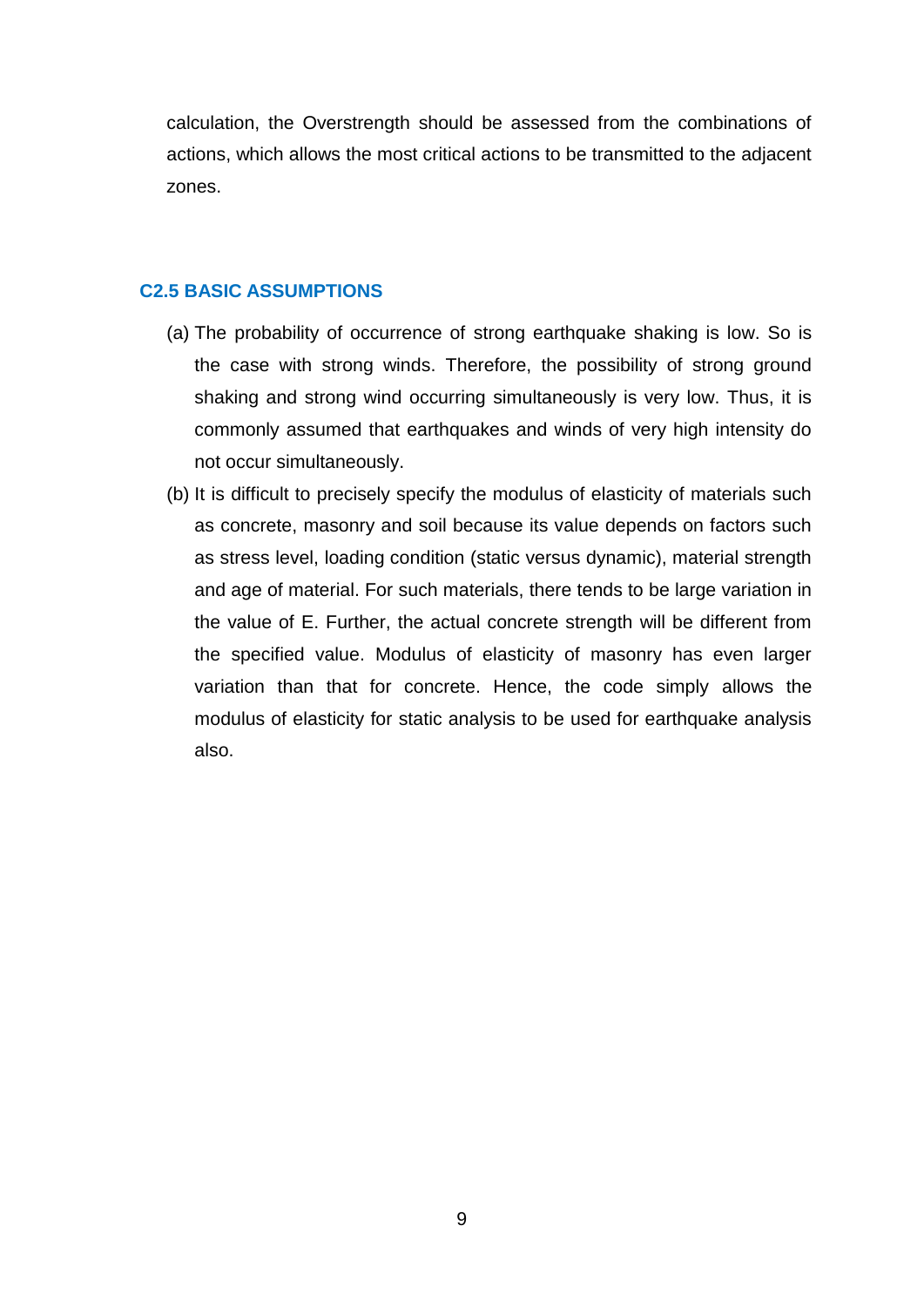calculation, the Overstrength should be assessed from the combinations of actions, which allows the most critical actions to be transmitted to the adjacent zones.

## <span id="page-16-0"></span>**C2.5 BASIC ASSUMPTIONS**

- (a) The probability of occurrence of strong earthquake shaking is low. So is the case with strong winds. Therefore, the possibility of strong ground shaking and strong wind occurring simultaneously is very low. Thus, it is commonly assumed that earthquakes and winds of very high intensity do not occur simultaneously.
- (b) It is difficult to precisely specify the modulus of elasticity of materials such as concrete, masonry and soil because its value depends on factors such as stress level, loading condition (static versus dynamic), material strength and age of material. For such materials, there tends to be large variation in the value of E. Further, the actual concrete strength will be different from the specified value. Modulus of elasticity of masonry has even larger variation than that for concrete. Hence, the code simply allows the modulus of elasticity for static analysis to be used for earthquake analysis also.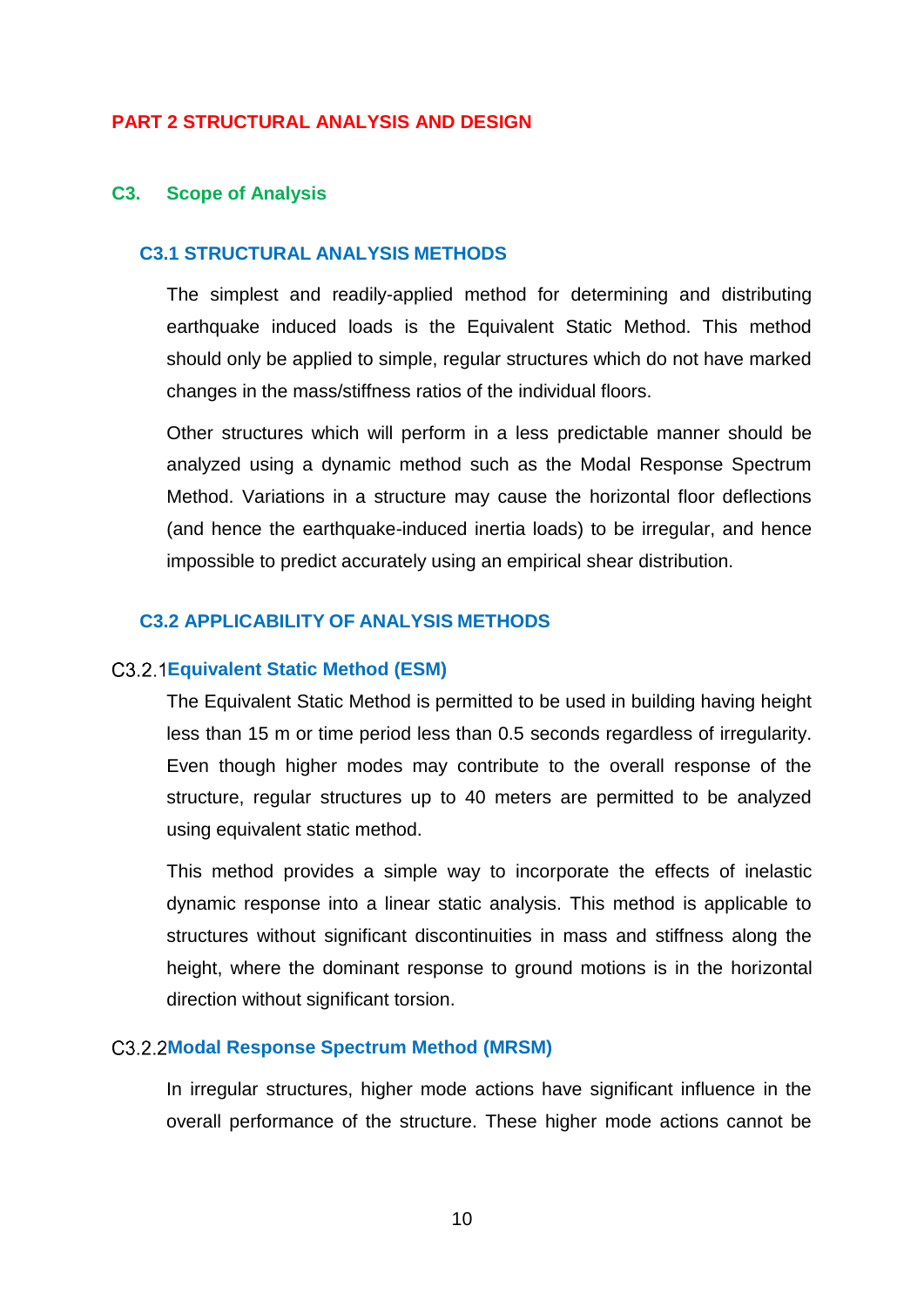## **PART 2 STRUCTURAL ANALYSIS AND DESIGN**

#### <span id="page-17-0"></span>**C3. Scope of Analysis**

#### <span id="page-17-1"></span>**C3.1 STRUCTURAL ANALYSIS METHODS**

The simplest and readily-applied method for determining and distributing earthquake induced loads is the Equivalent Static Method. This method should only be applied to simple, regular structures which do not have marked changes in the mass/stiffness ratios of the individual floors.

Other structures which will perform in a less predictable manner should be analyzed using a dynamic method such as the Modal Response Spectrum Method. Variations in a structure may cause the horizontal floor deflections (and hence the earthquake-induced inertia loads) to be irregular, and hence impossible to predict accurately using an empirical shear distribution.

# <span id="page-17-2"></span>**C3.2 APPLICABILITY OF ANALYSIS METHODS**

#### <span id="page-17-3"></span>**Equivalent Static Method (ESM)**

The Equivalent Static Method is permitted to be used in building having height less than 15 m or time period less than 0.5 seconds regardless of irregularity. Even though higher modes may contribute to the overall response of the structure, regular structures up to 40 meters are permitted to be analyzed using equivalent static method.

This method provides a simple way to incorporate the effects of inelastic dynamic response into a linear static analysis. This method is applicable to structures without significant discontinuities in mass and stiffness along the height, where the dominant response to ground motions is in the horizontal direction without significant torsion.

### <span id="page-17-4"></span>**Modal Response Spectrum Method (MRSM)**

In irregular structures, higher mode actions have significant influence in the overall performance of the structure. These higher mode actions cannot be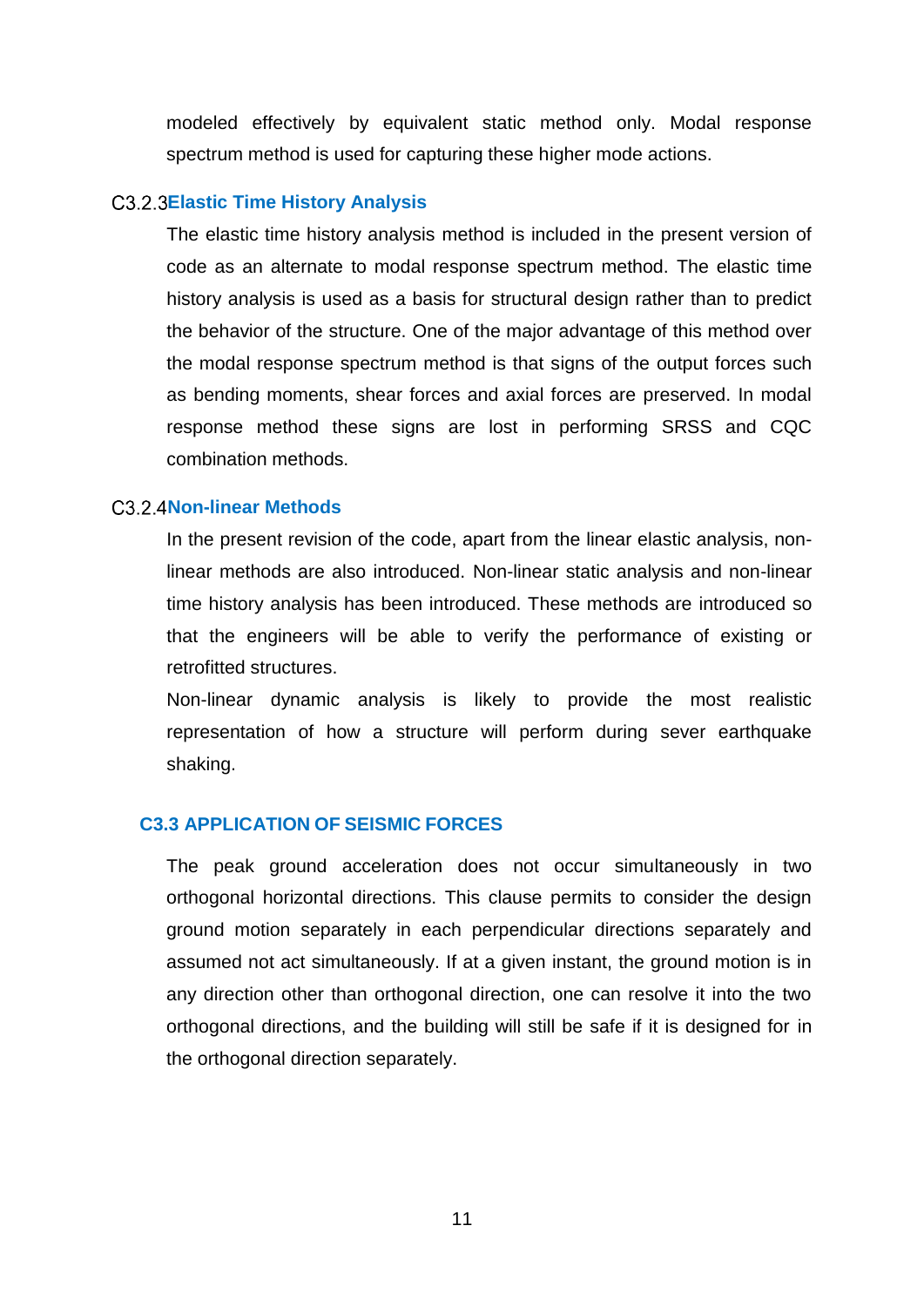modeled effectively by equivalent static method only. Modal response spectrum method is used for capturing these higher mode actions.

#### <span id="page-18-0"></span>**C3.2.3 Elastic Time History Analysis**

The elastic time history analysis method is included in the present version of code as an alternate to modal response spectrum method. The elastic time history analysis is used as a basis for structural design rather than to predict the behavior of the structure. One of the major advantage of this method over the modal response spectrum method is that signs of the output forces such as bending moments, shear forces and axial forces are preserved. In modal response method these signs are lost in performing SRSS and CQC combination methods.

## <span id="page-18-1"></span>C<sub>3</sub>.2.4 Non-linear Methods

In the present revision of the code, apart from the linear elastic analysis, nonlinear methods are also introduced. Non-linear static analysis and non-linear time history analysis has been introduced. These methods are introduced so that the engineers will be able to verify the performance of existing or retrofitted structures.

Non-linear dynamic analysis is likely to provide the most realistic representation of how a structure will perform during sever earthquake shaking.

## <span id="page-18-2"></span>**C3.3 APPLICATION OF SEISMIC FORCES**

The peak ground acceleration does not occur simultaneously in two orthogonal horizontal directions. This clause permits to consider the design ground motion separately in each perpendicular directions separately and assumed not act simultaneously. If at a given instant, the ground motion is in any direction other than orthogonal direction, one can resolve it into the two orthogonal directions, and the building will still be safe if it is designed for in the orthogonal direction separately.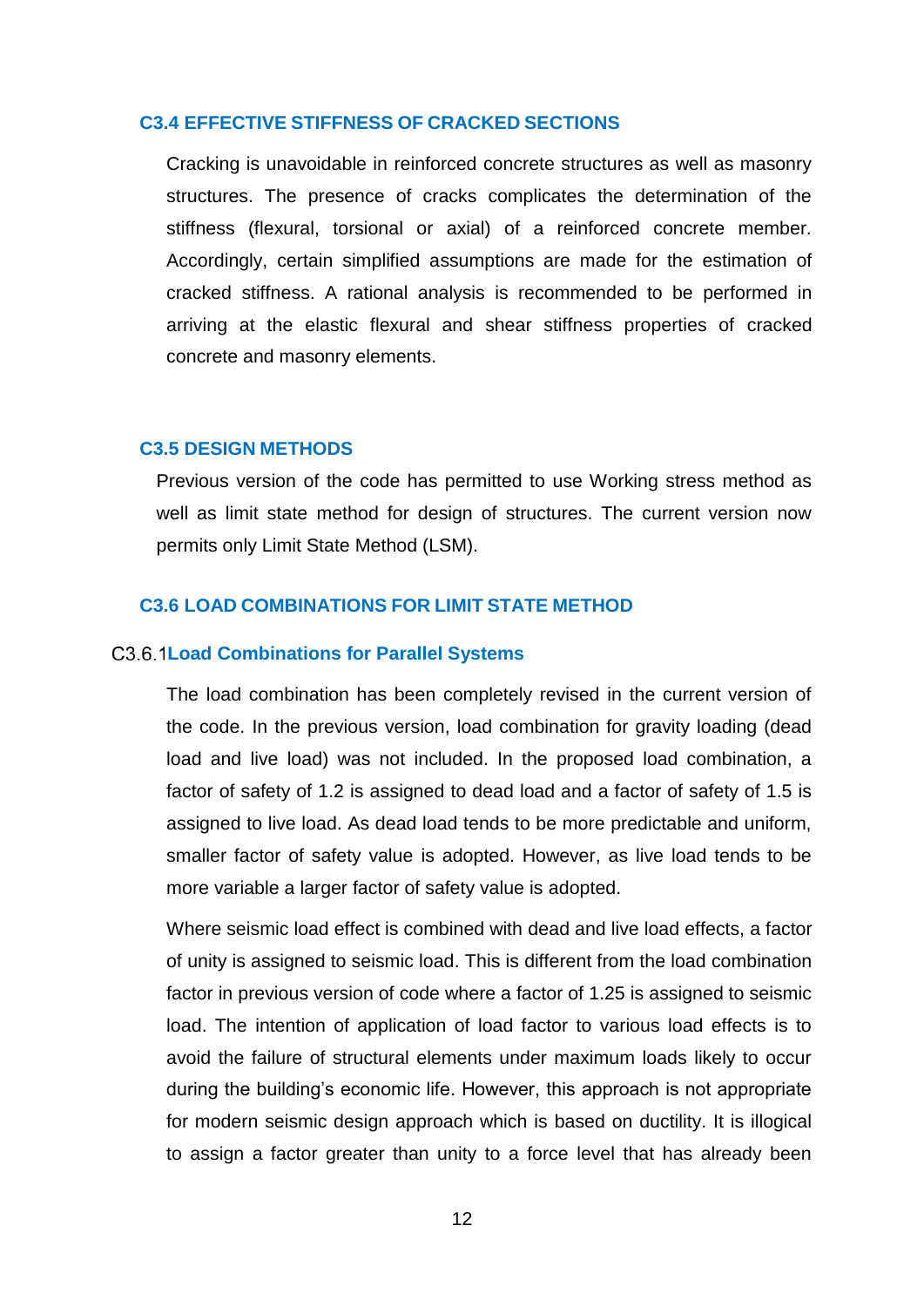### <span id="page-19-0"></span>**C3.4 EFFECTIVE STIFFNESS OF CRACKED SECTIONS**

Cracking is unavoidable in reinforced concrete structures as well as masonry structures. The presence of cracks complicates the determination of the stiffness (flexural, torsional or axial) of a reinforced concrete member. Accordingly, certain simplified assumptions are made for the estimation of cracked stiffness. A rational analysis is recommended to be performed in arriving at the elastic flexural and shear stiffness properties of cracked concrete and masonry elements.

#### <span id="page-19-1"></span>**C3.5 DESIGN METHODS**

Previous version of the code has permitted to use Working stress method as well as limit state method for design of structures. The current version now permits only Limit State Method (LSM).

# <span id="page-19-2"></span>**C3.6 LOAD COMBINATIONS FOR LIMIT STATE METHOD**

#### <span id="page-19-3"></span>**Load Combinations for Parallel Systems**

The load combination has been completely revised in the current version of the code. In the previous version, load combination for gravity loading (dead load and live load) was not included. In the proposed load combination, a factor of safety of 1.2 is assigned to dead load and a factor of safety of 1.5 is assigned to live load. As dead load tends to be more predictable and uniform, smaller factor of safety value is adopted. However, as live load tends to be more variable a larger factor of safety value is adopted.

Where seismic load effect is combined with dead and live load effects, a factor of unity is assigned to seismic load. This is different from the load combination factor in previous version of code where a factor of 1.25 is assigned to seismic load. The intention of application of load factor to various load effects is to avoid the failure of structural elements under maximum loads likely to occur during the building's economic life. However, this approach is not appropriate for modern seismic design approach which is based on ductility. It is illogical to assign a factor greater than unity to a force level that has already been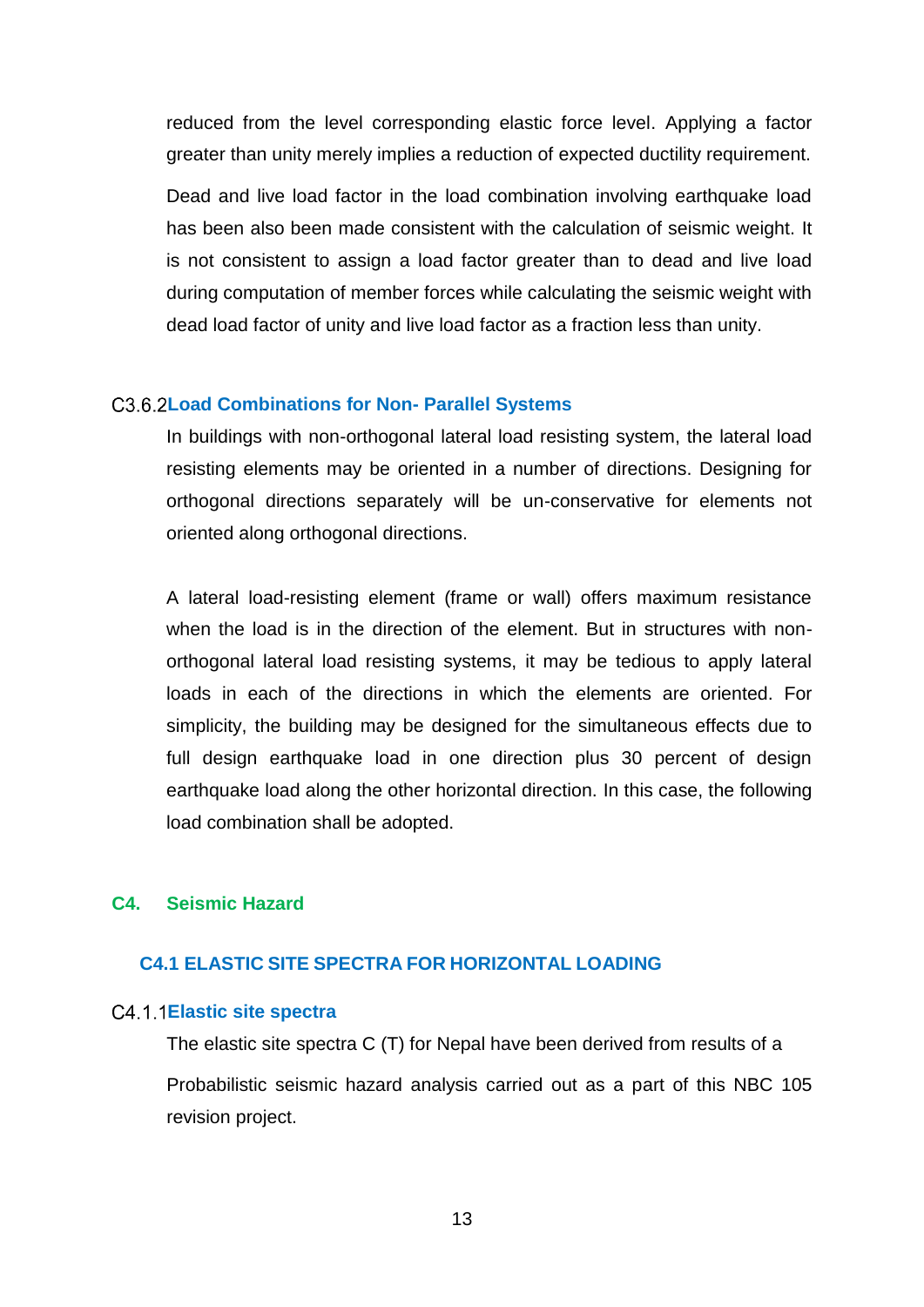reduced from the level corresponding elastic force level. Applying a factor greater than unity merely implies a reduction of expected ductility requirement.

Dead and live load factor in the load combination involving earthquake load has been also been made consistent with the calculation of seismic weight. It is not consistent to assign a load factor greater than to dead and live load during computation of member forces while calculating the seismic weight with dead load factor of unity and live load factor as a fraction less than unity.

#### <span id="page-20-0"></span>**Load Combinations for Non- Parallel Systems**

In buildings with non-orthogonal lateral load resisting system, the lateral load resisting elements may be oriented in a number of directions. Designing for orthogonal directions separately will be un-conservative for elements not oriented along orthogonal directions.

A lateral load-resisting element (frame or wall) offers maximum resistance when the load is in the direction of the element. But in structures with nonorthogonal lateral load resisting systems, it may be tedious to apply lateral loads in each of the directions in which the elements are oriented. For simplicity, the building may be designed for the simultaneous effects due to full design earthquake load in one direction plus 30 percent of design earthquake load along the other horizontal direction. In this case, the following load combination shall be adopted.

# <span id="page-20-1"></span>**C4. Seismic Hazard**

# <span id="page-20-2"></span>**C4.1 ELASTIC SITE SPECTRA FOR HORIZONTAL LOADING**

#### <span id="page-20-3"></span>**Elastic site spectra**

The elastic site spectra C (T) for Nepal have been derived from results of a Probabilistic seismic hazard analysis carried out as a part of this NBC 105 revision project.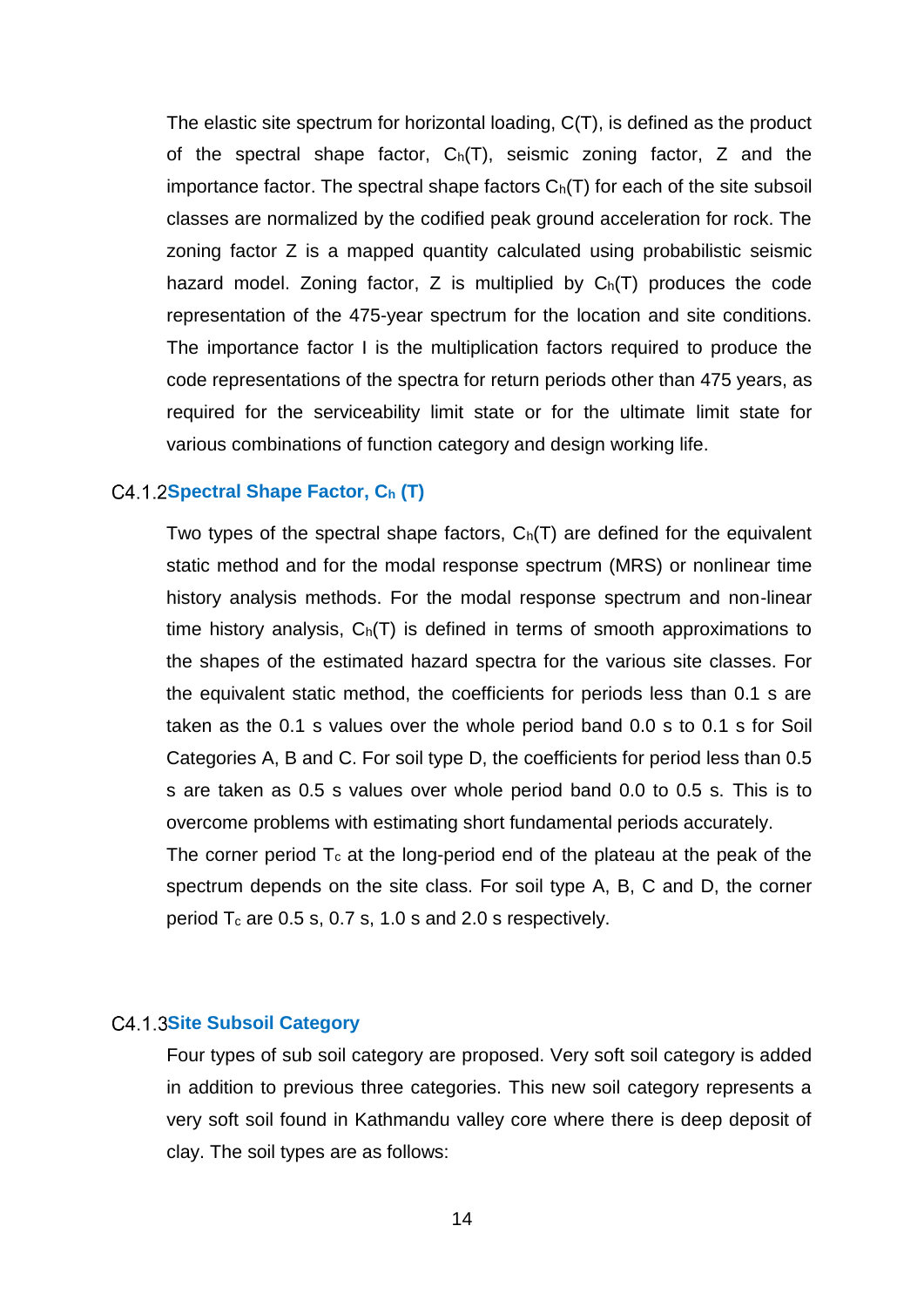The elastic site spectrum for horizontal loading, C(T), is defined as the product of the spectral shape factor, Ch(T), seismic zoning factor, Z and the importance factor. The spectral shape factors  $C_h(T)$  for each of the site subsoil classes are normalized by the codified peak ground acceleration for rock. The zoning factor Z is a mapped quantity calculated using probabilistic seismic hazard model. Zoning factor,  $Z$  is multiplied by  $C_h(T)$  produces the code representation of the 475-year spectrum for the location and site conditions. The importance factor I is the multiplication factors required to produce the code representations of the spectra for return periods other than 475 years, as required for the serviceability limit state or for the ultimate limit state for various combinations of function category and design working life.

### <span id="page-21-0"></span>**Spectral Shape Factor, C<sup>h</sup> (T)**

Two types of the spectral shape factors,  $C_h(T)$  are defined for the equivalent static method and for the modal response spectrum (MRS) or nonlinear time history analysis methods. For the modal response spectrum and non-linear time history analysis,  $C_h(T)$  is defined in terms of smooth approximations to the shapes of the estimated hazard spectra for the various site classes. For the equivalent static method, the coefficients for periods less than 0.1 s are taken as the 0.1 s values over the whole period band 0.0 s to 0.1 s for Soil Categories A, B and C. For soil type D, the coefficients for period less than 0.5 s are taken as 0.5 s values over whole period band 0.0 to 0.5 s. This is to overcome problems with estimating short fundamental periods accurately.

The corner period  $T_c$  at the long-period end of the plateau at the peak of the spectrum depends on the site class. For soil type A, B, C and D, the corner period  $T_c$  are 0.5 s, 0.7 s, 1.0 s and 2.0 s respectively.

#### <span id="page-21-1"></span>**C4.1.3Site Subsoil Category**

Four types of sub soil category are proposed. Very soft soil category is added in addition to previous three categories. This new soil category represents a very soft soil found in Kathmandu valley core where there is deep deposit of clay. The soil types are as follows: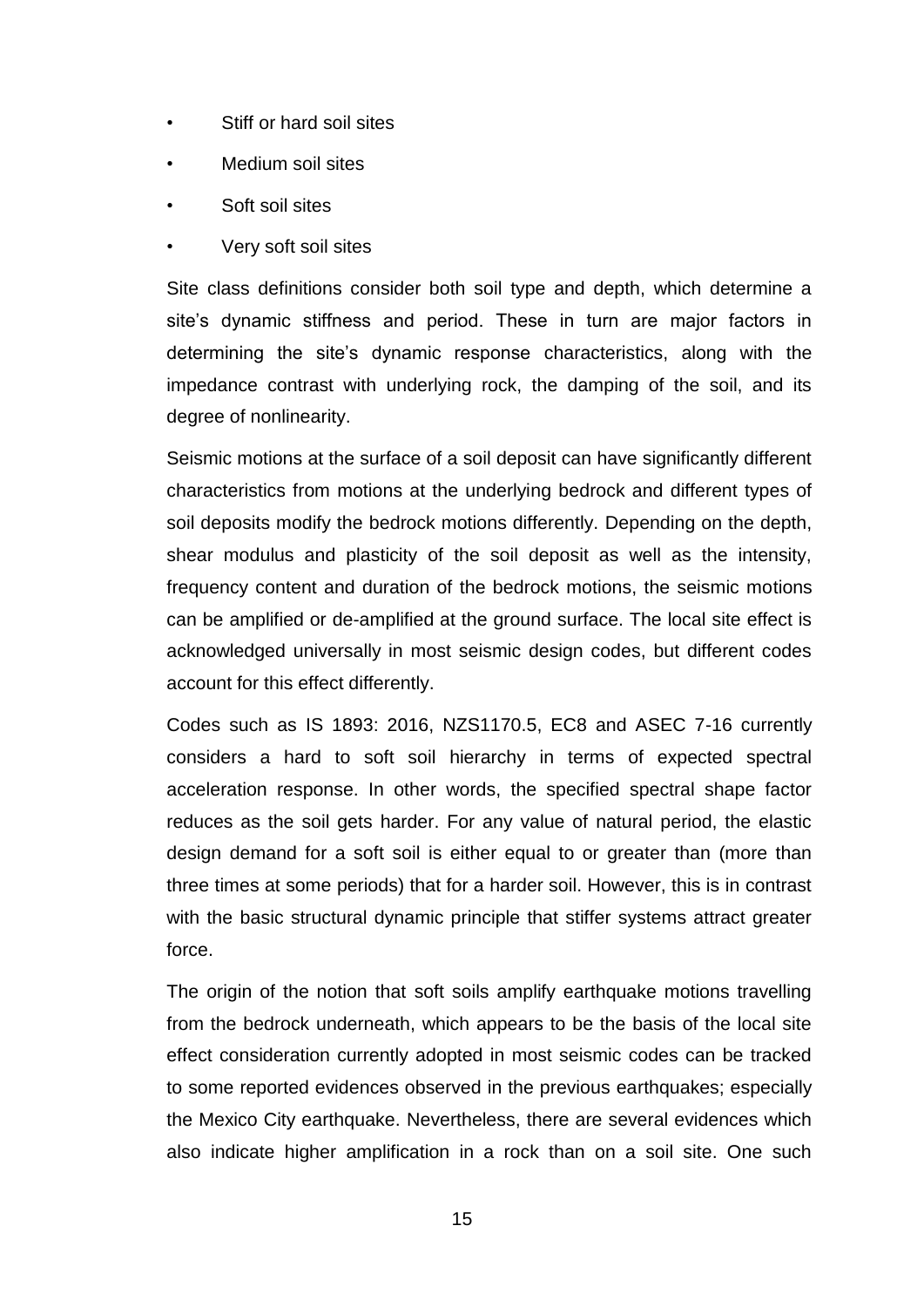- Stiff or hard soil sites
- Medium soil sites
- Soft soil sites
- Very soft soil sites

Site class definitions consider both soil type and depth, which determine a site's dynamic stiffness and period. These in turn are major factors in determining the site's dynamic response characteristics, along with the impedance contrast with underlying rock, the damping of the soil, and its degree of nonlinearity.

Seismic motions at the surface of a soil deposit can have significantly different characteristics from motions at the underlying bedrock and different types of soil deposits modify the bedrock motions differently. Depending on the depth, shear modulus and plasticity of the soil deposit as well as the intensity, frequency content and duration of the bedrock motions, the seismic motions can be amplified or de-amplified at the ground surface. The local site effect is acknowledged universally in most seismic design codes, but different codes account for this effect differently.

Codes such as IS 1893: 2016, NZS1170.5, EC8 and ASEC 7-16 currently considers a hard to soft soil hierarchy in terms of expected spectral acceleration response. In other words, the specified spectral shape factor reduces as the soil gets harder. For any value of natural period, the elastic design demand for a soft soil is either equal to or greater than (more than three times at some periods) that for a harder soil. However, this is in contrast with the basic structural dynamic principle that stiffer systems attract greater force.

The origin of the notion that soft soils amplify earthquake motions travelling from the bedrock underneath, which appears to be the basis of the local site effect consideration currently adopted in most seismic codes can be tracked to some reported evidences observed in the previous earthquakes; especially the Mexico City earthquake. Nevertheless, there are several evidences which also indicate higher amplification in a rock than on a soil site. One such

15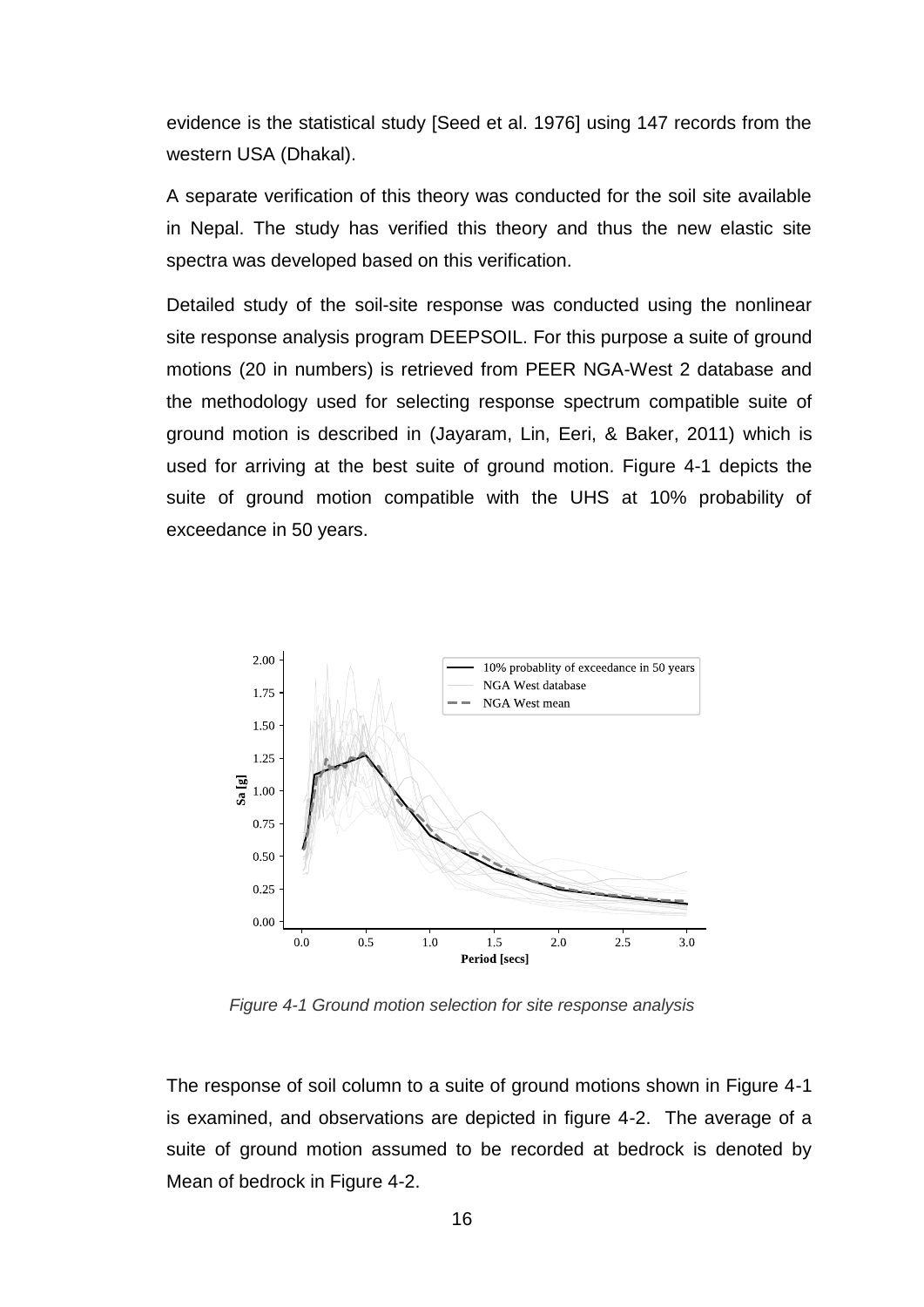evidence is the statistical study [Seed et al. 1976] using 147 records from the western USA (Dhakal).

A separate verification of this theory was conducted for the soil site available in Nepal. The study has verified this theory and thus the new elastic site spectra was developed based on this verification.

Detailed study of the soil-site response was conducted using the nonlinear site response analysis program DEEPSOIL. For this purpose a suite of ground motions (20 in numbers) is retrieved from PEER NGA-West 2 database and the methodology used for selecting response spectrum compatible suite of ground motion is described in (Jayaram, Lin, Eeri, & Baker, 2011) which is used for arriving at the best suite of ground motion. Figure 4-1 depicts the suite of ground motion compatible with the UHS at 10% probability of exceedance in 50 years.



*Figure 4-1 Ground motion selection for site response analysis*

The response of soil column to a suite of ground motions shown in Figure 4-1 is examined, and observations are depicted in figure 4-2. The average of a suite of ground motion assumed to be recorded at bedrock is denoted by Mean of bedrock in Figure 4-2.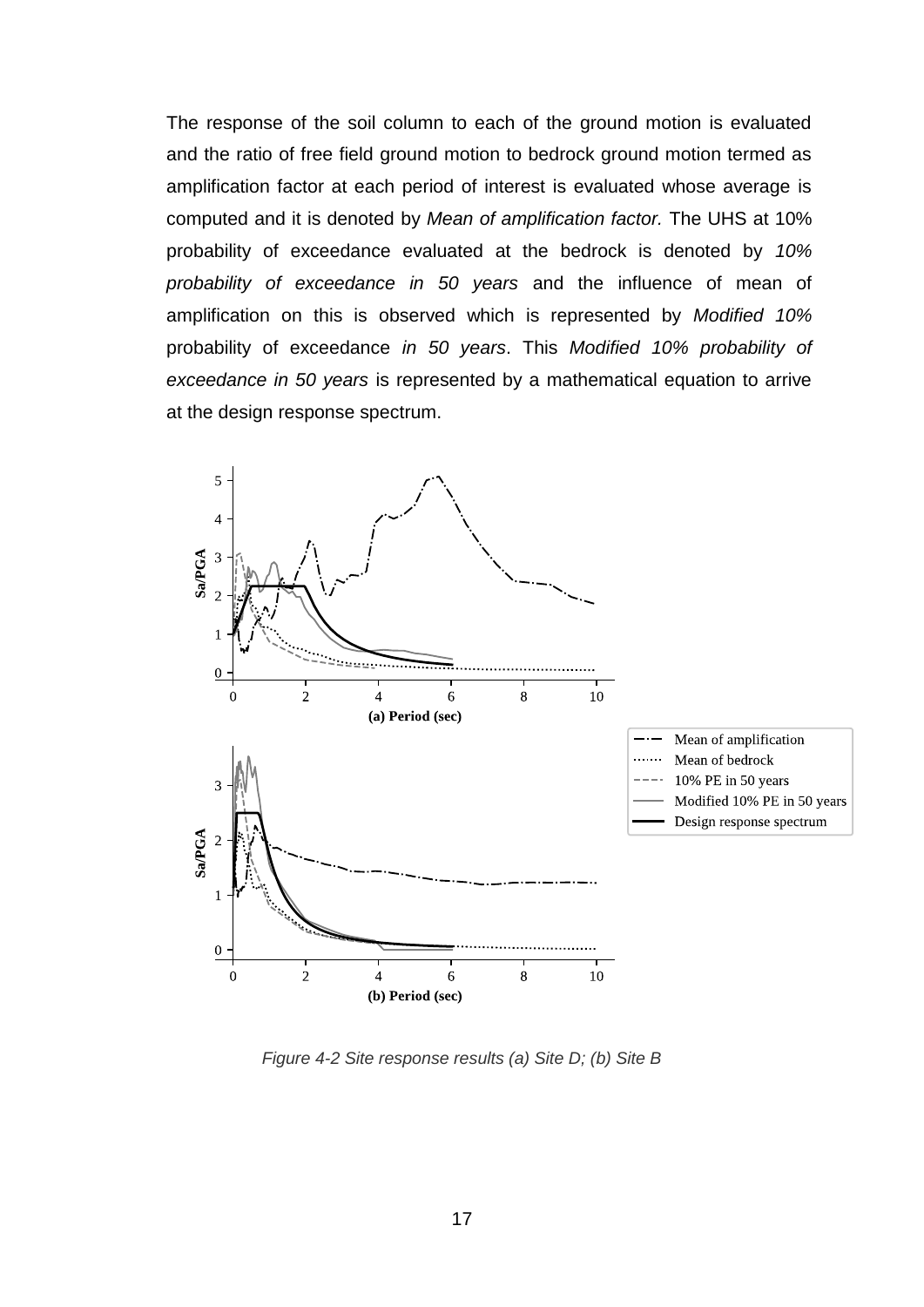The response of the soil column to each of the ground motion is evaluated and the ratio of free field ground motion to bedrock ground motion termed as amplification factor at each period of interest is evaluated whose average is computed and it is denoted by *Mean of amplification factor.* The UHS at 10% probability of exceedance evaluated at the bedrock is denoted by *10% probability of exceedance in 50 years* and the influence of mean of amplification on this is observed which is represented by *Modified 10%*  probability of exceedance *in 50 years*. This *Modified 10% probability of exceedance in 50 years* is represented by a mathematical equation to arrive at the design response spectrum.



*Figure 4-2 Site response results (a) Site D; (b) Site B*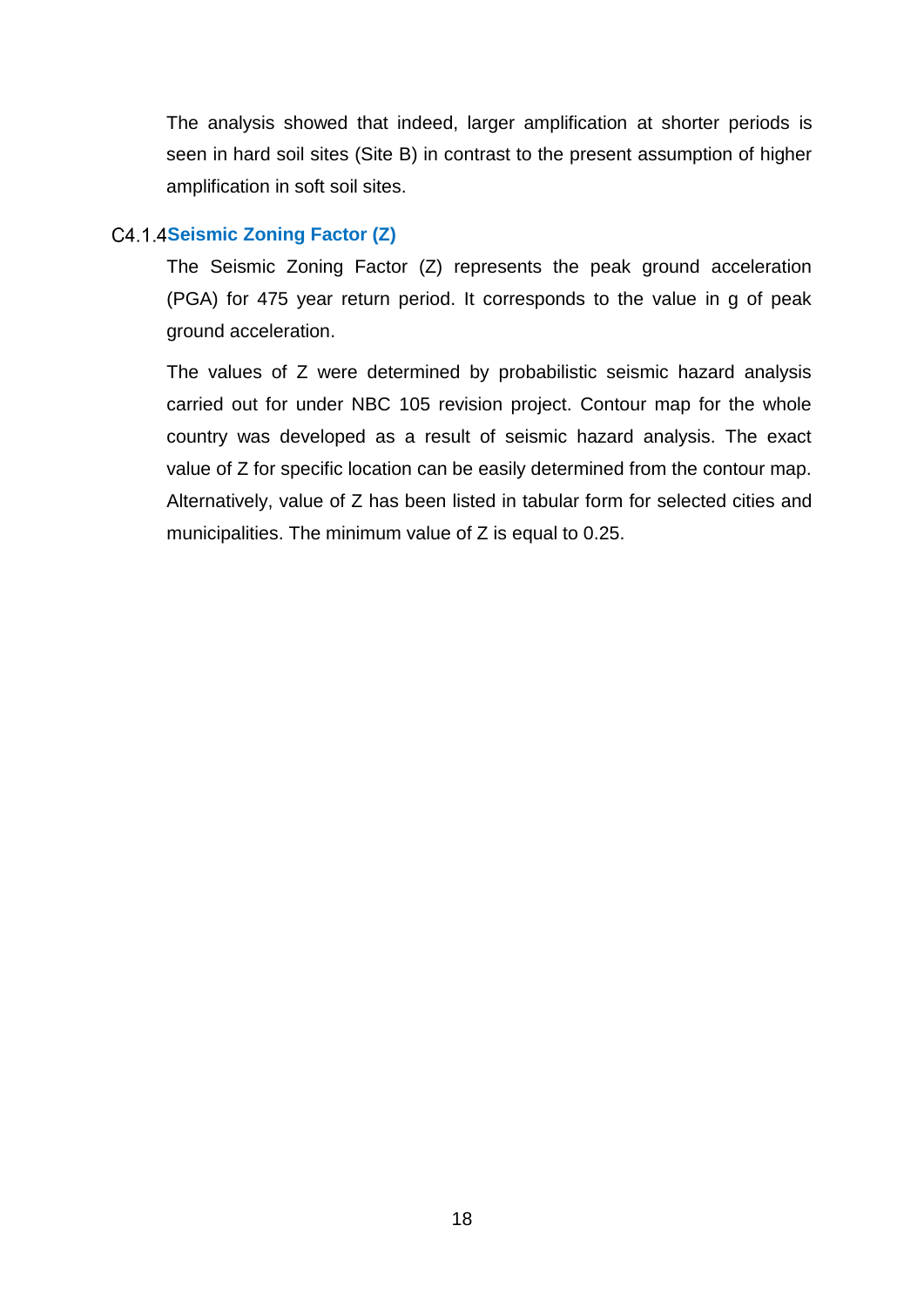The analysis showed that indeed, larger amplification at shorter periods is seen in hard soil sites (Site B) in contrast to the present assumption of higher amplification in soft soil sites.

# <span id="page-25-0"></span>**Seismic Zoning Factor (Z)**

The Seismic Zoning Factor (Z) represents the peak ground acceleration (PGA) for 475 year return period. It corresponds to the value in g of peak ground acceleration.

The values of Z were determined by probabilistic seismic hazard analysis carried out for under NBC 105 revision project. Contour map for the whole country was developed as a result of seismic hazard analysis. The exact value of Z for specific location can be easily determined from the contour map. Alternatively, value of Z has been listed in tabular form for selected cities and municipalities. The minimum value of Z is equal to 0.25.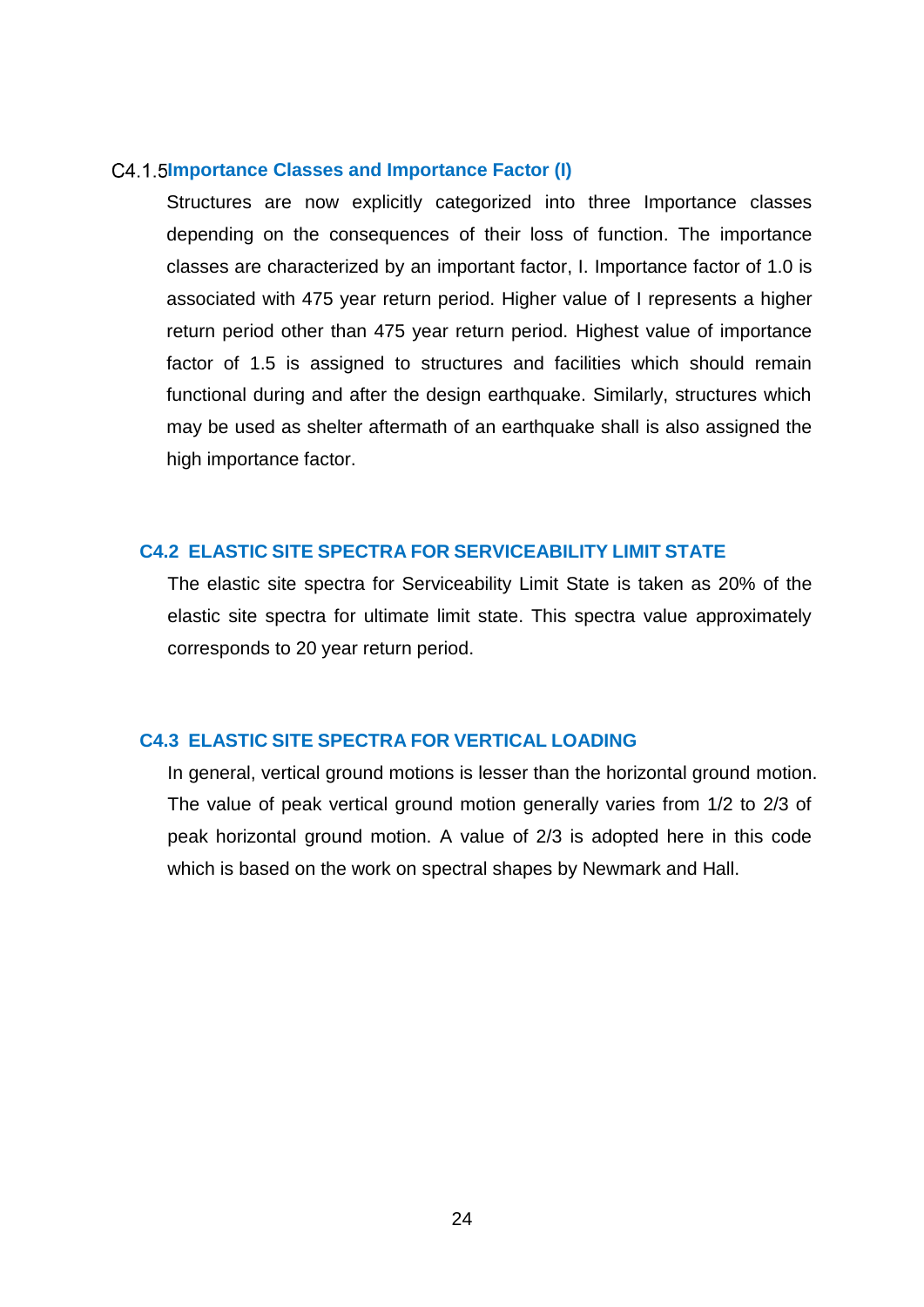#### <span id="page-26-0"></span>**Importance Classes and Importance Factor (I)**

Structures are now explicitly categorized into three Importance classes depending on the consequences of their loss of function. The importance classes are characterized by an important factor, I. Importance factor of 1.0 is associated with 475 year return period. Higher value of I represents a higher return period other than 475 year return period. Highest value of importance factor of 1.5 is assigned to structures and facilities which should remain functional during and after the design earthquake. Similarly, structures which may be used as shelter aftermath of an earthquake shall is also assigned the high importance factor.

# <span id="page-26-1"></span>**C4.2 ELASTIC SITE SPECTRA FOR SERVICEABILITY LIMIT STATE**

The elastic site spectra for Serviceability Limit State is taken as 20% of the elastic site spectra for ultimate limit state. This spectra value approximately corresponds to 20 year return period.

# <span id="page-26-2"></span>**C4.3 ELASTIC SITE SPECTRA FOR VERTICAL LOADING**

In general, vertical ground motions is lesser than the horizontal ground motion. The value of peak vertical ground motion generally varies from 1/2 to 2/3 of peak horizontal ground motion. A value of 2/3 is adopted here in this code which is based on the work on spectral shapes by Newmark and Hall.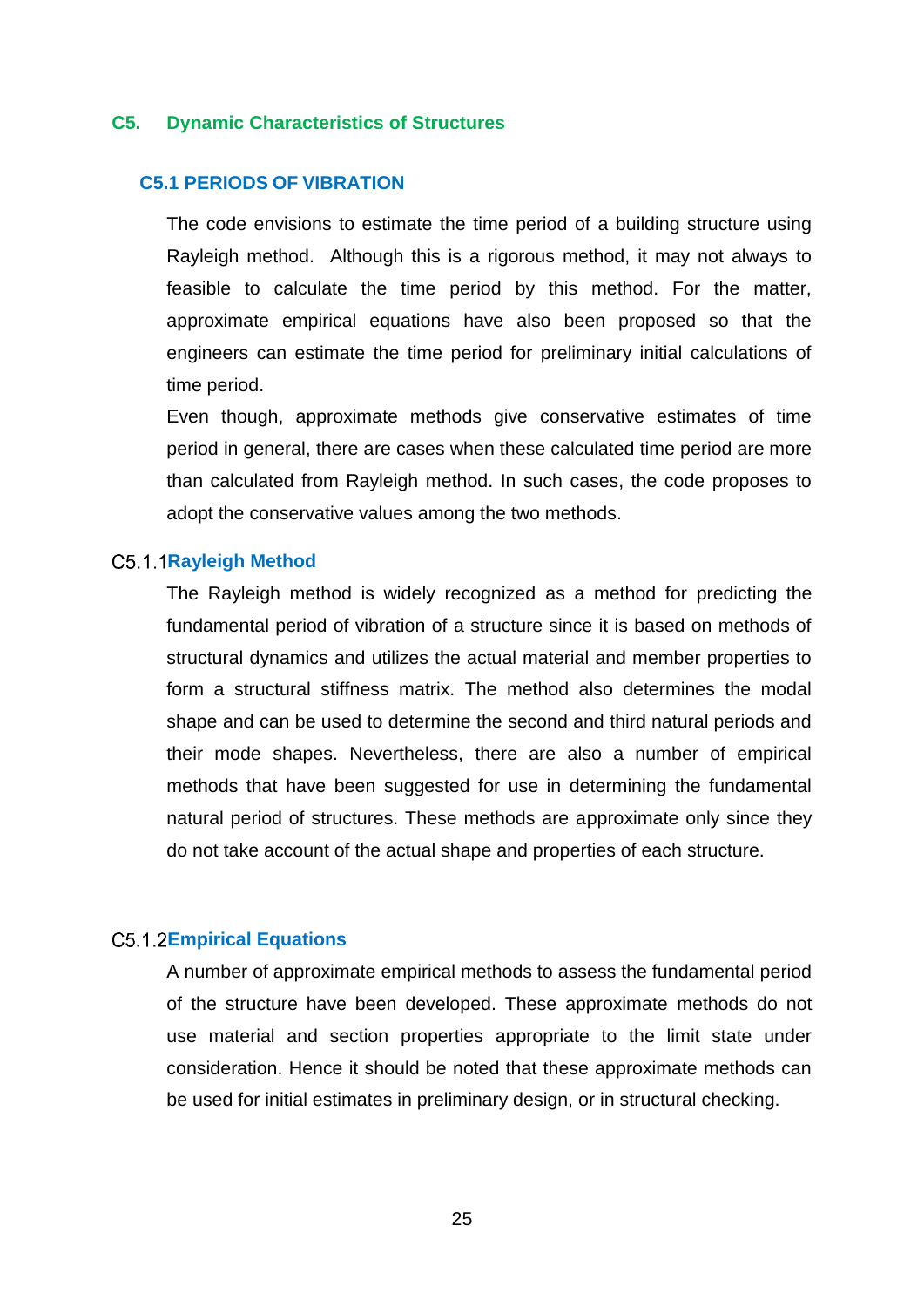#### <span id="page-27-0"></span>**C5. Dynamic Characteristics of Structures**

# <span id="page-27-1"></span>**C5.1 PERIODS OF VIBRATION**

The code envisions to estimate the time period of a building structure using Rayleigh method. Although this is a rigorous method, it may not always to feasible to calculate the time period by this method. For the matter, approximate empirical equations have also been proposed so that the engineers can estimate the time period for preliminary initial calculations of time period.

Even though, approximate methods give conservative estimates of time period in general, there are cases when these calculated time period are more than calculated from Rayleigh method. In such cases, the code proposes to adopt the conservative values among the two methods.

#### <span id="page-27-2"></span>**Rayleigh Method**

The Rayleigh method is widely recognized as a method for predicting the fundamental period of vibration of a structure since it is based on methods of structural dynamics and utilizes the actual material and member properties to form a structural stiffness matrix. The method also determines the modal shape and can be used to determine the second and third natural periods and their mode shapes. Nevertheless, there are also a number of empirical methods that have been suggested for use in determining the fundamental natural period of structures. These methods are approximate only since they do not take account of the actual shape and properties of each structure.

#### <span id="page-27-3"></span>**Empirical Equations**

A number of approximate empirical methods to assess the fundamental period of the structure have been developed. These approximate methods do not use material and section properties appropriate to the limit state under consideration. Hence it should be noted that these approximate methods can be used for initial estimates in preliminary design, or in structural checking.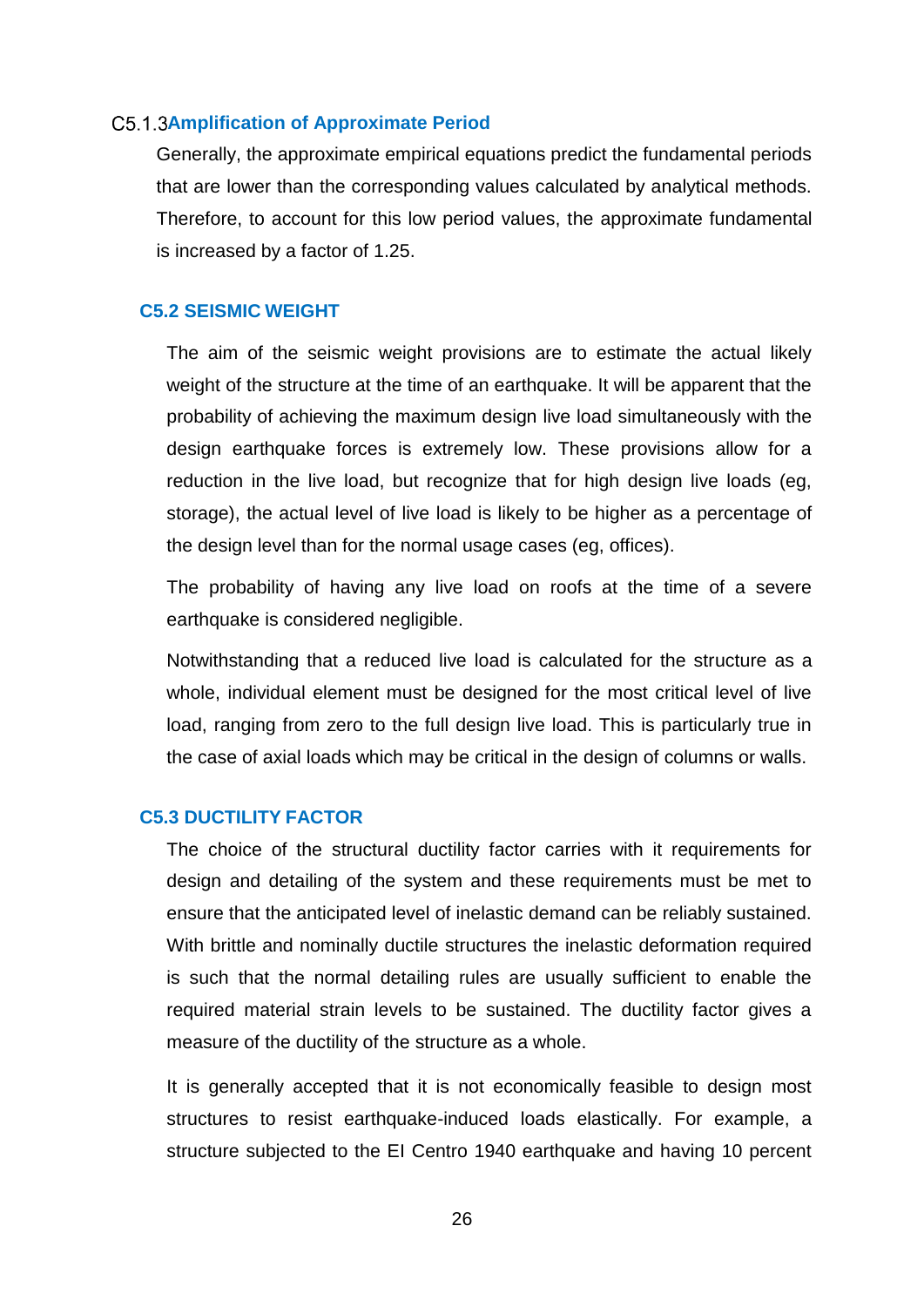#### <span id="page-28-0"></span>**Amplification of Approximate Period**

Generally, the approximate empirical equations predict the fundamental periods that are lower than the corresponding values calculated by analytical methods. Therefore, to account for this low period values, the approximate fundamental is increased by a factor of 1.25.

### <span id="page-28-1"></span>**C5.2 SEISMIC WEIGHT**

The aim of the seismic weight provisions are to estimate the actual likely weight of the structure at the time of an earthquake. It will be apparent that the probability of achieving the maximum design live load simultaneously with the design earthquake forces is extremely low. These provisions allow for a reduction in the live load, but recognize that for high design live loads (eg, storage), the actual level of live load is likely to be higher as a percentage of the design level than for the normal usage cases (eg, offices).

The probability of having any live load on roofs at the time of a severe earthquake is considered negligible.

Notwithstanding that a reduced live load is calculated for the structure as a whole, individual element must be designed for the most critical level of live load, ranging from zero to the full design live load. This is particularly true in the case of axial loads which may be critical in the design of columns or walls.

## <span id="page-28-2"></span>**C5.3 DUCTILITY FACTOR**

The choice of the structural ductility factor carries with it requirements for design and detailing of the system and these requirements must be met to ensure that the anticipated level of inelastic demand can be reliably sustained. With brittle and nominally ductile structures the inelastic deformation required is such that the normal detailing rules are usually sufficient to enable the required material strain levels to be sustained. The ductility factor gives a measure of the ductility of the structure as a whole.

It is generally accepted that it is not economically feasible to design most structures to resist earthquake-induced loads elastically. For example, a structure subjected to the EI Centro 1940 earthquake and having 10 percent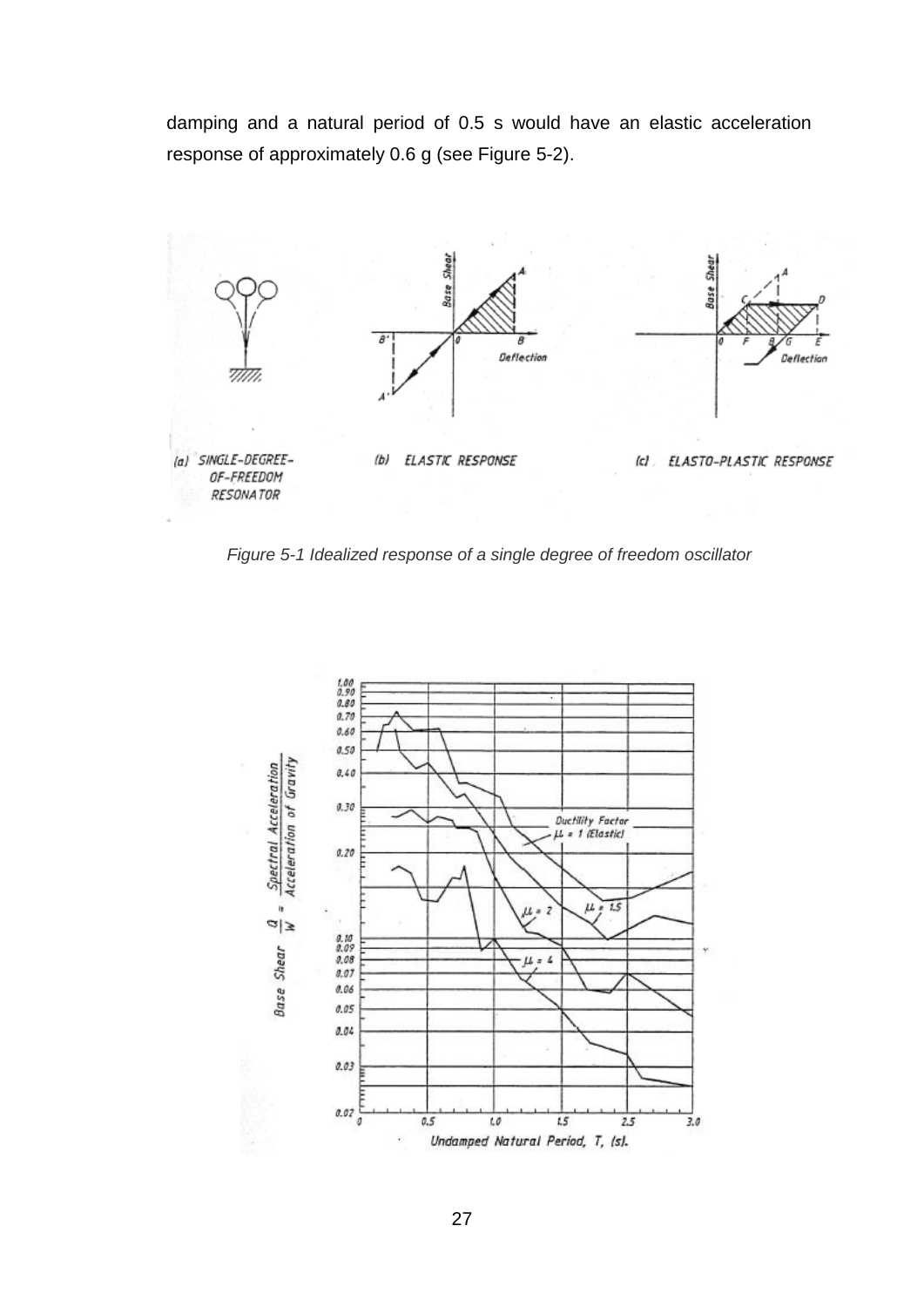damping and a natural period of 0.5 s would have an elastic acceleration response of approximately 0.6 g (see Figure 5-2).



*Figure 5-1 Idealized response of a single degree of freedom oscillator*

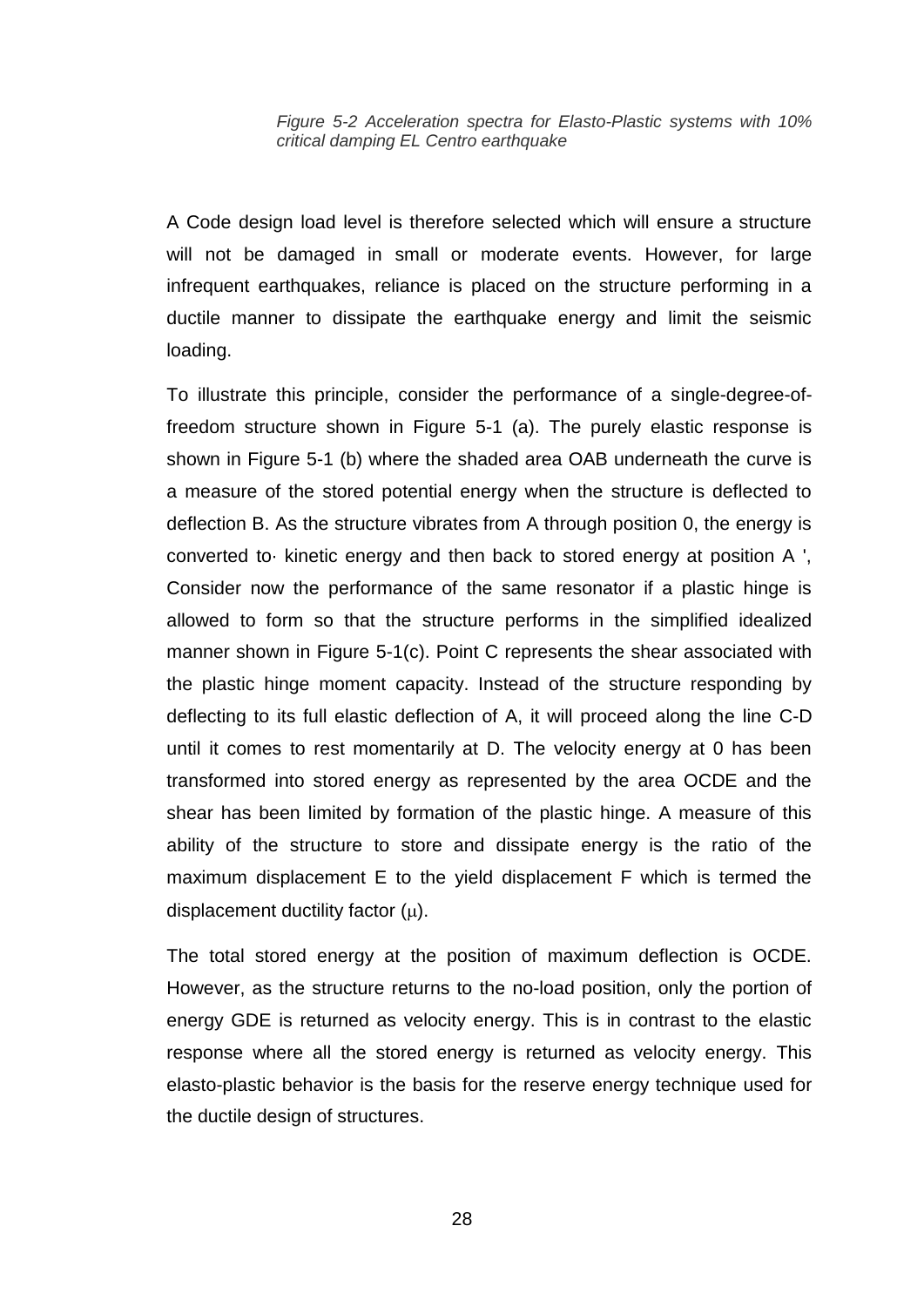#### *Figure 5-2 Acceleration spectra for Elasto-Plastic systems with 10% critical damping EL Centro earthquake*

A Code design load level is therefore selected which will ensure a structure will not be damaged in small or moderate events. However, for large infrequent earthquakes, reliance is placed on the structure performing in a ductile manner to dissipate the earthquake energy and limit the seismic loading.

To illustrate this principle, consider the performance of a single-degree-offreedom structure shown in Figure 5-1 (a). The purely elastic response is shown in Figure 5-1 (b) where the shaded area OAB underneath the curve is a measure of the stored potential energy when the structure is deflected to deflection B. As the structure vibrates from A through position 0, the energy is converted to· kinetic energy and then back to stored energy at position A ', Consider now the performance of the same resonator if a plastic hinge is allowed to form so that the structure performs in the simplified idealized manner shown in Figure 5-1(c). Point C represents the shear associated with the plastic hinge moment capacity. Instead of the structure responding by deflecting to its full elastic deflection of A, it will proceed along the line C-D until it comes to rest momentarily at D. The velocity energy at 0 has been transformed into stored energy as represented by the area OCDE and the shear has been limited by formation of the plastic hinge. A measure of this ability of the structure to store and dissipate energy is the ratio of the maximum displacement E to the yield displacement F which is termed the displacement ductility factor  $(u)$ .

The total stored energy at the position of maximum deflection is OCDE. However, as the structure returns to the no-load position, only the portion of energy GDE is returned as velocity energy. This is in contrast to the elastic response where all the stored energy is returned as velocity energy. This elasto-plastic behavior is the basis for the reserve energy technique used for the ductile design of structures.

28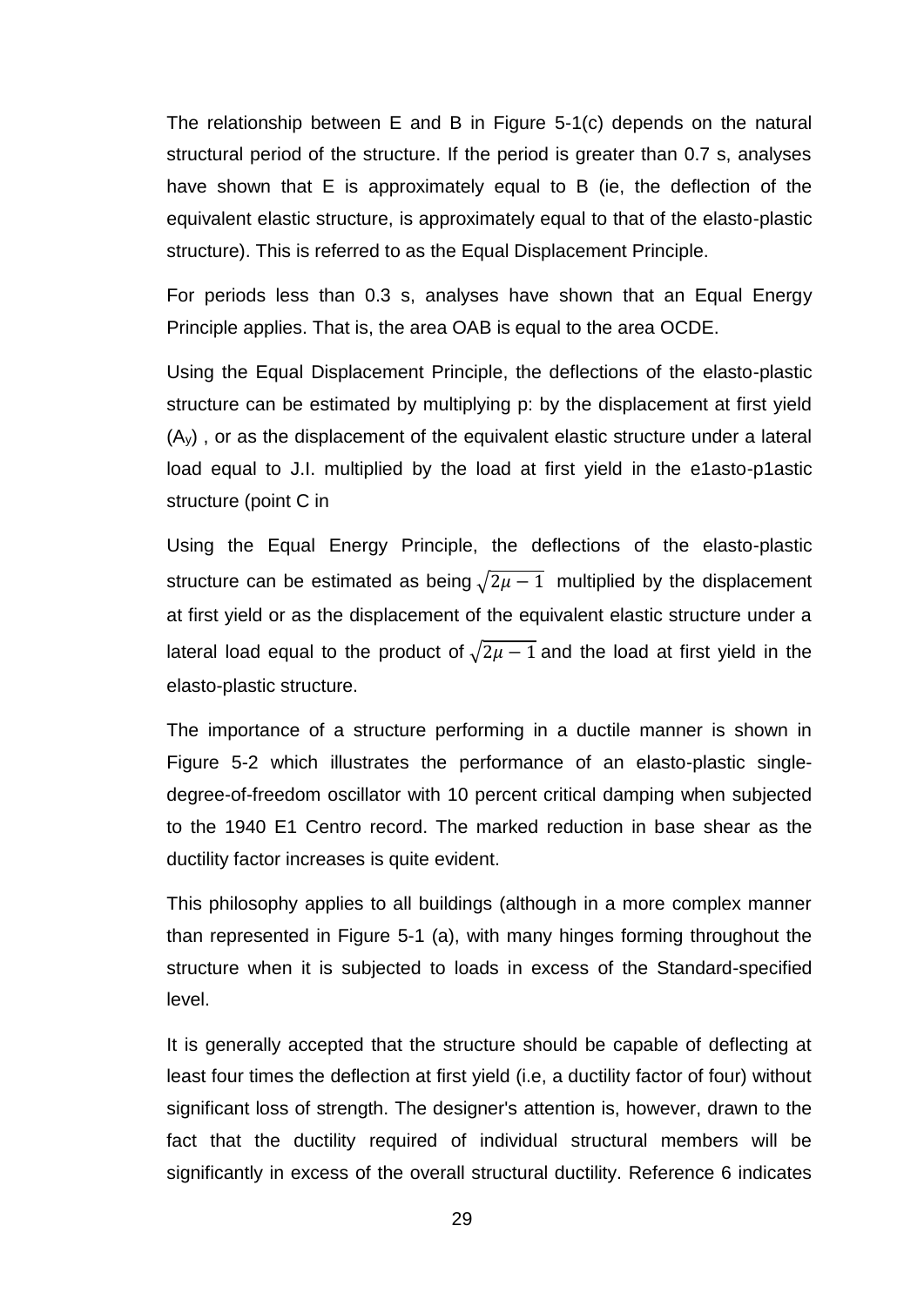The relationship between E and B in Figure 5-1(c) depends on the natural structural period of the structure. If the period is greater than 0.7 s, analyses have shown that E is approximately equal to B (ie, the deflection of the equivalent elastic structure, is approximately equal to that of the elasto-plastic structure). This is referred to as the Equal Displacement Principle.

For periods less than 0.3 s, analyses have shown that an Equal Energy Principle applies. That is, the area OAB is equal to the area OCDE.

Using the Equal Displacement Principle, the deflections of the elasto-plastic structure can be estimated by multiplying p: by the displacement at first yield (Ay) , or as the displacement of the equivalent elastic structure under a lateral load equal to J.I. multiplied by the load at first yield in the e1asto-p1astic structure (point C in

Using the Equal Energy Principle, the deflections of the elasto-plastic structure can be estimated as being  $\sqrt{2\mu-1}$  multiplied by the displacement at first yield or as the displacement of the equivalent elastic structure under a lateral load equal to the product of  $\sqrt{2\mu-1}$  and the load at first yield in the elasto-plastic structure.

The importance of a structure performing in a ductile manner is shown in Figure 5-2 which illustrates the performance of an elasto-plastic singledegree-of-freedom oscillator with 10 percent critical damping when subjected to the 1940 E1 Centro record. The marked reduction in base shear as the ductility factor increases is quite evident.

This philosophy applies to all buildings (although in a more complex manner than represented in Figure 5-1 (a), with many hinges forming throughout the structure when it is subjected to loads in excess of the Standard-specified level.

It is generally accepted that the structure should be capable of deflecting at least four times the deflection at first yield (i.e, a ductility factor of four) without significant loss of strength. The designer's attention is, however, drawn to the fact that the ductility required of individual structural members will be significantly in excess of the overall structural ductility. Reference 6 indicates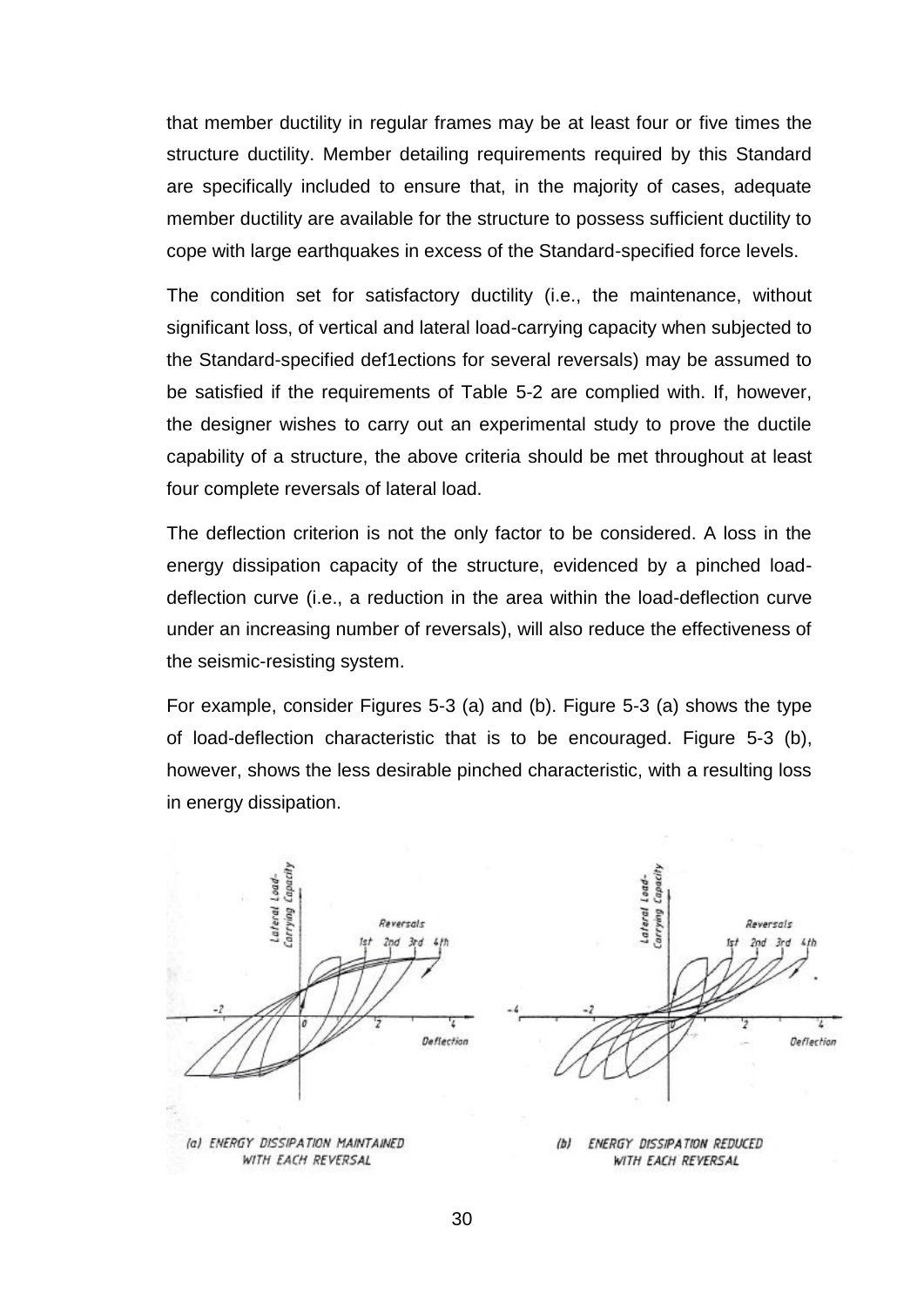that member ductility in regular frames may be at least four or five times the structure ductility. Member detailing requirements required by this Standard are specifically included to ensure that, in the majority of cases, adequate member ductility are available for the structure to possess sufficient ductility to cope with large earthquakes in excess of the Standard-specified force levels.

The condition set for satisfactory ductility (i.e., the maintenance, without significant loss, of vertical and lateral load-carrying capacity when subjected to the Standard-specified def1ections for several reversals) may be assumed to be satisfied if the requirements of Table 5-2 are complied with. If, however, the designer wishes to carry out an experimental study to prove the ductile capability of a structure, the above criteria should be met throughout at least four complete reversals of lateral load.

The deflection criterion is not the only factor to be considered. A loss in the energy dissipation capacity of the structure, evidenced by a pinched loaddeflection curve (i.e., a reduction in the area within the load-deflection curve under an increasing number of reversals), will also reduce the effectiveness of the seismic-resisting system.

For example, consider Figures 5-3 (a) and (b). Figure 5-3 (a) shows the type of load-deflection characteristic that is to be encouraged. Figure 5-3 (b), however, shows the less desirable pinched characteristic, with a resulting loss in energy dissipation.

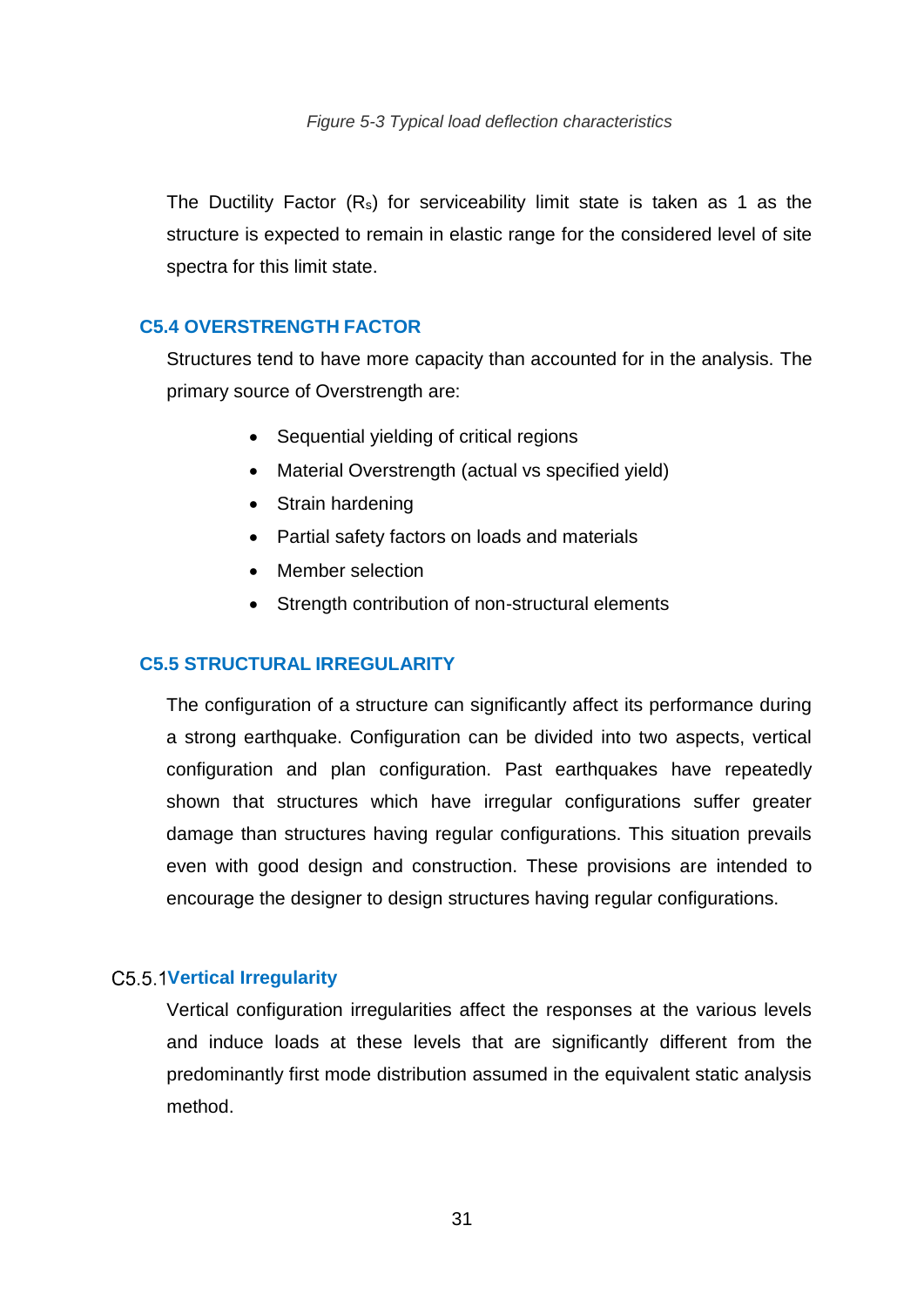The Ductility Factor (Rs) for serviceability limit state is taken as 1 as the structure is expected to remain in elastic range for the considered level of site spectra for this limit state.

# <span id="page-33-0"></span>**C5.4 OVERSTRENGTH FACTOR**

Structures tend to have more capacity than accounted for in the analysis. The primary source of Overstrength are:

- Sequential yielding of critical regions
- Material Overstrength (actual vs specified yield)
- Strain hardening
- Partial safety factors on loads and materials
- Member selection
- Strength contribution of non-structural elements

## <span id="page-33-1"></span>**C5.5 STRUCTURAL IRREGULARITY**

The configuration of a structure can significantly affect its performance during a strong earthquake. Configuration can be divided into two aspects, vertical configuration and plan configuration. Past earthquakes have repeatedly shown that structures which have irregular configurations suffer greater damage than structures having regular configurations. This situation prevails even with good design and construction. These provisions are intended to encourage the designer to design structures having regular configurations.

#### <span id="page-33-2"></span>**Vertical Irregularity**

Vertical configuration irregularities affect the responses at the various levels and induce loads at these levels that are significantly different from the predominantly first mode distribution assumed in the equivalent static analysis method.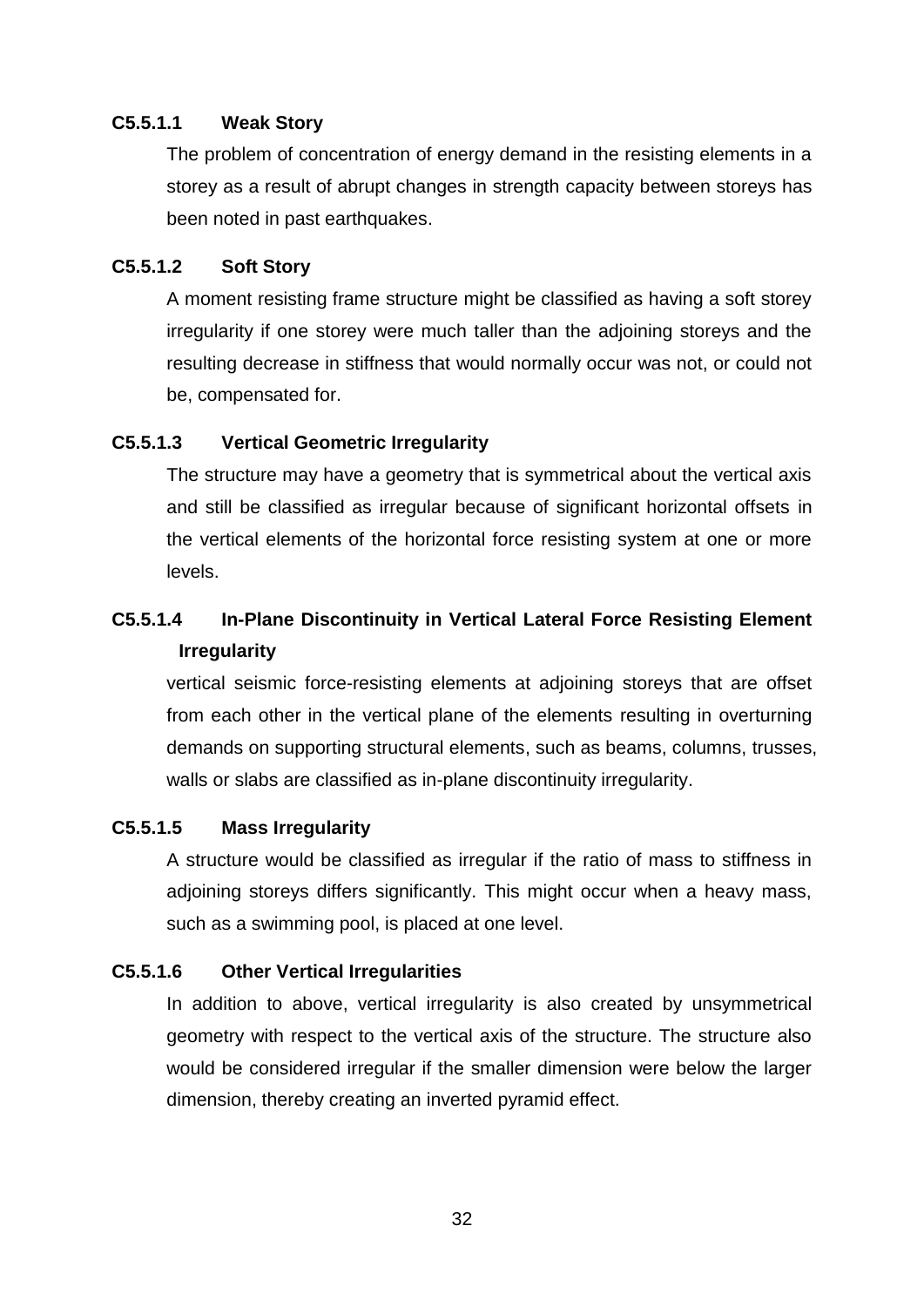# **C5.5.1.1 Weak Story**

The problem of concentration of energy demand in the resisting elements in a storey as a result of abrupt changes in strength capacity between storeys has been noted in past earthquakes.

# **C5.5.1.2 Soft Story**

A moment resisting frame structure might be classified as having a soft storey irregularity if one storey were much taller than the adjoining storeys and the resulting decrease in stiffness that would normally occur was not, or could not be, compensated for.

# **C5.5.1.3 Vertical Geometric Irregularity**

The structure may have a geometry that is symmetrical about the vertical axis and still be classified as irregular because of significant horizontal offsets in the vertical elements of the horizontal force resisting system at one or more levels.

# **C5.5.1.4 In-Plane Discontinuity in Vertical Lateral Force Resisting Element Irregularity**

vertical seismic force-resisting elements at adjoining storeys that are offset from each other in the vertical plane of the elements resulting in overturning demands on supporting structural elements, such as beams, columns, trusses, walls or slabs are classified as in-plane discontinuity irregularity.

# **C5.5.1.5 Mass Irregularity**

A structure would be classified as irregular if the ratio of mass to stiffness in adjoining storeys differs significantly. This might occur when a heavy mass, such as a swimming pool, is placed at one level.

# **C5.5.1.6 Other Vertical Irregularities**

In addition to above, vertical irregularity is also created by unsymmetrical geometry with respect to the vertical axis of the structure. The structure also would be considered irregular if the smaller dimension were below the larger dimension, thereby creating an inverted pyramid effect.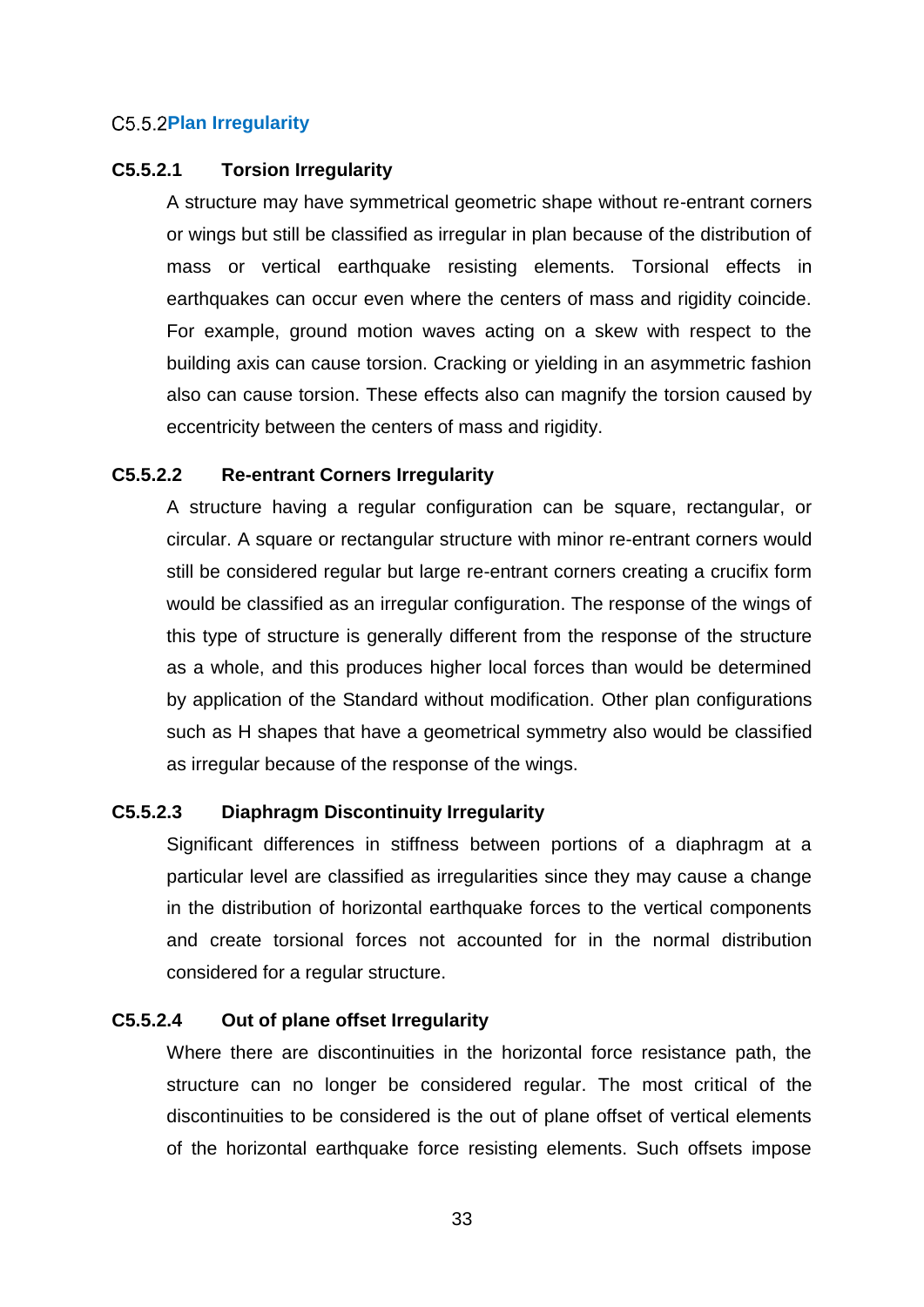# <span id="page-35-0"></span>**C5.5.2Plan Irregularity**

# **C5.5.2.1 Torsion Irregularity**

A structure may have symmetrical geometric shape without re-entrant corners or wings but still be classified as irregular in plan because of the distribution of mass or vertical earthquake resisting elements. Torsional effects in earthquakes can occur even where the centers of mass and rigidity coincide. For example, ground motion waves acting on a skew with respect to the building axis can cause torsion. Cracking or yielding in an asymmetric fashion also can cause torsion. These effects also can magnify the torsion caused by eccentricity between the centers of mass and rigidity.

# **C5.5.2.2 Re-entrant Corners Irregularity**

A structure having a regular configuration can be square, rectangular, or circular. A square or rectangular structure with minor re-entrant corners would still be considered regular but large re-entrant corners creating a crucifix form would be classified as an irregular configuration. The response of the wings of this type of structure is generally different from the response of the structure as a whole, and this produces higher local forces than would be determined by application of the Standard without modification. Other plan configurations such as H shapes that have a geometrical symmetry also would be classified as irregular because of the response of the wings.

#### **C5.5.2.3 Diaphragm Discontinuity Irregularity**

Significant differences in stiffness between portions of a diaphragm at a particular level are classified as irregularities since they may cause a change in the distribution of horizontal earthquake forces to the vertical components and create torsional forces not accounted for in the normal distribution considered for a regular structure.

# **C5.5.2.4 Out of plane offset Irregularity**

Where there are discontinuities in the horizontal force resistance path, the structure can no longer be considered regular. The most critical of the discontinuities to be considered is the out of plane offset of vertical elements of the horizontal earthquake force resisting elements. Such offsets impose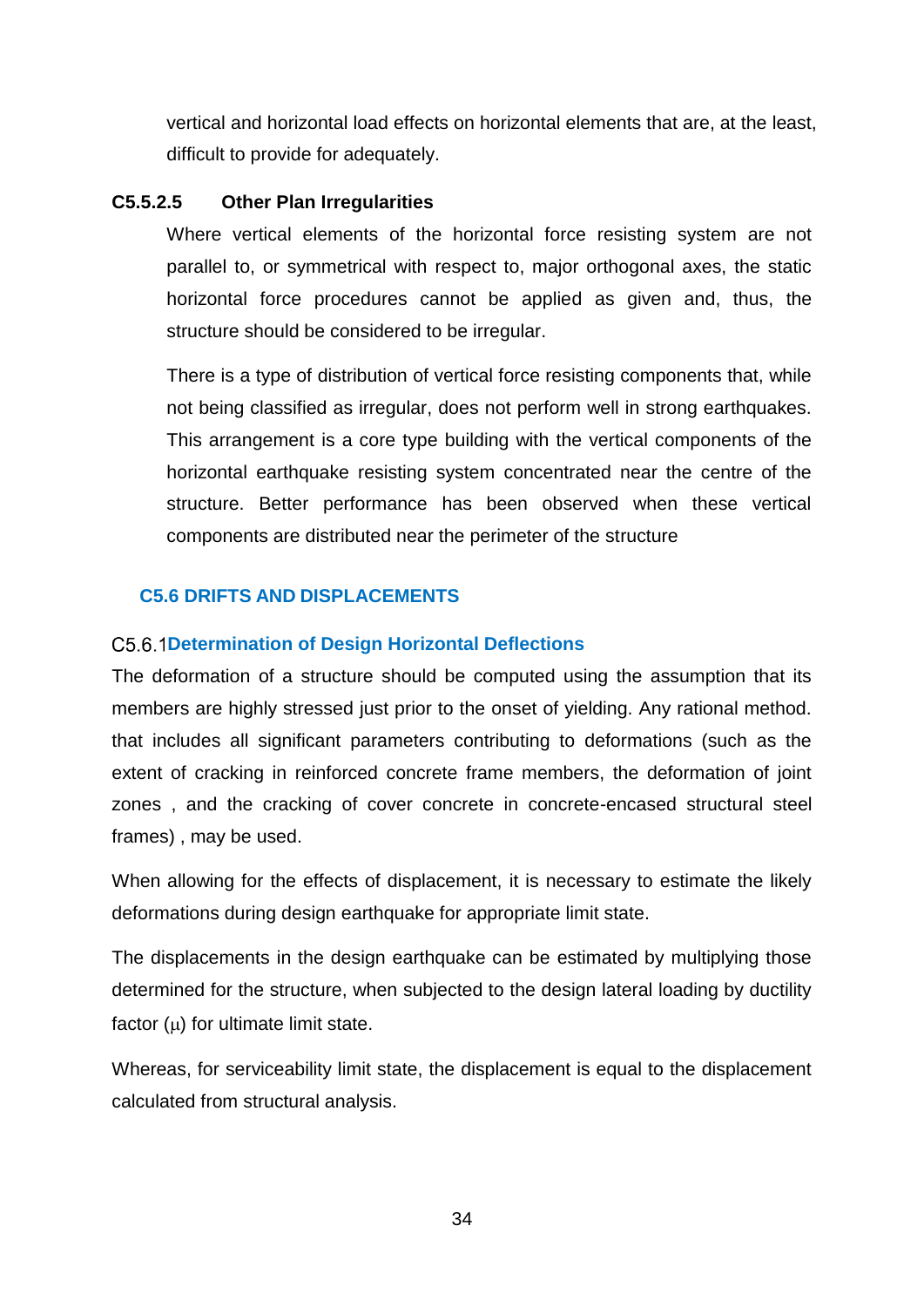vertical and horizontal load effects on horizontal elements that are, at the least, difficult to provide for adequately.

# **C5.5.2.5 Other Plan Irregularities**

Where vertical elements of the horizontal force resisting system are not parallel to, or symmetrical with respect to, major orthogonal axes, the static horizontal force procedures cannot be applied as given and, thus, the structure should be considered to be irregular.

There is a type of distribution of vertical force resisting components that, while not being classified as irregular, does not perform well in strong earthquakes. This arrangement is a core type building with the vertical components of the horizontal earthquake resisting system concentrated near the centre of the structure. Better performance has been observed when these vertical components are distributed near the perimeter of the structure

# <span id="page-36-0"></span>**C5.6 DRIFTS AND DISPLACEMENTS**

# <span id="page-36-1"></span>**Determination of Design Horizontal Deflections**

The deformation of a structure should be computed using the assumption that its members are highly stressed just prior to the onset of yielding. Any rational method. that includes all significant parameters contributing to deformations (such as the extent of cracking in reinforced concrete frame members, the deformation of joint zones , and the cracking of cover concrete in concrete-encased structural steel frames) , may be used.

When allowing for the effects of displacement, it is necessary to estimate the likely deformations during design earthquake for appropriate limit state.

The displacements in the design earthquake can be estimated by multiplying those determined for the structure, when subjected to the design lateral loading by ductility factor  $(u)$  for ultimate limit state.

Whereas, for serviceability limit state, the displacement is equal to the displacement calculated from structural analysis.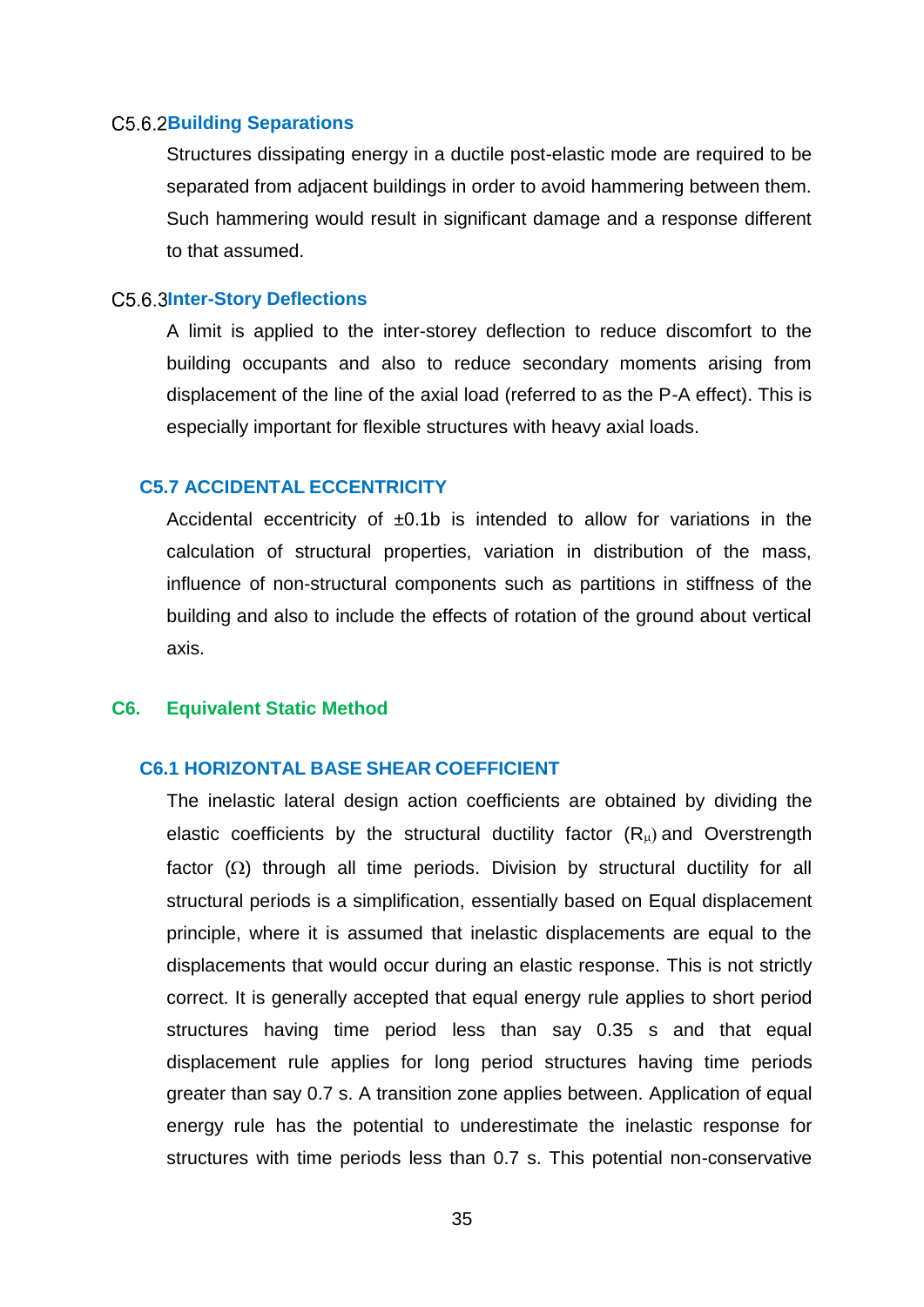#### <span id="page-37-0"></span>**Building Separations**

Structures dissipating energy in a ductile post-elastic mode are required to be separated from adjacent buildings in order to avoid hammering between them. Such hammering would result in significant damage and a response different to that assumed.

## <span id="page-37-1"></span>**Inter-Story Deflections**

A limit is applied to the inter-storey deflection to reduce discomfort to the building occupants and also to reduce secondary moments arising from displacement of the line of the axial load (referred to as the P-A effect). This is especially important for flexible structures with heavy axial loads.

# <span id="page-37-2"></span>**C5.7 ACCIDENTAL ECCENTRICITY**

Accidental eccentricity of  $\pm 0.1b$  is intended to allow for variations in the calculation of structural properties, variation in distribution of the mass, influence of non-structural components such as partitions in stiffness of the building and also to include the effects of rotation of the ground about vertical axis.

#### <span id="page-37-3"></span>**C6. Equivalent Static Method**

# <span id="page-37-4"></span>**C6.1 HORIZONTAL BASE SHEAR COEFFICIENT**

The inelastic lateral design action coefficients are obtained by dividing the elastic coefficients by the structural ductility factor  $(R<sub>u</sub>)$  and Overstrength factor  $(\Omega)$  through all time periods. Division by structural ductility for all structural periods is a simplification, essentially based on Equal displacement principle, where it is assumed that inelastic displacements are equal to the displacements that would occur during an elastic response. This is not strictly correct. It is generally accepted that equal energy rule applies to short period structures having time period less than say 0.35 s and that equal displacement rule applies for long period structures having time periods greater than say 0.7 s. A transition zone applies between. Application of equal energy rule has the potential to underestimate the inelastic response for structures with time periods less than 0.7 s. This potential non-conservative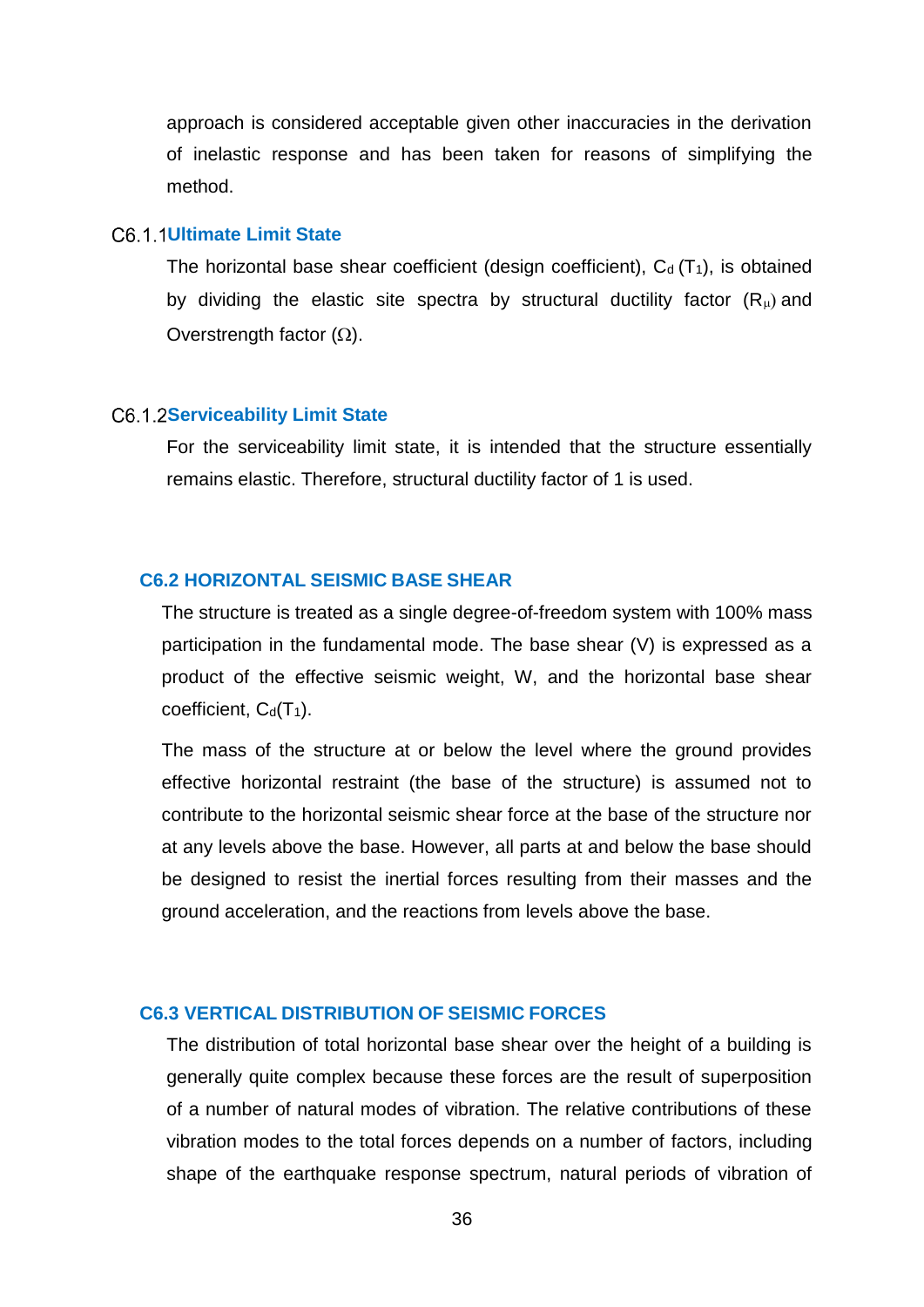approach is considered acceptable given other inaccuracies in the derivation of inelastic response and has been taken for reasons of simplifying the method.

# <span id="page-38-0"></span>C<sub>6</sub> 1 1 Ultimate Limit State

The horizontal base shear coefficient (design coefficient),  $C_d(T_1)$ , is obtained by dividing the elastic site spectra by structural ductility factor  $(R<sub>µ</sub>)$  and Overstrength factor  $(\Omega)$ .

#### <span id="page-38-1"></span>**C6.1.2Serviceability Limit State**

For the serviceability limit state, it is intended that the structure essentially remains elastic. Therefore, structural ductility factor of 1 is used.

#### <span id="page-38-2"></span>**C6.2 HORIZONTAL SEISMIC BASE SHEAR**

The structure is treated as a single degree-of-freedom system with 100% mass participation in the fundamental mode. The base shear (V) is expressed as a product of the effective seismic weight, W, and the horizontal base shear coefficient,  $C_d(T_1)$ .

The mass of the structure at or below the level where the ground provides effective horizontal restraint (the base of the structure) is assumed not to contribute to the horizontal seismic shear force at the base of the structure nor at any levels above the base. However, all parts at and below the base should be designed to resist the inertial forces resulting from their masses and the ground acceleration, and the reactions from levels above the base.

# <span id="page-38-3"></span>**C6.3 VERTICAL DISTRIBUTION OF SEISMIC FORCES**

The distribution of total horizontal base shear over the height of a building is generally quite complex because these forces are the result of superposition of a number of natural modes of vibration. The relative contributions of these vibration modes to the total forces depends on a number of factors, including shape of the earthquake response spectrum, natural periods of vibration of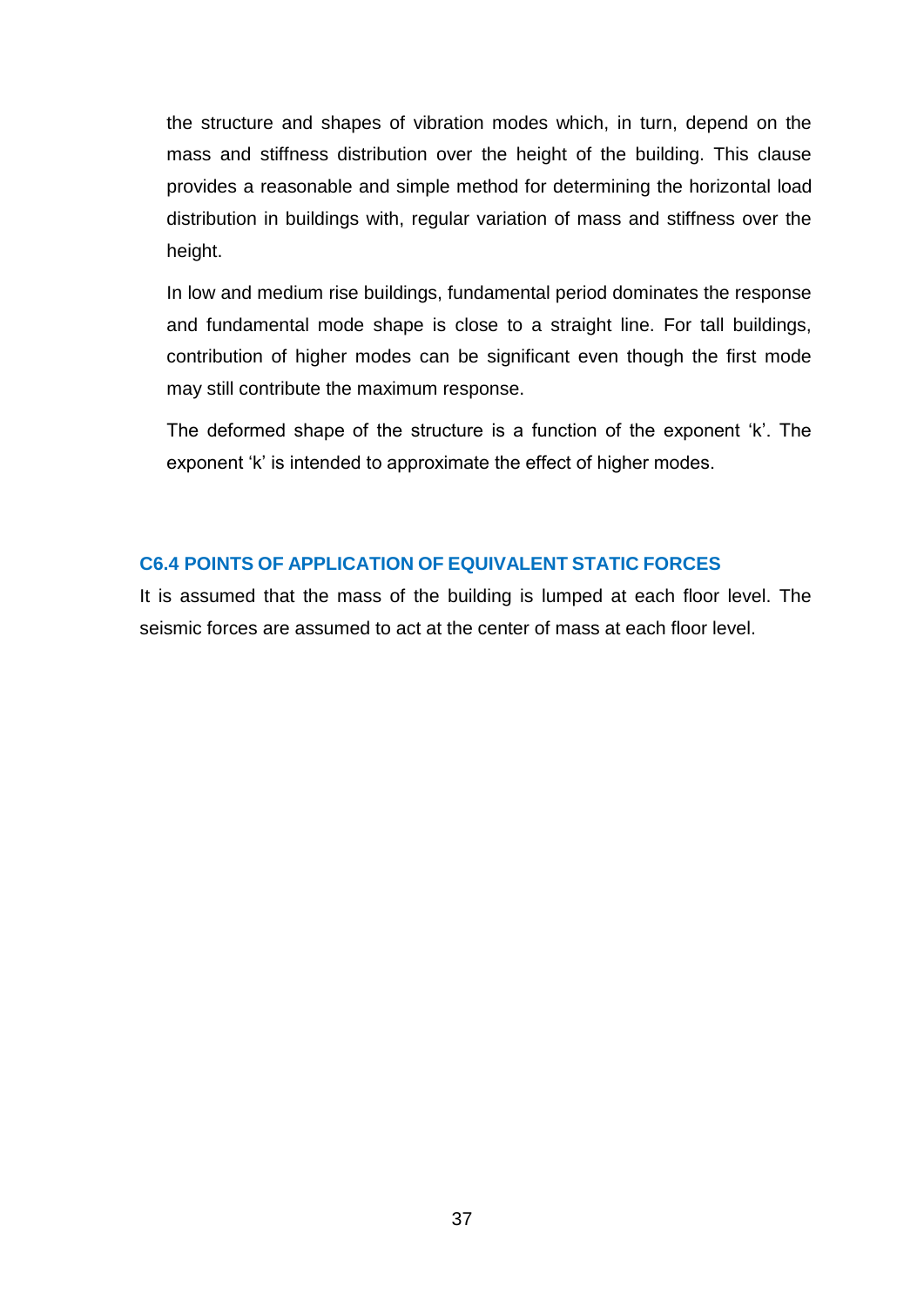the structure and shapes of vibration modes which, in turn, depend on the mass and stiffness distribution over the height of the building. This clause provides a reasonable and simple method for determining the horizontal load distribution in buildings with, regular variation of mass and stiffness over the height.

In low and medium rise buildings, fundamental period dominates the response and fundamental mode shape is close to a straight line. For tall buildings, contribution of higher modes can be significant even though the first mode may still contribute the maximum response.

The deformed shape of the structure is a function of the exponent 'k'. The exponent 'k' is intended to approximate the effect of higher modes.

# <span id="page-39-0"></span>**C6.4 POINTS OF APPLICATION OF EQUIVALENT STATIC FORCES**

It is assumed that the mass of the building is lumped at each floor level. The seismic forces are assumed to act at the center of mass at each floor level.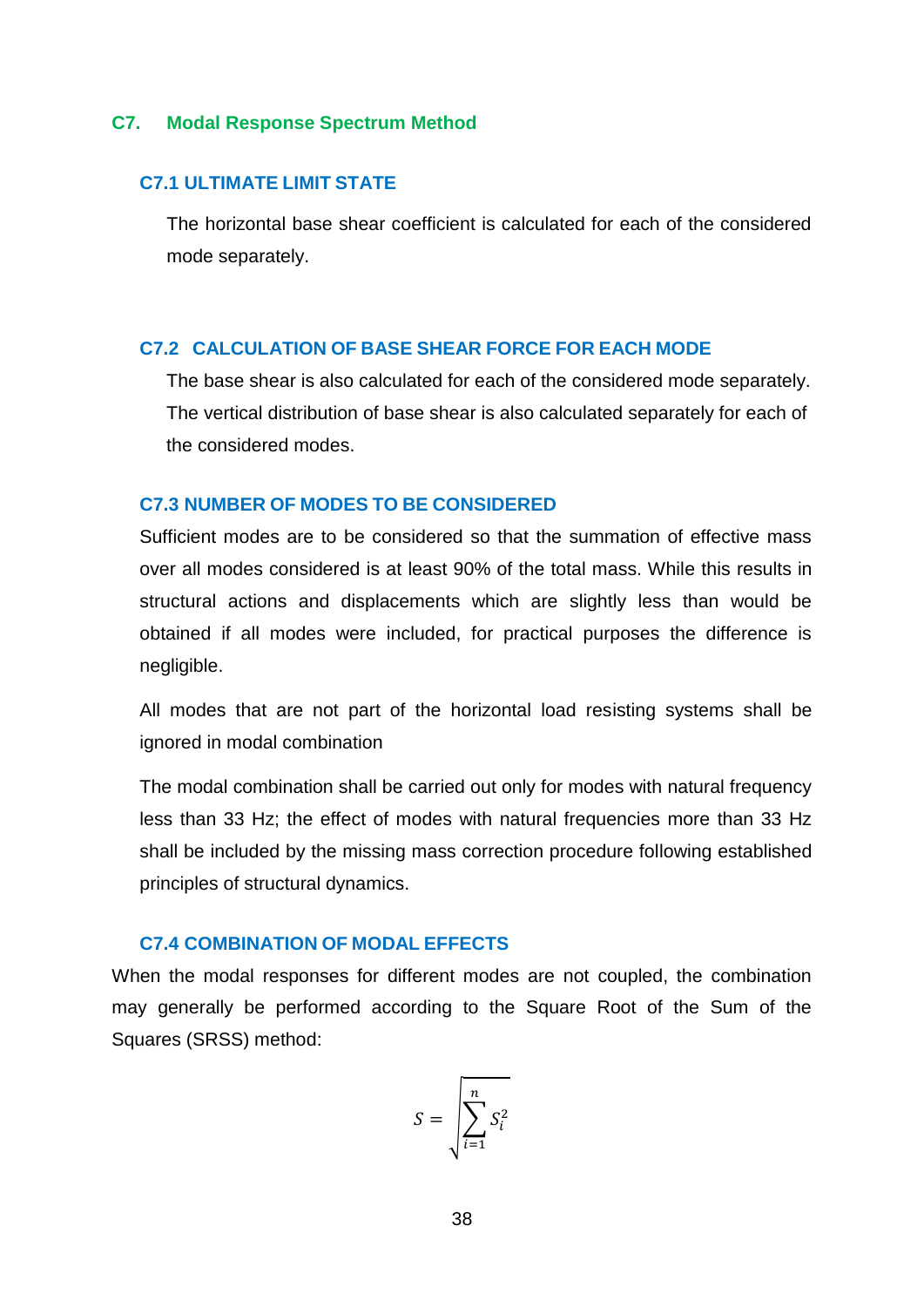#### <span id="page-40-0"></span>**C7. Modal Response Spectrum Method**

# <span id="page-40-1"></span>**C7.1 ULTIMATE LIMIT STATE**

The horizontal base shear coefficient is calculated for each of the considered mode separately.

# <span id="page-40-2"></span>**C7.2 CALCULATION OF BASE SHEAR FORCE FOR EACH MODE**

The base shear is also calculated for each of the considered mode separately. The vertical distribution of base shear is also calculated separately for each of the considered modes.

# <span id="page-40-3"></span>**C7.3 NUMBER OF MODES TO BE CONSIDERED**

Sufficient modes are to be considered so that the summation of effective mass over all modes considered is at least 90% of the total mass. While this results in structural actions and displacements which are slightly less than would be obtained if all modes were included, for practical purposes the difference is negligible.

All modes that are not part of the horizontal load resisting systems shall be ignored in modal combination

The modal combination shall be carried out only for modes with natural frequency less than 33 Hz; the effect of modes with natural frequencies more than 33 Hz shall be included by the missing mass correction procedure following established principles of structural dynamics.

# <span id="page-40-4"></span>**C7.4 COMBINATION OF MODAL EFFECTS**

When the modal responses for different modes are not coupled, the combination may generally be performed according to the Square Root of the Sum of the Squares (SRSS) method:

$$
S = \sqrt{\sum_{i=1}^{n} S_i^2}
$$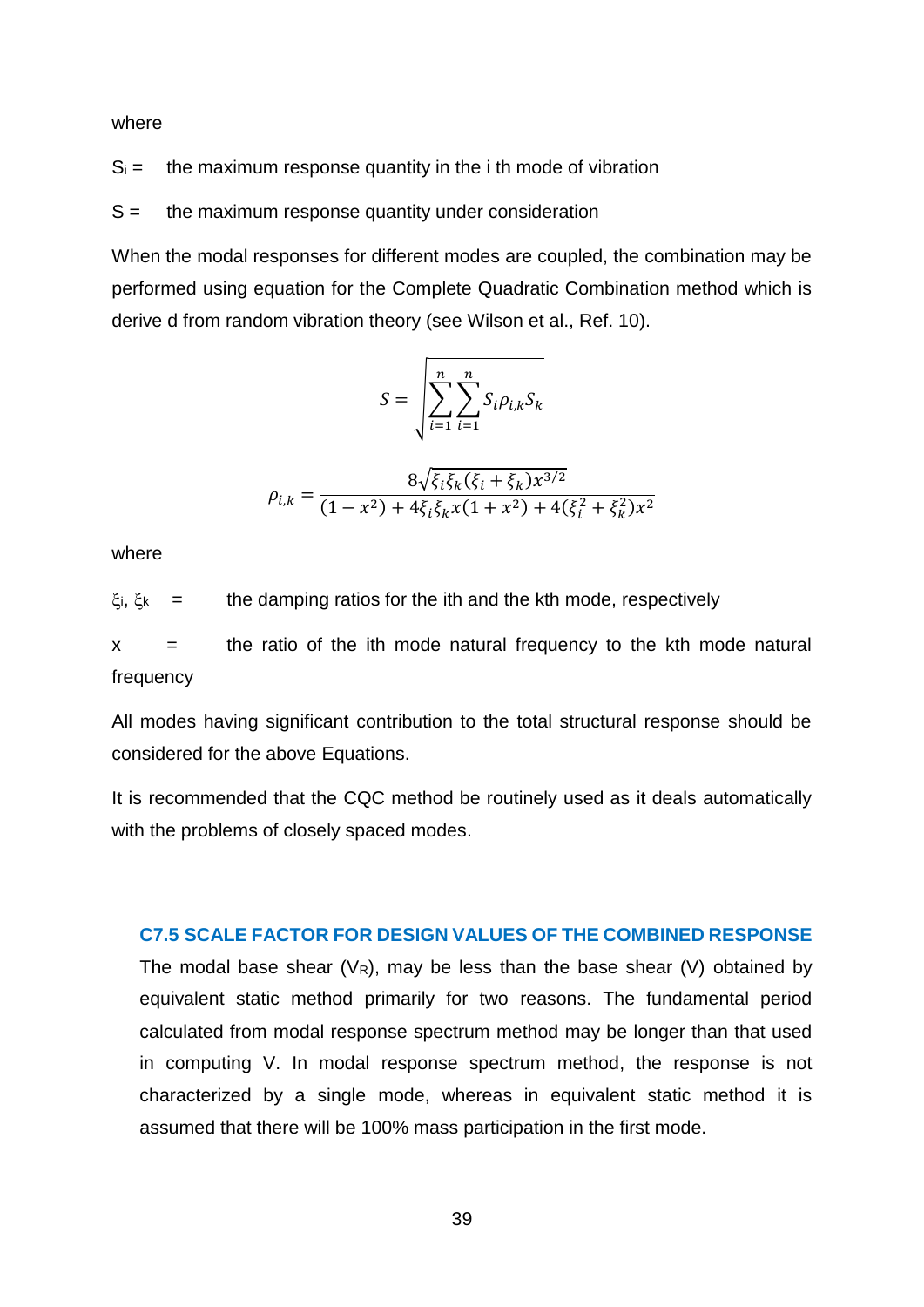where

 $S_i =$  the maximum response quantity in the i th mode of vibration

 $S =$  the maximum response quantity under consideration

When the modal responses for different modes are coupled, the combination may be performed using equation for the Complete Quadratic Combination method which is derive d from random vibration theory (see Wilson et al., Ref. 10).

$$
S = \sqrt{\sum_{i=1}^{n} \sum_{i=1}^{n} S_i \rho_{i,k} S_k}
$$

$$
\rho_{i,k} = \frac{8\sqrt{\xi_i\xi_k(\xi_i + \xi_k)x^{3/2}}}{(1 - x^2) + 4\xi_i\xi_kx(1 + x^2) + 4(\xi_i^2 + \xi_k^2)x^2}
$$

where

 $\xi_i$ ,  $\xi_k$  = the damping ratios for the ith and the kth mode, respectively

 $x =$  the ratio of the ith mode natural frequency to the kth mode natural frequency

All modes having significant contribution to the total structural response should be considered for the above Equations.

It is recommended that the CQC method be routinely used as it deals automatically with the problems of closely spaced modes.

# <span id="page-41-0"></span>**C7.5 SCALE FACTOR FOR DESIGN VALUES OF THE COMBINED RESPONSE**

The modal base shear ( $V_R$ ), may be less than the base shear (V) obtained by equivalent static method primarily for two reasons. The fundamental period calculated from modal response spectrum method may be longer than that used in computing V. In modal response spectrum method, the response is not characterized by a single mode, whereas in equivalent static method it is assumed that there will be 100% mass participation in the first mode.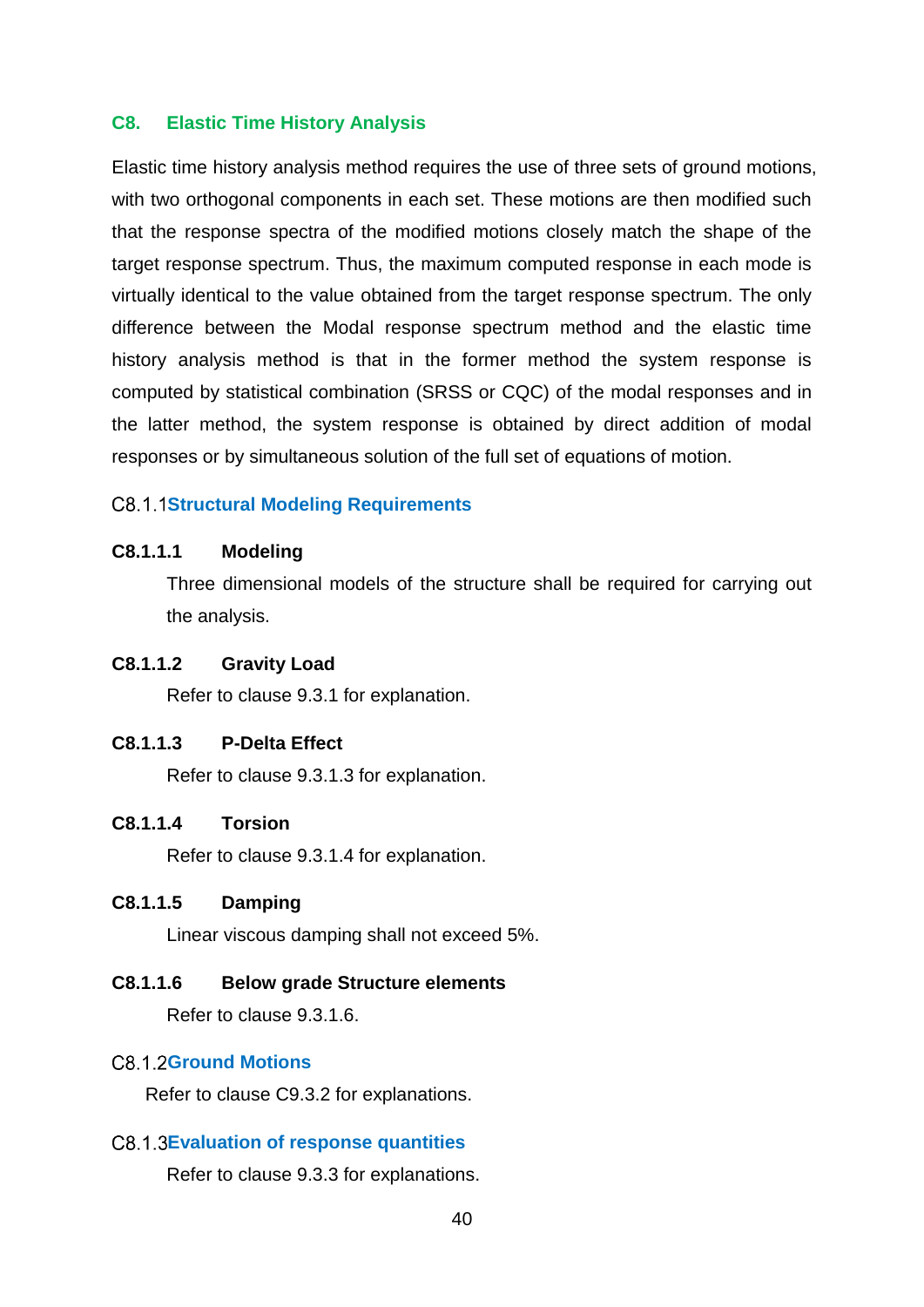# <span id="page-42-0"></span>**C8. Elastic Time History Analysis**

Elastic time history analysis method requires the use of three sets of ground motions, with two orthogonal components in each set. These motions are then modified such that the response spectra of the modified motions closely match the shape of the target response spectrum. Thus, the maximum computed response in each mode is virtually identical to the value obtained from the target response spectrum. The only difference between the Modal response spectrum method and the elastic time history analysis method is that in the former method the system response is computed by statistical combination (SRSS or CQC) of the modal responses and in the latter method, the system response is obtained by direct addition of modal responses or by simultaneous solution of the full set of equations of motion.

# <span id="page-42-1"></span>**C8.1.1Structural Modeling Requirements**

# **C8.1.1.1 Modeling**

Three dimensional models of the structure shall be required for carrying out the analysis.

# **C8.1.1.2 Gravity Load**

Refer to clause 9.3.1 for explanation.

# **C8.1.1.3 P-Delta Effect**

Refer to clause 9.3.1.3 for explanation.

## **C8.1.1.4 Torsion**

Refer to clause 9.3.1.4 for explanation.

# **C8.1.1.5 Damping**

Linear viscous damping shall not exceed 5%.

## **C8.1.1.6 Below grade Structure elements**

Refer to clause 9.3.1.6.

# <span id="page-42-2"></span>C8.1.2Ground Motions

Refer to clause C9.3.2 for explanations.

# <span id="page-42-3"></span>**Evaluation of response quantities**

Refer to clause 9.3.3 for explanations.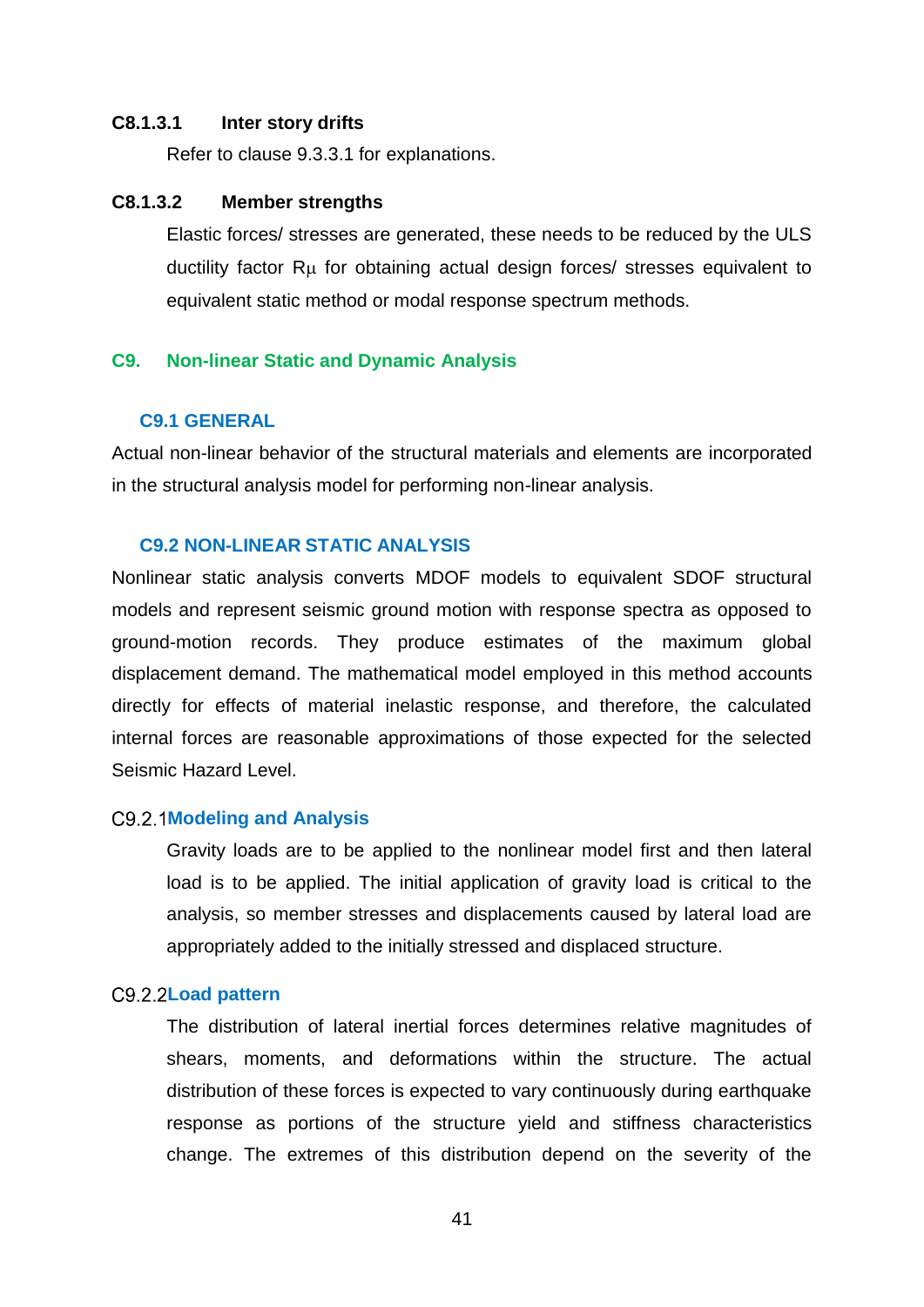#### **C8.1.3.1 Inter story drifts**

Refer to clause 9.3.3.1 for explanations.

# **C8.1.3.2 Member strengths**

Elastic forces/ stresses are generated, these needs to be reduced by the ULS ductility factor R<sub>u</sub> for obtaining actual design forces/ stresses equivalent to equivalent static method or modal response spectrum methods.

#### <span id="page-43-0"></span>**C9. Non-linear Static and Dynamic Analysis**

#### <span id="page-43-1"></span>**C9.1 GENERAL**

Actual non-linear behavior of the structural materials and elements are incorporated in the structural analysis model for performing non-linear analysis.

#### <span id="page-43-2"></span>**C9.2 NON-LINEAR STATIC ANALYSIS**

Nonlinear static analysis converts MDOF models to equivalent SDOF structural models and represent seismic ground motion with response spectra as opposed to ground-motion records. They produce estimates of the maximum global displacement demand. The mathematical model employed in this method accounts directly for effects of material inelastic response, and therefore, the calculated internal forces are reasonable approximations of those expected for the selected Seismic Hazard Level.

#### <span id="page-43-3"></span>**Modeling and Analysis**

Gravity loads are to be applied to the nonlinear model first and then lateral load is to be applied. The initial application of gravity load is critical to the analysis, so member stresses and displacements caused by lateral load are appropriately added to the initially stressed and displaced structure.

### <span id="page-43-4"></span>C9.2.2Load pattern

The distribution of lateral inertial forces determines relative magnitudes of shears, moments, and deformations within the structure. The actual distribution of these forces is expected to vary continuously during earthquake response as portions of the structure yield and stiffness characteristics change. The extremes of this distribution depend on the severity of the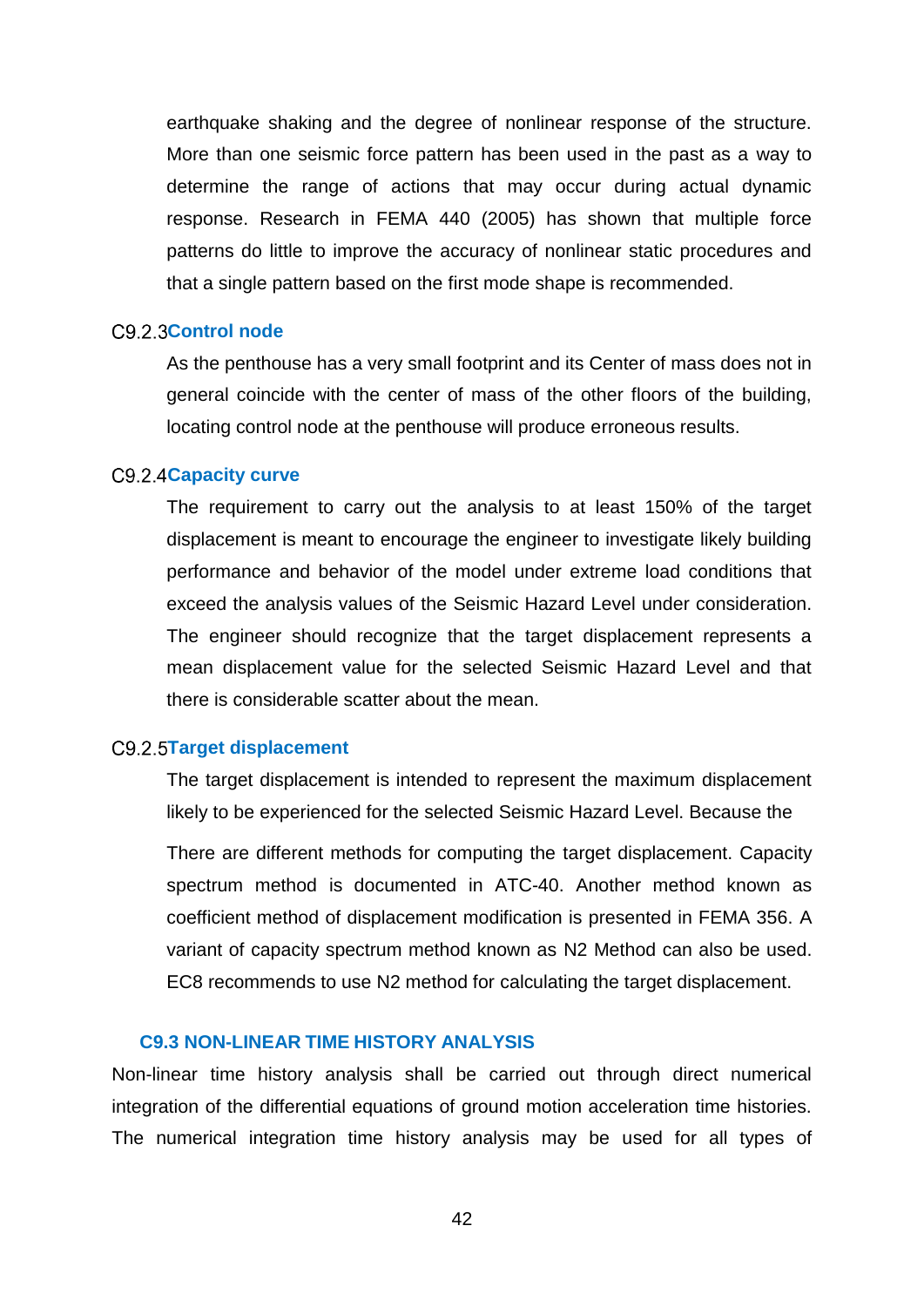earthquake shaking and the degree of nonlinear response of the structure. More than one seismic force pattern has been used in the past as a way to determine the range of actions that may occur during actual dynamic response. Research in FEMA 440 (2005) has shown that multiple force patterns do little to improve the accuracy of nonlinear static procedures and that a single pattern based on the first mode shape is recommended.

### <span id="page-44-0"></span>C9.2.3Control node

As the penthouse has a very small footprint and its Center of mass does not in general coincide with the center of mass of the other floors of the building, locating control node at the penthouse will produce erroneous results.

# <span id="page-44-1"></span>C9.2.4 Capacity curve

The requirement to carry out the analysis to at least 150% of the target displacement is meant to encourage the engineer to investigate likely building performance and behavior of the model under extreme load conditions that exceed the analysis values of the Seismic Hazard Level under consideration. The engineer should recognize that the target displacement represents a mean displacement value for the selected Seismic Hazard Level and that there is considerable scatter about the mean.

#### <span id="page-44-2"></span>**Target displacement**

The target displacement is intended to represent the maximum displacement likely to be experienced for the selected Seismic Hazard Level. Because the

There are different methods for computing the target displacement. Capacity spectrum method is documented in ATC-40. Another method known as coefficient method of displacement modification is presented in FEMA 356. A variant of capacity spectrum method known as N2 Method can also be used. EC8 recommends to use N2 method for calculating the target displacement.

#### <span id="page-44-3"></span>**C9.3 NON-LINEAR TIME HISTORY ANALYSIS**

Non-linear time history analysis shall be carried out through direct numerical integration of the differential equations of ground motion acceleration time histories. The numerical integration time history analysis may be used for all types of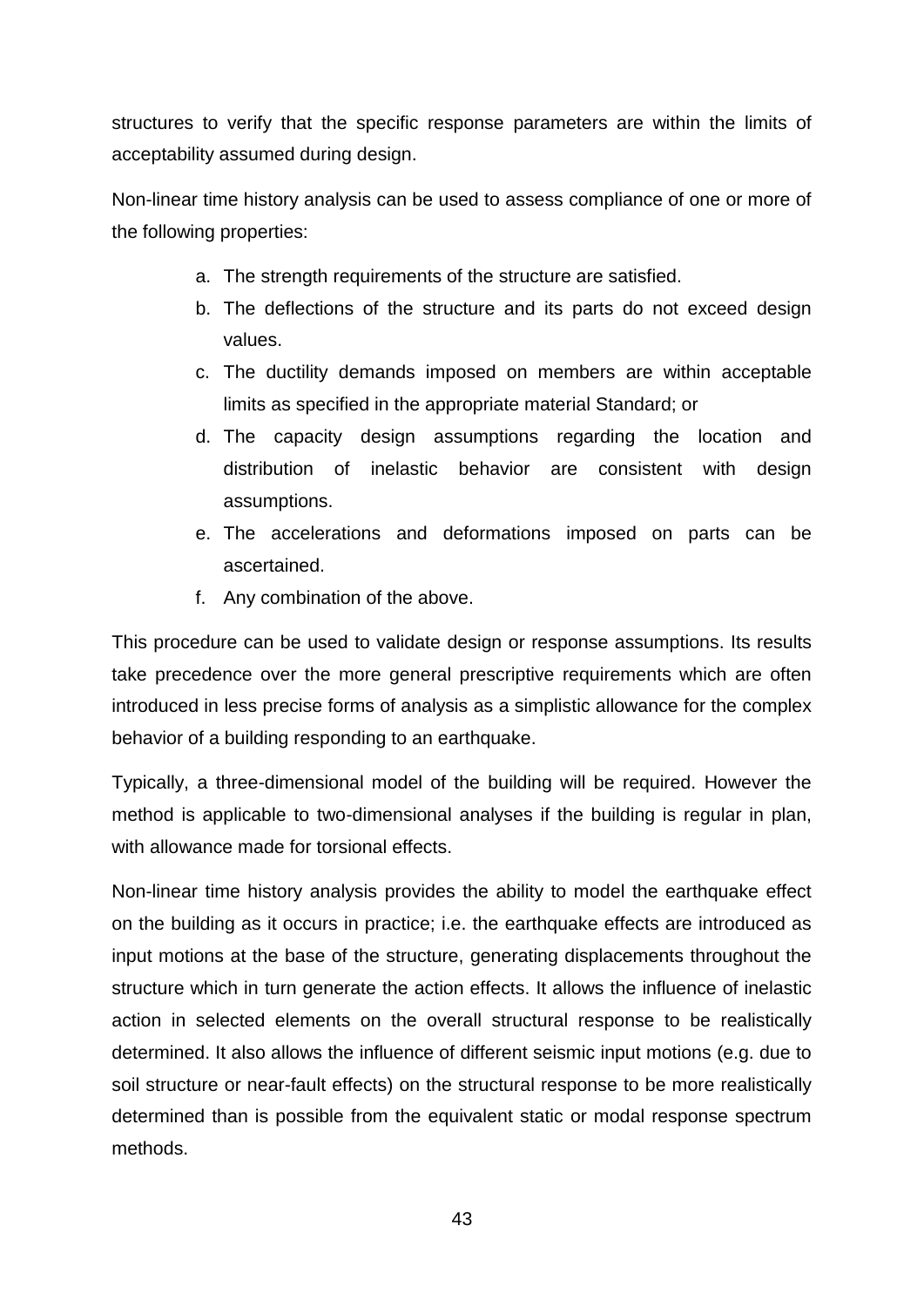structures to verify that the specific response parameters are within the limits of acceptability assumed during design.

Non-linear time history analysis can be used to assess compliance of one or more of the following properties:

- a. The strength requirements of the structure are satisfied.
- b. The deflections of the structure and its parts do not exceed design values.
- c. The ductility demands imposed on members are within acceptable limits as specified in the appropriate material Standard; or
- d. The capacity design assumptions regarding the location and distribution of inelastic behavior are consistent with design assumptions.
- e. The accelerations and deformations imposed on parts can be ascertained.
- f. Any combination of the above.

This procedure can be used to validate design or response assumptions. Its results take precedence over the more general prescriptive requirements which are often introduced in less precise forms of analysis as a simplistic allowance for the complex behavior of a building responding to an earthquake.

Typically, a three-dimensional model of the building will be required. However the method is applicable to two-dimensional analyses if the building is regular in plan, with allowance made for torsional effects.

Non-linear time history analysis provides the ability to model the earthquake effect on the building as it occurs in practice; i.e. the earthquake effects are introduced as input motions at the base of the structure, generating displacements throughout the structure which in turn generate the action effects. It allows the influence of inelastic action in selected elements on the overall structural response to be realistically determined. It also allows the influence of different seismic input motions (e.g. due to soil structure or near-fault effects) on the structural response to be more realistically determined than is possible from the equivalent static or modal response spectrum methods.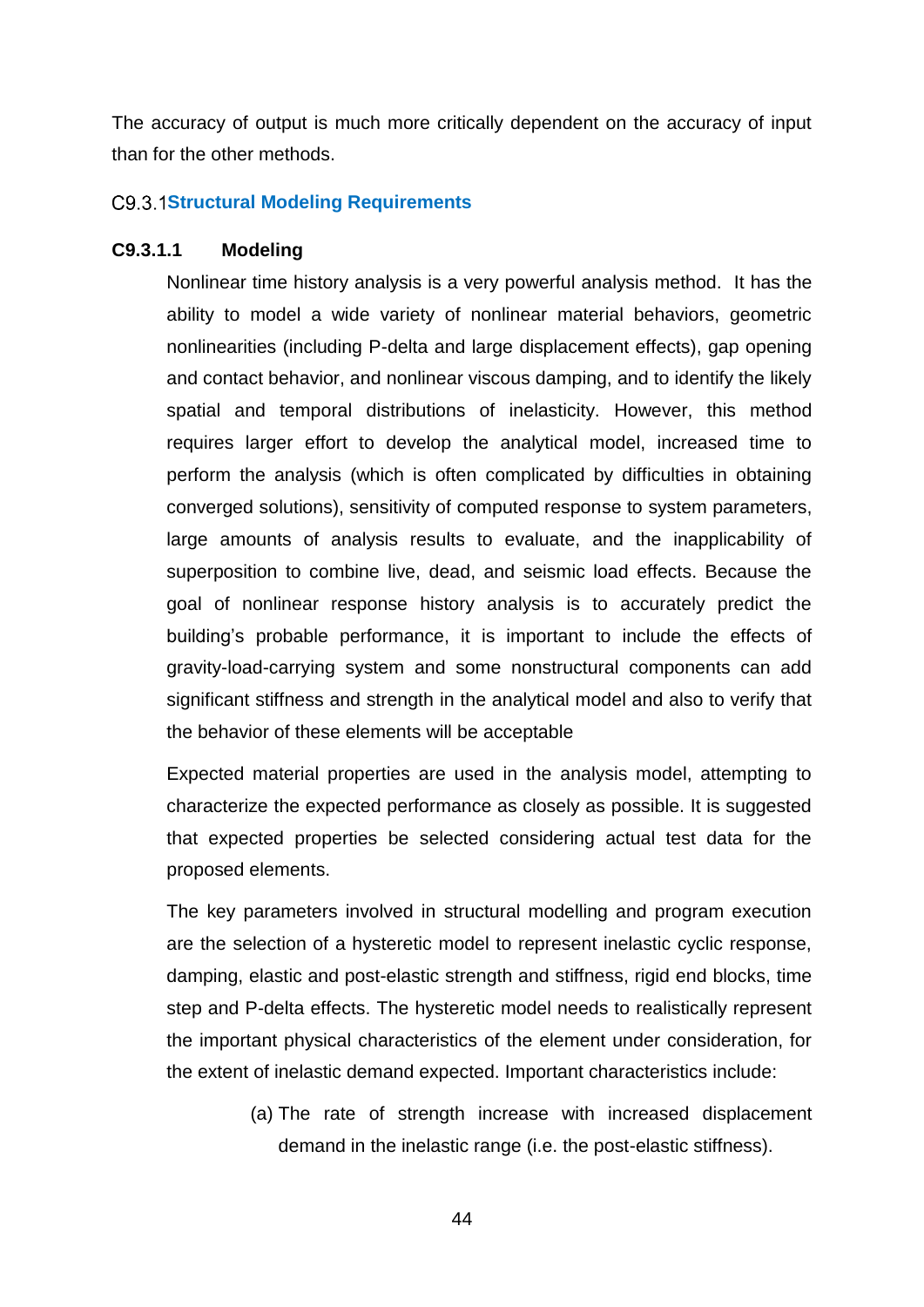The accuracy of output is much more critically dependent on the accuracy of input than for the other methods.

## <span id="page-46-0"></span>**Structural Modeling Requirements**

# **C9.3.1.1 Modeling**

Nonlinear time history analysis is a very powerful analysis method. It has the ability to model a wide variety of nonlinear material behaviors, geometric nonlinearities (including P-delta and large displacement effects), gap opening and contact behavior, and nonlinear viscous damping, and to identify the likely spatial and temporal distributions of inelasticity. However, this method requires larger effort to develop the analytical model, increased time to perform the analysis (which is often complicated by difficulties in obtaining converged solutions), sensitivity of computed response to system parameters, large amounts of analysis results to evaluate, and the inapplicability of superposition to combine live, dead, and seismic load effects. Because the goal of nonlinear response history analysis is to accurately predict the building's probable performance, it is important to include the effects of gravity-load-carrying system and some nonstructural components can add significant stiffness and strength in the analytical model and also to verify that the behavior of these elements will be acceptable

Expected material properties are used in the analysis model, attempting to characterize the expected performance as closely as possible. It is suggested that expected properties be selected considering actual test data for the proposed elements.

The key parameters involved in structural modelling and program execution are the selection of a hysteretic model to represent inelastic cyclic response, damping, elastic and post-elastic strength and stiffness, rigid end blocks, time step and P-delta effects. The hysteretic model needs to realistically represent the important physical characteristics of the element under consideration, for the extent of inelastic demand expected. Important characteristics include:

> (a) The rate of strength increase with increased displacement demand in the inelastic range (i.e. the post-elastic stiffness).

> > 44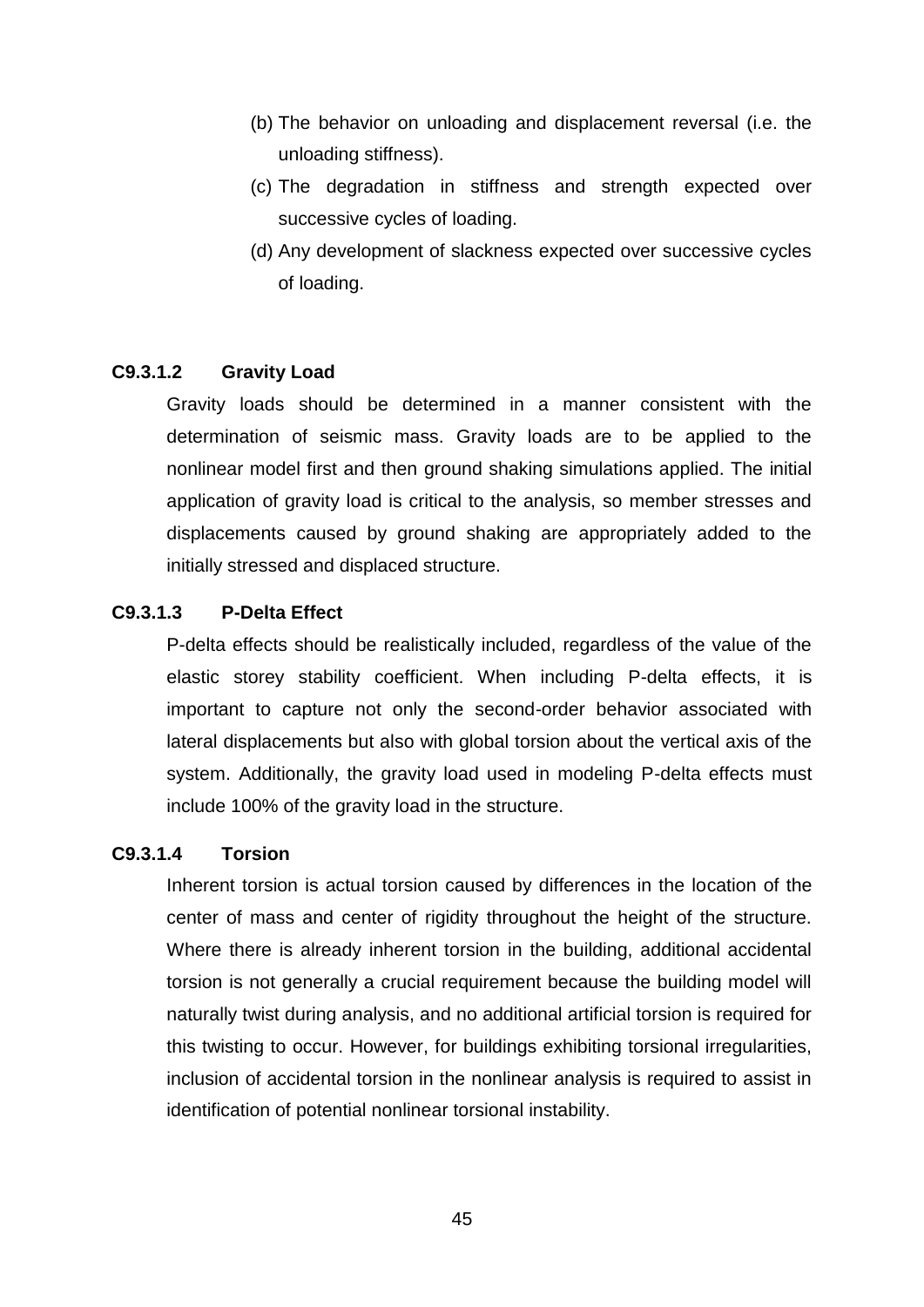- (b) The behavior on unloading and displacement reversal (i.e. the unloading stiffness).
- (c) The degradation in stiffness and strength expected over successive cycles of loading.
- (d) Any development of slackness expected over successive cycles of loading.

# **C9.3.1.2 Gravity Load**

Gravity loads should be determined in a manner consistent with the determination of seismic mass. Gravity loads are to be applied to the nonlinear model first and then ground shaking simulations applied. The initial application of gravity load is critical to the analysis, so member stresses and displacements caused by ground shaking are appropriately added to the initially stressed and displaced structure.

# **C9.3.1.3 P-Delta Effect**

P-delta effects should be realistically included, regardless of the value of the elastic storey stability coefficient. When including P-delta effects, it is important to capture not only the second-order behavior associated with lateral displacements but also with global torsion about the vertical axis of the system. Additionally, the gravity load used in modeling P-delta effects must include 100% of the gravity load in the structure.

# **C9.3.1.4 Torsion**

Inherent torsion is actual torsion caused by differences in the location of the center of mass and center of rigidity throughout the height of the structure. Where there is already inherent torsion in the building, additional accidental torsion is not generally a crucial requirement because the building model will naturally twist during analysis, and no additional artificial torsion is required for this twisting to occur. However, for buildings exhibiting torsional irregularities, inclusion of accidental torsion in the nonlinear analysis is required to assist in identification of potential nonlinear torsional instability.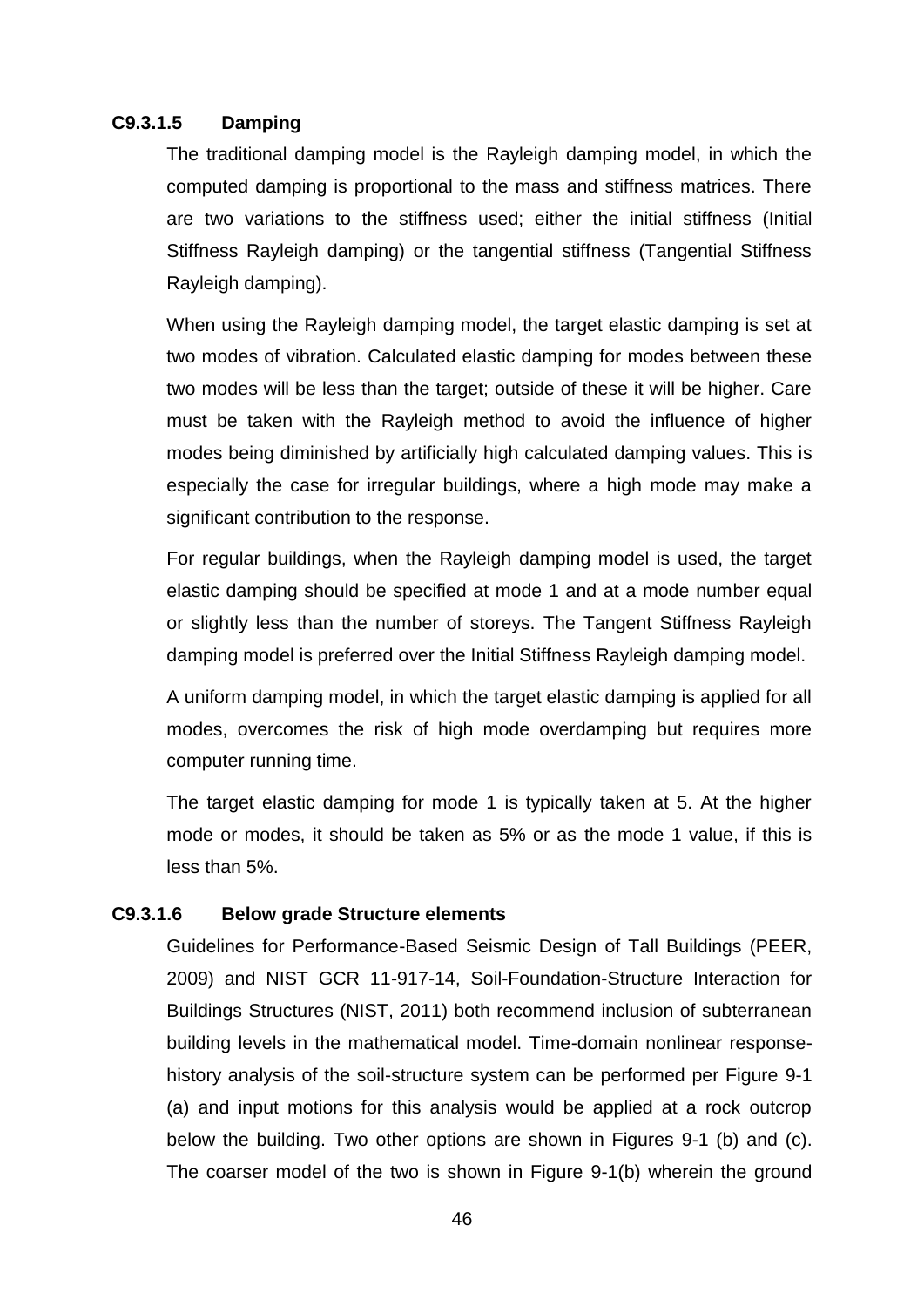# **C9.3.1.5 Damping**

The traditional damping model is the Rayleigh damping model, in which the computed damping is proportional to the mass and stiffness matrices. There are two variations to the stiffness used; either the initial stiffness (Initial Stiffness Rayleigh damping) or the tangential stiffness (Tangential Stiffness Rayleigh damping).

When using the Rayleigh damping model, the target elastic damping is set at two modes of vibration. Calculated elastic damping for modes between these two modes will be less than the target; outside of these it will be higher. Care must be taken with the Rayleigh method to avoid the influence of higher modes being diminished by artificially high calculated damping values. This is especially the case for irregular buildings, where a high mode may make a significant contribution to the response.

For regular buildings, when the Rayleigh damping model is used, the target elastic damping should be specified at mode 1 and at a mode number equal or slightly less than the number of storeys. The Tangent Stiffness Rayleigh damping model is preferred over the Initial Stiffness Rayleigh damping model.

A uniform damping model, in which the target elastic damping is applied for all modes, overcomes the risk of high mode overdamping but requires more computer running time.

The target elastic damping for mode 1 is typically taken at 5. At the higher mode or modes, it should be taken as 5% or as the mode 1 value, if this is less than 5%.

#### **C9.3.1.6 Below grade Structure elements**

Guidelines for Performance-Based Seismic Design of Tall Buildings (PEER, 2009) and NIST GCR 11-917-14, Soil-Foundation-Structure Interaction for Buildings Structures (NIST, 2011) both recommend inclusion of subterranean building levels in the mathematical model. Time-domain nonlinear responsehistory analysis of the soil-structure system can be performed per Figure 9-1 (a) and input motions for this analysis would be applied at a rock outcrop below the building. Two other options are shown in Figures 9-1 (b) and (c). The coarser model of the two is shown in Figure 9-1(b) wherein the ground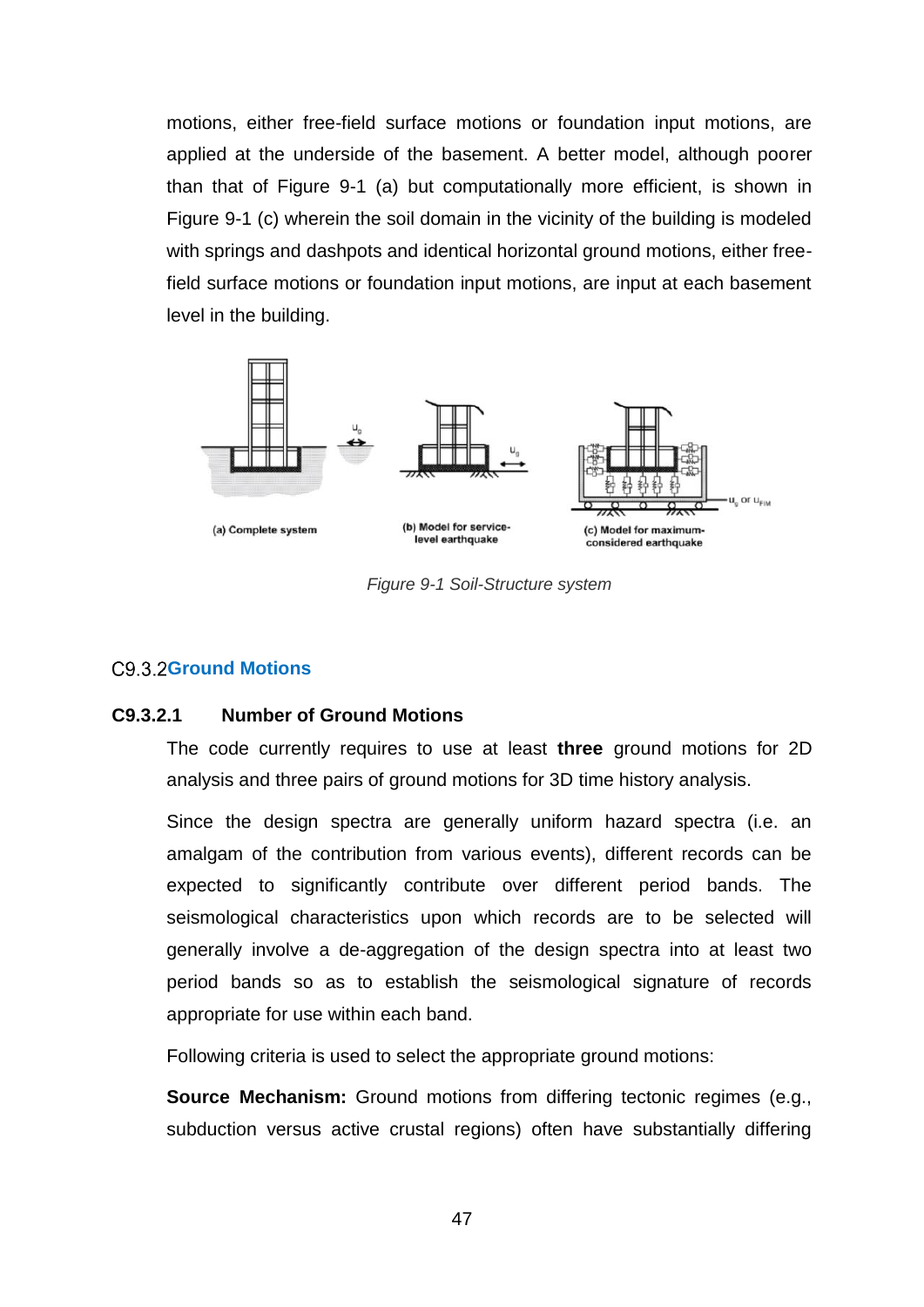motions, either free-field surface motions or foundation input motions, are applied at the underside of the basement. A better model, although poorer than that of Figure 9-1 (a) but computationally more efficient, is shown in Figure 9-1 (c) wherein the soil domain in the vicinity of the building is modeled with springs and dashpots and identical horizontal ground motions, either freefield surface motions or foundation input motions, are input at each basement level in the building.



*Figure 9-1 Soil-Structure system*

# <span id="page-49-0"></span>C9.3.2Ground Motions

# **C9.3.2.1 Number of Ground Motions**

The code currently requires to use at least **three** ground motions for 2D analysis and three pairs of ground motions for 3D time history analysis.

Since the design spectra are generally uniform hazard spectra (i.e. an amalgam of the contribution from various events), different records can be expected to significantly contribute over different period bands. The seismological characteristics upon which records are to be selected will generally involve a de-aggregation of the design spectra into at least two period bands so as to establish the seismological signature of records appropriate for use within each band.

Following criteria is used to select the appropriate ground motions:

**Source Mechanism:** Ground motions from differing tectonic regimes (e.g., subduction versus active crustal regions) often have substantially differing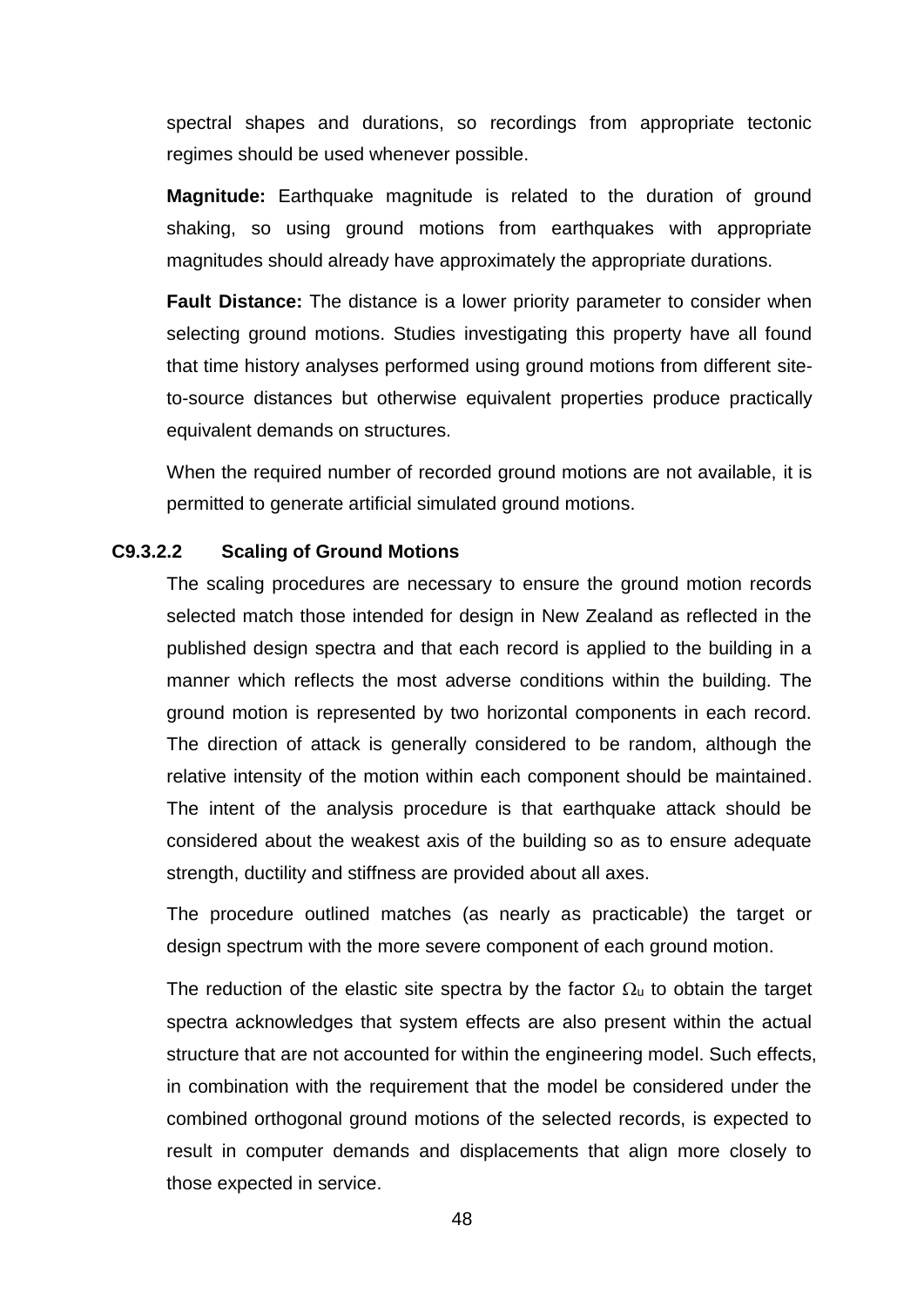spectral shapes and durations, so recordings from appropriate tectonic regimes should be used whenever possible.

**Magnitude:** Earthquake magnitude is related to the duration of ground shaking, so using ground motions from earthquakes with appropriate magnitudes should already have approximately the appropriate durations.

**Fault Distance:** The distance is a lower priority parameter to consider when selecting ground motions. Studies investigating this property have all found that time history analyses performed using ground motions from different siteto-source distances but otherwise equivalent properties produce practically equivalent demands on structures.

When the required number of recorded ground motions are not available, it is permitted to generate artificial simulated ground motions.

# **C9.3.2.2 Scaling of Ground Motions**

The scaling procedures are necessary to ensure the ground motion records selected match those intended for design in New Zealand as reflected in the published design spectra and that each record is applied to the building in a manner which reflects the most adverse conditions within the building. The ground motion is represented by two horizontal components in each record. The direction of attack is generally considered to be random, although the relative intensity of the motion within each component should be maintained. The intent of the analysis procedure is that earthquake attack should be considered about the weakest axis of the building so as to ensure adequate strength, ductility and stiffness are provided about all axes.

The procedure outlined matches (as nearly as practicable) the target or design spectrum with the more severe component of each ground motion.

The reduction of the elastic site spectra by the factor  $\Omega_u$  to obtain the target spectra acknowledges that system effects are also present within the actual structure that are not accounted for within the engineering model. Such effects, in combination with the requirement that the model be considered under the combined orthogonal ground motions of the selected records, is expected to result in computer demands and displacements that align more closely to those expected in service.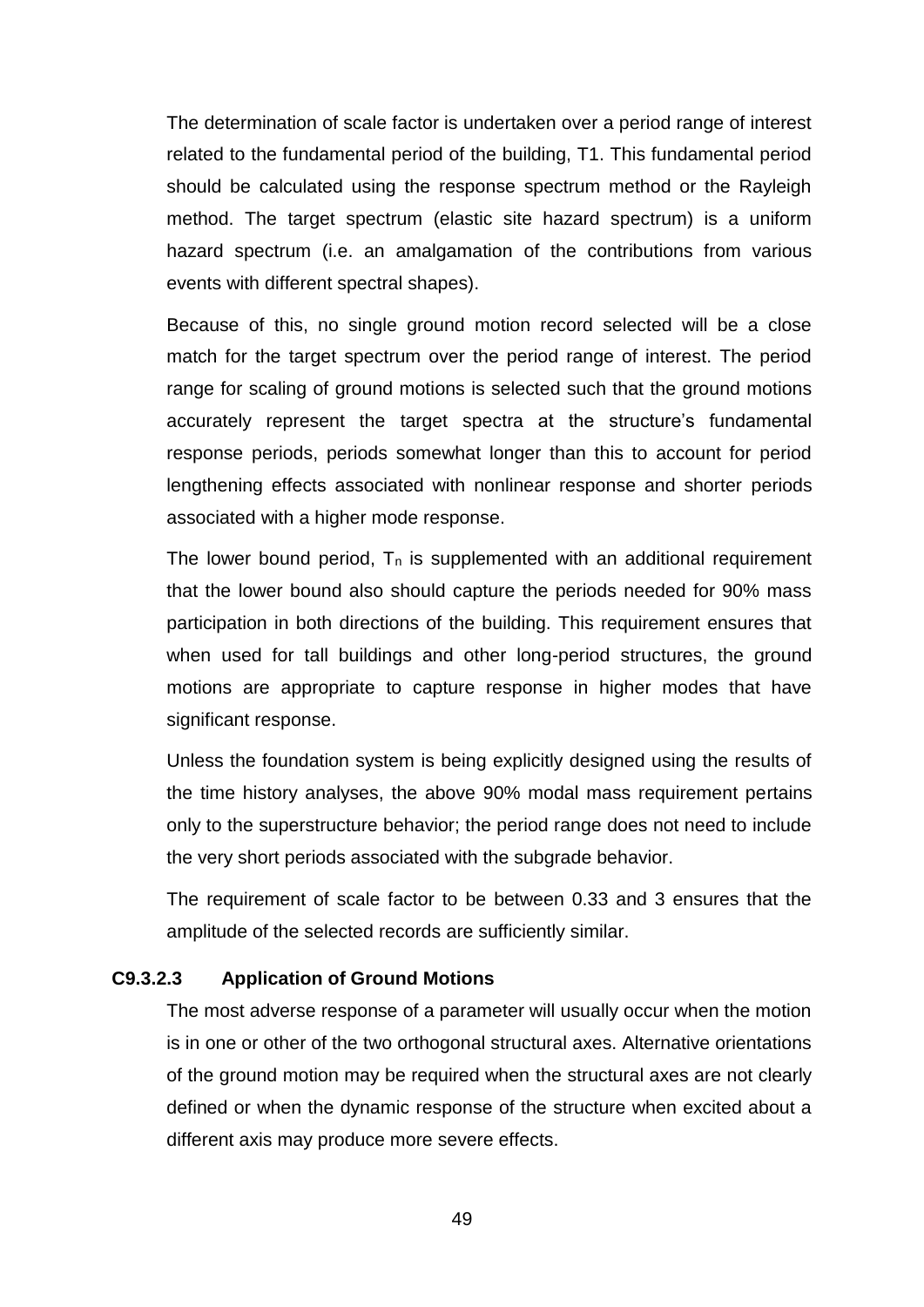The determination of scale factor is undertaken over a period range of interest related to the fundamental period of the building, T1. This fundamental period should be calculated using the response spectrum method or the Rayleigh method. The target spectrum (elastic site hazard spectrum) is a uniform hazard spectrum (i.e. an amalgamation of the contributions from various events with different spectral shapes).

Because of this, no single ground motion record selected will be a close match for the target spectrum over the period range of interest. The period range for scaling of ground motions is selected such that the ground motions accurately represent the target spectra at the structure's fundamental response periods, periods somewhat longer than this to account for period lengthening effects associated with nonlinear response and shorter periods associated with a higher mode response.

The lower bound period,  $T_n$  is supplemented with an additional requirement that the lower bound also should capture the periods needed for 90% mass participation in both directions of the building. This requirement ensures that when used for tall buildings and other long-period structures, the ground motions are appropriate to capture response in higher modes that have significant response.

Unless the foundation system is being explicitly designed using the results of the time history analyses, the above 90% modal mass requirement pertains only to the superstructure behavior; the period range does not need to include the very short periods associated with the subgrade behavior.

The requirement of scale factor to be between 0.33 and 3 ensures that the amplitude of the selected records are sufficiently similar.

# **C9.3.2.3 Application of Ground Motions**

The most adverse response of a parameter will usually occur when the motion is in one or other of the two orthogonal structural axes. Alternative orientations of the ground motion may be required when the structural axes are not clearly defined or when the dynamic response of the structure when excited about a different axis may produce more severe effects.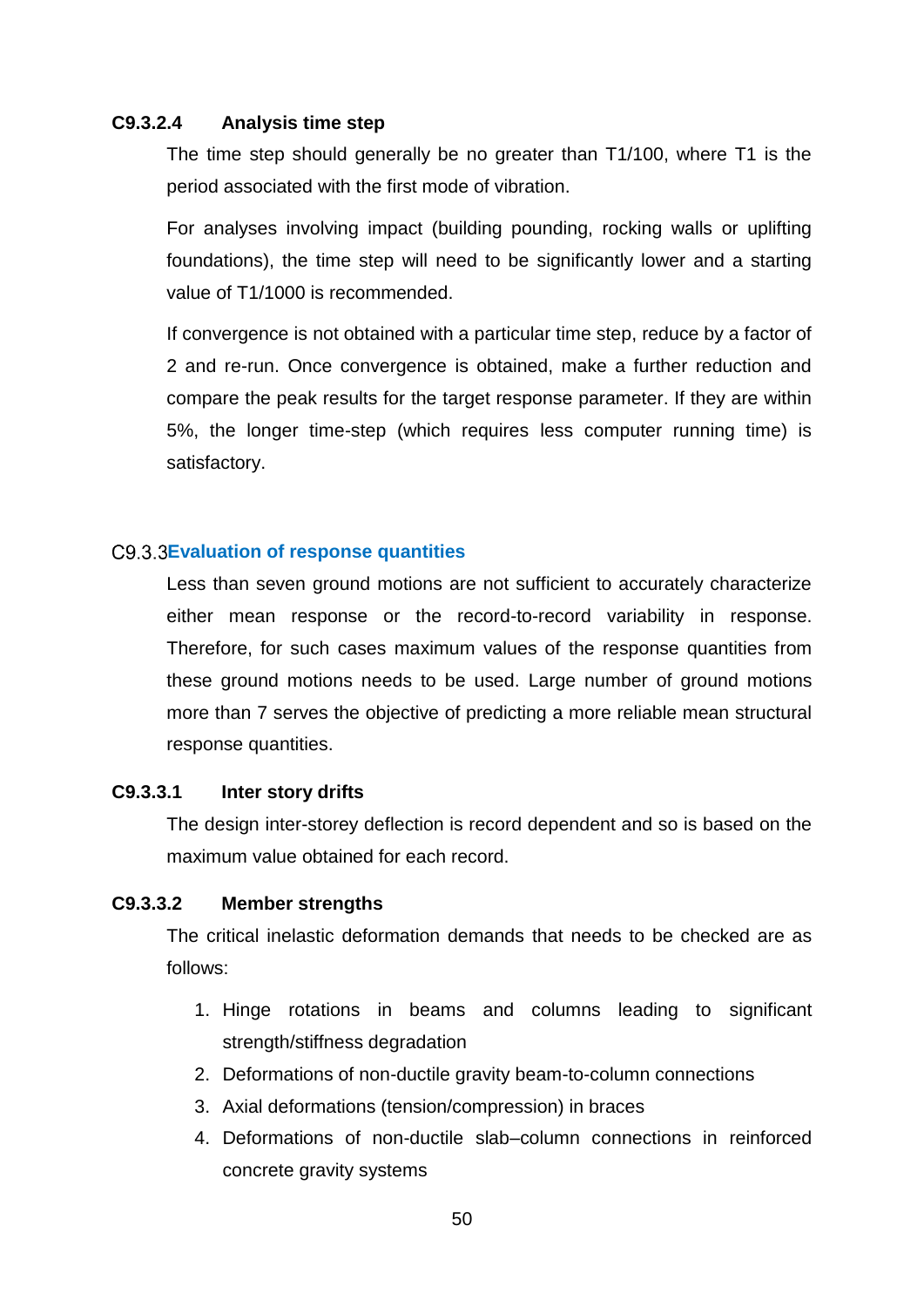# **C9.3.2.4 Analysis time step**

The time step should generally be no greater than T1/100, where T1 is the period associated with the first mode of vibration.

For analyses involving impact (building pounding, rocking walls or uplifting foundations), the time step will need to be significantly lower and a starting value of T1/1000 is recommended.

If convergence is not obtained with a particular time step, reduce by a factor of 2 and re-run. Once convergence is obtained, make a further reduction and compare the peak results for the target response parameter. If they are within 5%, the longer time-step (which requires less computer running time) is satisfactory.

# <span id="page-52-0"></span>**Evaluation of response quantities**

Less than seven ground motions are not sufficient to accurately characterize either mean response or the record-to-record variability in response. Therefore, for such cases maximum values of the response quantities from these ground motions needs to be used. Large number of ground motions more than 7 serves the objective of predicting a more reliable mean structural response quantities.

# **C9.3.3.1 Inter story drifts**

The design inter-storey deflection is record dependent and so is based on the maximum value obtained for each record.

# **C9.3.3.2 Member strengths**

The critical inelastic deformation demands that needs to be checked are as follows:

- 1. Hinge rotations in beams and columns leading to significant strength/stiffness degradation
- 2. Deformations of non-ductile gravity beam-to-column connections
- 3. Axial deformations (tension/compression) in braces
- 4. Deformations of non-ductile slab–column connections in reinforced concrete gravity systems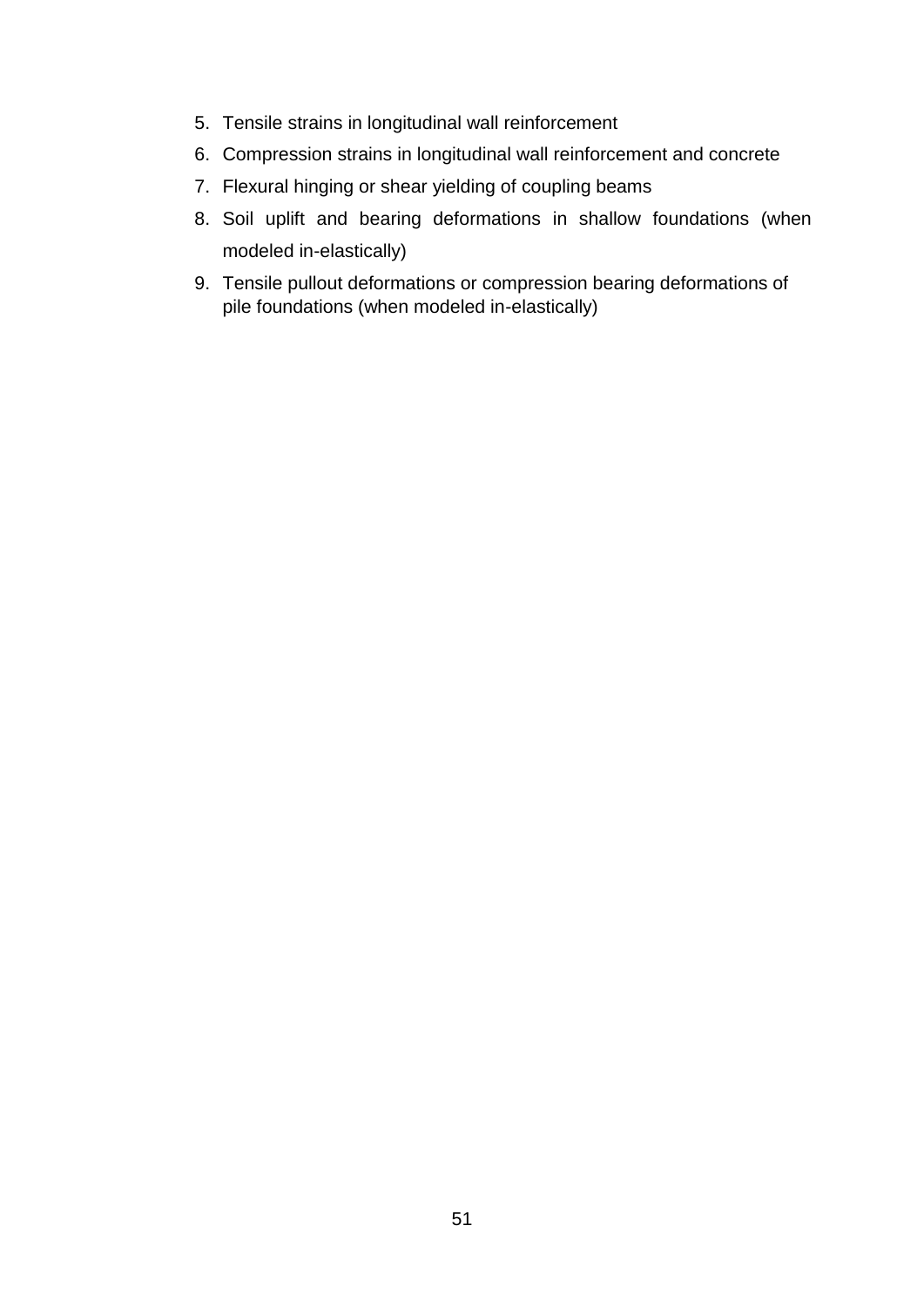- 5. Tensile strains in longitudinal wall reinforcement
- 6. Compression strains in longitudinal wall reinforcement and concrete
- 7. Flexural hinging or shear yielding of coupling beams
- 8. Soil uplift and bearing deformations in shallow foundations (when modeled in-elastically)
- 9. Tensile pullout deformations or compression bearing deformations of pile foundations (when modeled in-elastically)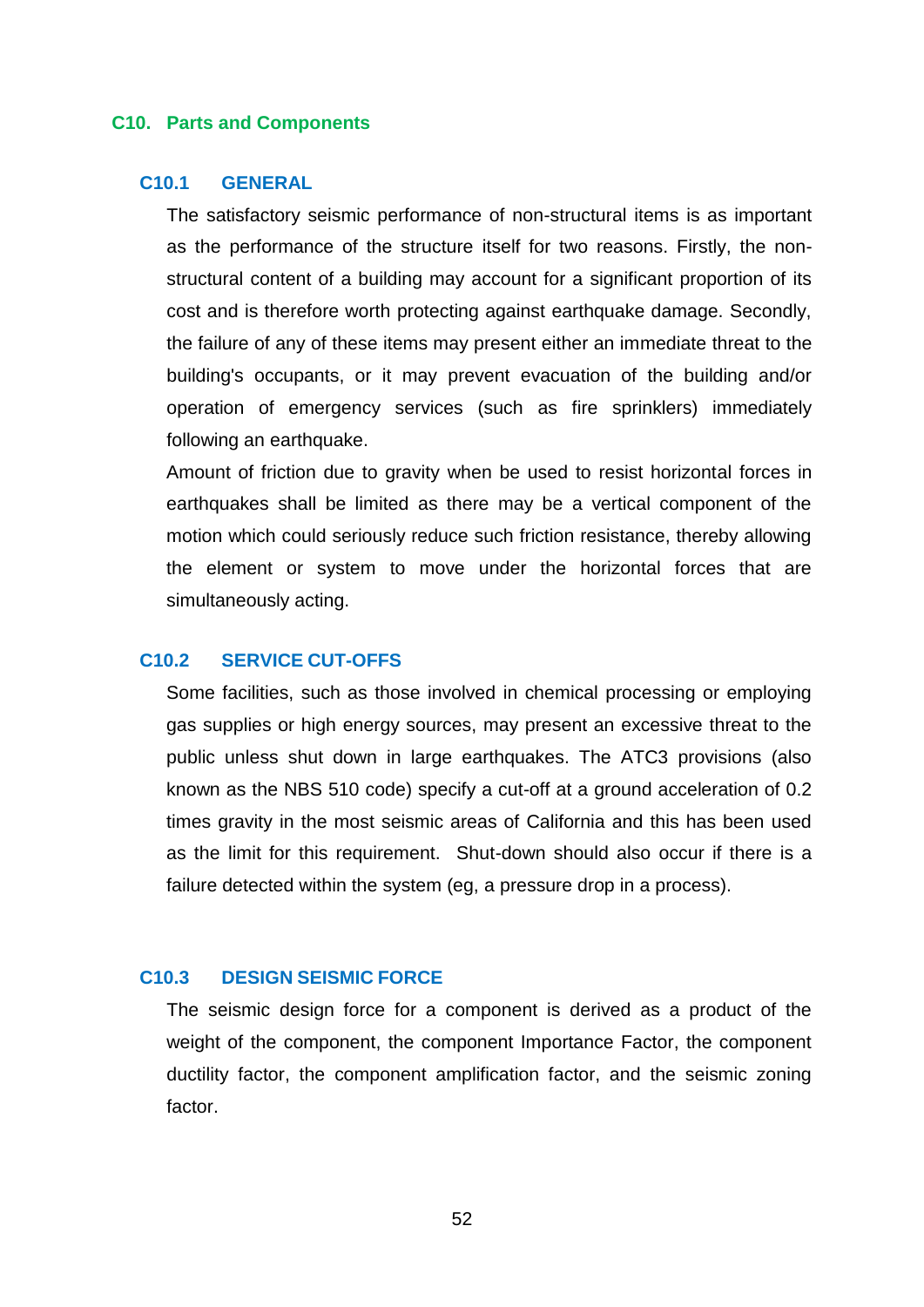#### <span id="page-54-0"></span>**C10. Parts and Components**

# <span id="page-54-1"></span>**C10.1 GENERAL**

The satisfactory seismic performance of non-structural items is as important as the performance of the structure itself for two reasons. Firstly, the nonstructural content of a building may account for a significant proportion of its cost and is therefore worth protecting against earthquake damage. Secondly, the failure of any of these items may present either an immediate threat to the building's occupants, or it may prevent evacuation of the building and/or operation of emergency services (such as fire sprinklers) immediately following an earthquake.

Amount of friction due to gravity when be used to resist horizontal forces in earthquakes shall be limited as there may be a vertical component of the motion which could seriously reduce such friction resistance, thereby allowing the element or system to move under the horizontal forces that are simultaneously acting.

# <span id="page-54-2"></span>**C10.2 SERVICE CUT-OFFS**

Some facilities, such as those involved in chemical processing or employing gas supplies or high energy sources, may present an excessive threat to the public unless shut down in large earthquakes. The ATC3 provisions (also known as the NBS 510 code) specify a cut-off at a ground acceleration of 0.2 times gravity in the most seismic areas of California and this has been used as the limit for this requirement. Shut-down should also occur if there is a failure detected within the system (eg, a pressure drop in a process).

# <span id="page-54-3"></span>**C10.3 DESIGN SEISMIC FORCE**

The seismic design force for a component is derived as a product of the weight of the component, the component Importance Factor, the component ductility factor, the component amplification factor, and the seismic zoning factor.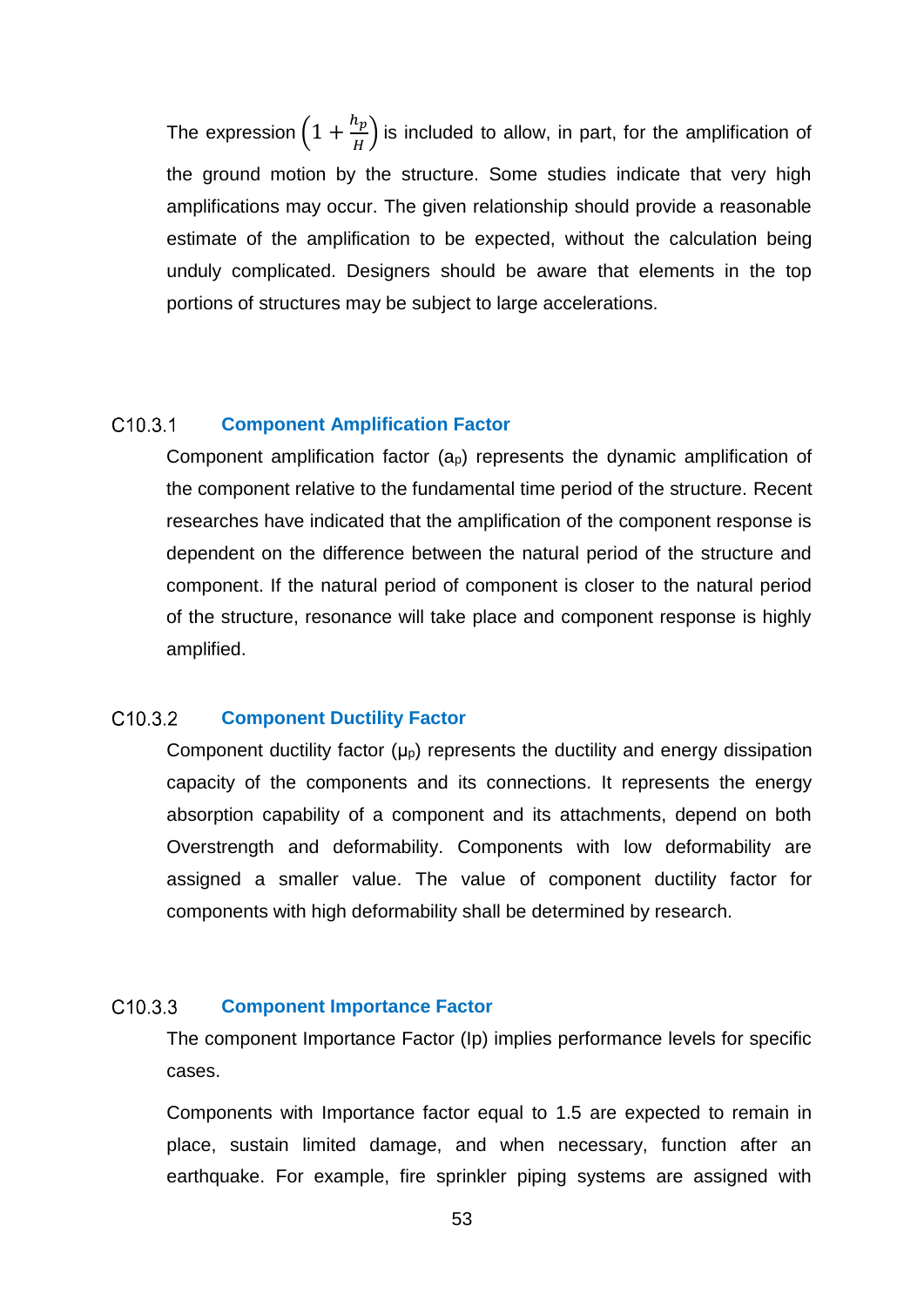The expression  $\left(1+\frac{h_p}{H}\right)$  $\left(\frac{p}{H}\right)$  is included to allow, in part, for the amplification of the ground motion by the structure. Some studies indicate that very high amplifications may occur. The given relationship should provide a reasonable estimate of the amplification to be expected, without the calculation being unduly complicated. Designers should be aware that elements in the top portions of structures may be subject to large accelerations.

#### <span id="page-55-0"></span> $C10.3.1$ **Component Amplification Factor**

Component amplification factor  $(a_p)$  represents the dynamic amplification of the component relative to the fundamental time period of the structure. Recent researches have indicated that the amplification of the component response is dependent on the difference between the natural period of the structure and component. If the natural period of component is closer to the natural period of the structure, resonance will take place and component response is highly amplified.

#### <span id="page-55-1"></span>C<sub>10.3.2</sub> **Component Ductility Factor**

Component ductility factor  $(\mu_{p})$  represents the ductility and energy dissipation capacity of the components and its connections. It represents the energy absorption capability of a component and its attachments, depend on both Overstrength and deformability. Components with low deformability are assigned a smaller value. The value of component ductility factor for components with high deformability shall be determined by research.

#### <span id="page-55-2"></span>C<sub>10.3.3</sub> **Component Importance Factor**

The component Importance Factor (Ip) implies performance levels for specific cases.

Components with Importance factor equal to 1.5 are expected to remain in place, sustain limited damage, and when necessary, function after an earthquake. For example, fire sprinkler piping systems are assigned with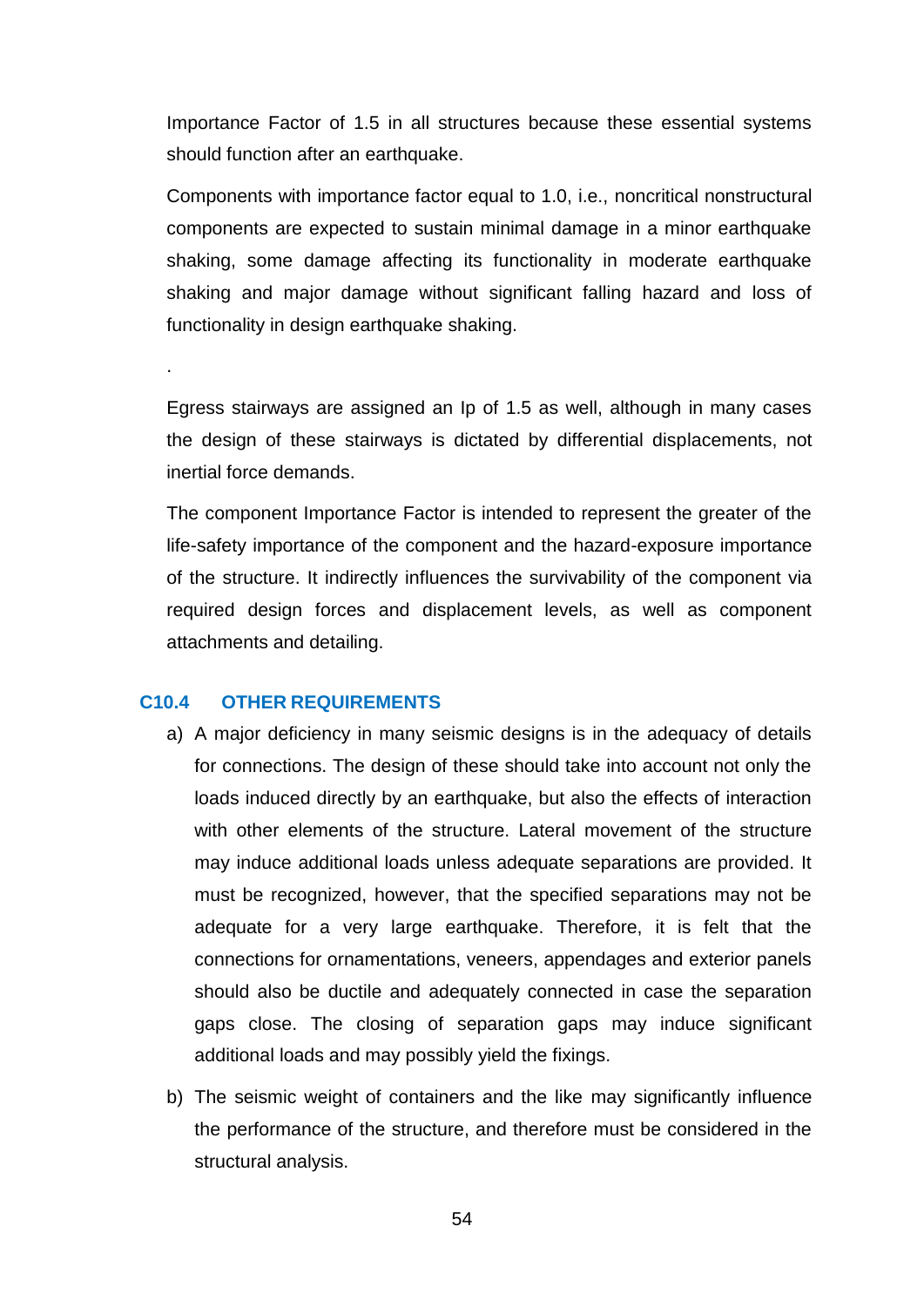Importance Factor of 1.5 in all structures because these essential systems should function after an earthquake.

Components with importance factor equal to 1.0, i.e., noncritical nonstructural components are expected to sustain minimal damage in a minor earthquake shaking, some damage affecting its functionality in moderate earthquake shaking and major damage without significant falling hazard and loss of functionality in design earthquake shaking.

Egress stairways are assigned an Ip of 1.5 as well, although in many cases the design of these stairways is dictated by differential displacements, not inertial force demands.

The component Importance Factor is intended to represent the greater of the life-safety importance of the component and the hazard-exposure importance of the structure. It indirectly influences the survivability of the component via required design forces and displacement levels, as well as component attachments and detailing.

#### <span id="page-56-0"></span>**C10.4 OTHER REQUIREMENTS**

.

- a) A major deficiency in many seismic designs is in the adequacy of details for connections. The design of these should take into account not only the loads induced directly by an earthquake, but also the effects of interaction with other elements of the structure. Lateral movement of the structure may induce additional loads unless adequate separations are provided. It must be recognized, however, that the specified separations may not be adequate for a very large earthquake. Therefore, it is felt that the connections for ornamentations, veneers, appendages and exterior panels should also be ductile and adequately connected in case the separation gaps close. The closing of separation gaps may induce significant additional loads and may possibly yield the fixings.
- b) The seismic weight of containers and the like may significantly influence the performance of the structure, and therefore must be considered in the structural analysis.